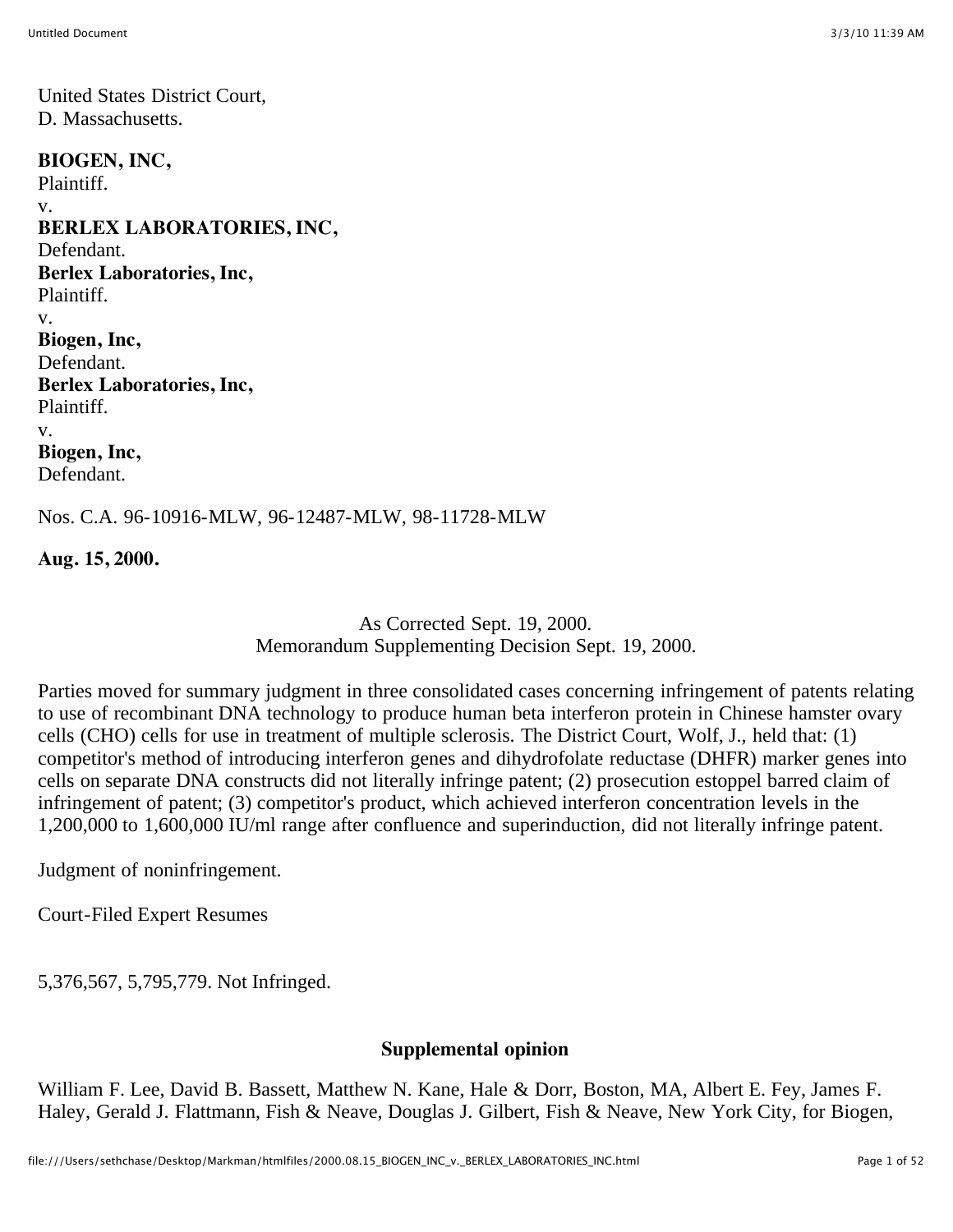United States District Court, D. Massachusetts.

**BIOGEN, INC,** Plaintiff. v. **BERLEX LABORATORIES, INC,** Defendant. **Berlex Laboratories, Inc,** Plaintiff. v. **Biogen, Inc,** Defendant. **Berlex Laboratories, Inc,** Plaintiff. v. **Biogen, Inc,** Defendant.

Nos. C.A. 96-10916-MLW, 96-12487-MLW, 98-11728-MLW

**Aug. 15, 2000.**

As Corrected Sept. 19, 2000. Memorandum Supplementing Decision Sept. 19, 2000.

Parties moved for summary judgment in three consolidated cases concerning infringement of patents relating to use of recombinant DNA technology to produce human beta interferon protein in Chinese hamster ovary cells (CHO) cells for use in treatment of multiple sclerosis. The District Court, Wolf, J., held that: (1) competitor's method of introducing interferon genes and dihydrofolate reductase (DHFR) marker genes into cells on separate DNA constructs did not literally infringe patent; (2) prosecution estoppel barred claim of infringement of patent; (3) competitor's product, which achieved interferon concentration levels in the 1,200,000 to 1,600,000 IU/ml range after confluence and superinduction, did not literally infringe patent.

Judgment of noninfringement.

Court-Filed Expert Resumes

5,376,567, 5,795,779. Not Infringed.

#### **Supplemental opinion**

William F. Lee, David B. Bassett, Matthew N. Kane, Hale & Dorr, Boston, MA, Albert E. Fey, James F. Haley, Gerald J. Flattmann, Fish & Neave, Douglas J. Gilbert, Fish & Neave, New York City, for Biogen,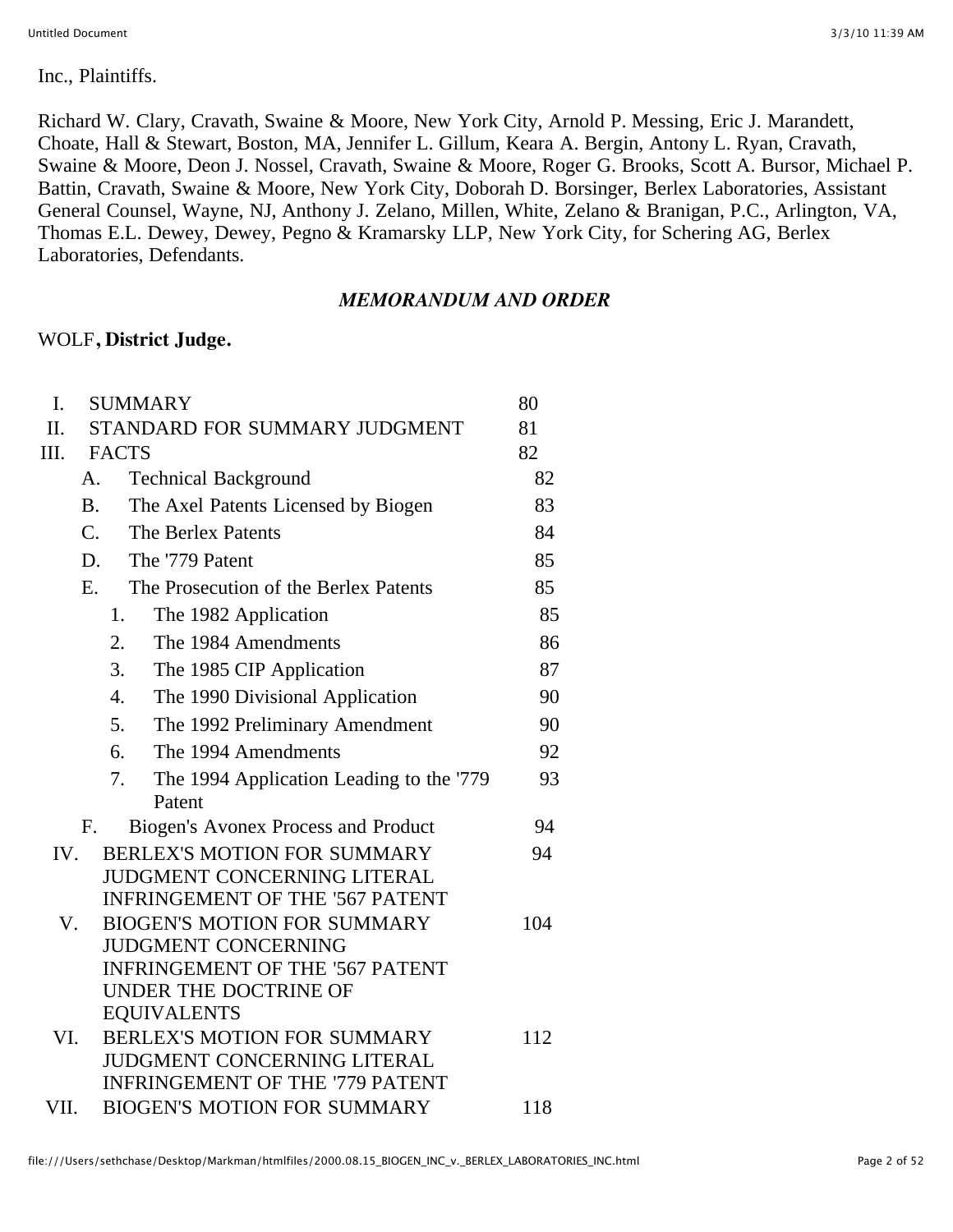Inc., Plaintiffs.

Richard W. Clary, Cravath, Swaine & Moore, New York City, Arnold P. Messing, Eric J. Marandett, Choate, Hall & Stewart, Boston, MA, Jennifer L. Gillum, Keara A. Bergin, Antony L. Ryan, Cravath, Swaine & Moore, Deon J. Nossel, Cravath, Swaine & Moore, Roger G. Brooks, Scott A. Bursor, Michael P. Battin, Cravath, Swaine & Moore, New York City, Doborah D. Borsinger, Berlex Laboratories, Assistant General Counsel, Wayne, NJ, Anthony J. Zelano, Millen, White, Zelano & Branigan, P.C., Arlington, VA, Thomas E.L. Dewey, Dewey, Pegno & Kramarsky LLP, New York City, for Schering AG, Berlex Laboratories, Defendants.

#### *MEMORANDUM AND ORDER*

#### WOLF**, District Judge.**

| I.   |              | <b>SUMMARY</b>                                                       | 80  |
|------|--------------|----------------------------------------------------------------------|-----|
| II.  |              | STANDARD FOR SUMMARY JUDGMENT                                        | 81  |
| Ш.   | <b>FACTS</b> |                                                                      | 82  |
|      | A.           | <b>Technical Background</b>                                          | 82  |
|      | <b>B.</b>    | The Axel Patents Licensed by Biogen                                  | 83  |
|      | $C_{\cdot}$  | The Berlex Patents                                                   | 84  |
|      | D.           | The '779 Patent                                                      | 85  |
|      | E.           | The Prosecution of the Berlex Patents                                | 85  |
|      | 1.           | The 1982 Application                                                 | 85  |
|      | 2.           | The 1984 Amendments                                                  | 86  |
|      | 3.           | The 1985 CIP Application                                             | 87  |
|      | 4.           | The 1990 Divisional Application                                      | 90  |
|      | 5.           | The 1992 Preliminary Amendment                                       | 90  |
|      | 6.           | The 1994 Amendments                                                  | 92  |
|      | 7.           | The 1994 Application Leading to the '779                             | 93  |
|      |              | Patent                                                               |     |
|      | F.           | <b>Biogen's Avonex Process and Product</b>                           | 94  |
| IV.  |              | BERLEX'S MOTION FOR SUMMARY                                          | 94  |
|      |              | JUDGMENT CONCERNING LITERAL                                          |     |
|      |              | <b>INFRINGEMENT OF THE '567 PATENT</b>                               |     |
| V.   |              | <b>BIOGEN'S MOTION FOR SUMMARY</b>                                   | 104 |
|      |              | <b>JUDGMENT CONCERNING</b><br><b>INFRINGEMENT OF THE '567 PATENT</b> |     |
|      |              | UNDER THE DOCTRINE OF                                                |     |
|      |              | <b>EQUIVALENTS</b>                                                   |     |
| VI.  |              | BERLEX'S MOTION FOR SUMMARY                                          | 112 |
|      |              | <b>JUDGMENT CONCERNING LITERAL</b>                                   |     |
|      |              | <b>INFRINGEMENT OF THE '779 PATENT</b>                               |     |
| VII. |              | <b>BIOGEN'S MOTION FOR SUMMARY</b>                                   | 118 |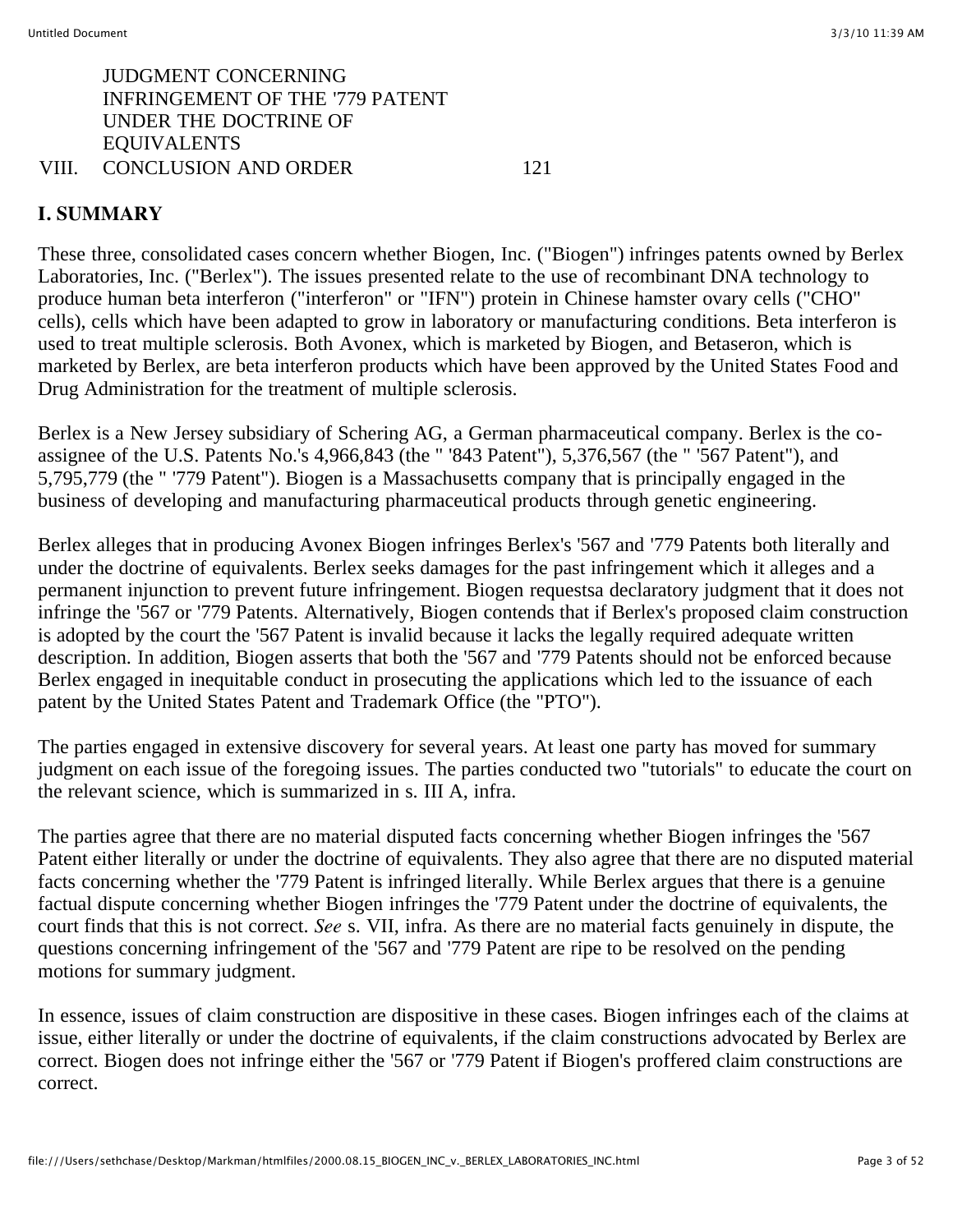## JUDGMENT CONCERNING INFRINGEMENT OF THE '779 PATENT UNDER THE DOCTRINE OF EQUIVALENTS

#### VIII. CONCLUSION AND ORDER 121

#### **I. SUMMARY**

These three, consolidated cases concern whether Biogen, Inc. ("Biogen") infringes patents owned by Berlex Laboratories, Inc. ("Berlex"). The issues presented relate to the use of recombinant DNA technology to produce human beta interferon ("interferon" or "IFN") protein in Chinese hamster ovary cells ("CHO" cells), cells which have been adapted to grow in laboratory or manufacturing conditions. Beta interferon is used to treat multiple sclerosis. Both Avonex, which is marketed by Biogen, and Betaseron, which is marketed by Berlex, are beta interferon products which have been approved by the United States Food and Drug Administration for the treatment of multiple sclerosis.

Berlex is a New Jersey subsidiary of Schering AG, a German pharmaceutical company. Berlex is the coassignee of the U.S. Patents No.'s 4,966,843 (the " '843 Patent"), 5,376,567 (the " '567 Patent"), and 5,795,779 (the " '779 Patent"). Biogen is a Massachusetts company that is principally engaged in the business of developing and manufacturing pharmaceutical products through genetic engineering.

Berlex alleges that in producing Avonex Biogen infringes Berlex's '567 and '779 Patents both literally and under the doctrine of equivalents. Berlex seeks damages for the past infringement which it alleges and a permanent injunction to prevent future infringement. Biogen requestsa declaratory judgment that it does not infringe the '567 or '779 Patents. Alternatively, Biogen contends that if Berlex's proposed claim construction is adopted by the court the '567 Patent is invalid because it lacks the legally required adequate written description. In addition, Biogen asserts that both the '567 and '779 Patents should not be enforced because Berlex engaged in inequitable conduct in prosecuting the applications which led to the issuance of each patent by the United States Patent and Trademark Office (the "PTO").

The parties engaged in extensive discovery for several years. At least one party has moved for summary judgment on each issue of the foregoing issues. The parties conducted two "tutorials" to educate the court on the relevant science, which is summarized in s. III A, infra.

The parties agree that there are no material disputed facts concerning whether Biogen infringes the '567 Patent either literally or under the doctrine of equivalents. They also agree that there are no disputed material facts concerning whether the '779 Patent is infringed literally. While Berlex argues that there is a genuine factual dispute concerning whether Biogen infringes the '779 Patent under the doctrine of equivalents, the court finds that this is not correct. *See* s. VII, infra. As there are no material facts genuinely in dispute, the questions concerning infringement of the '567 and '779 Patent are ripe to be resolved on the pending motions for summary judgment.

In essence, issues of claim construction are dispositive in these cases. Biogen infringes each of the claims at issue, either literally or under the doctrine of equivalents, if the claim constructions advocated by Berlex are correct. Biogen does not infringe either the '567 or '779 Patent if Biogen's proffered claim constructions are correct.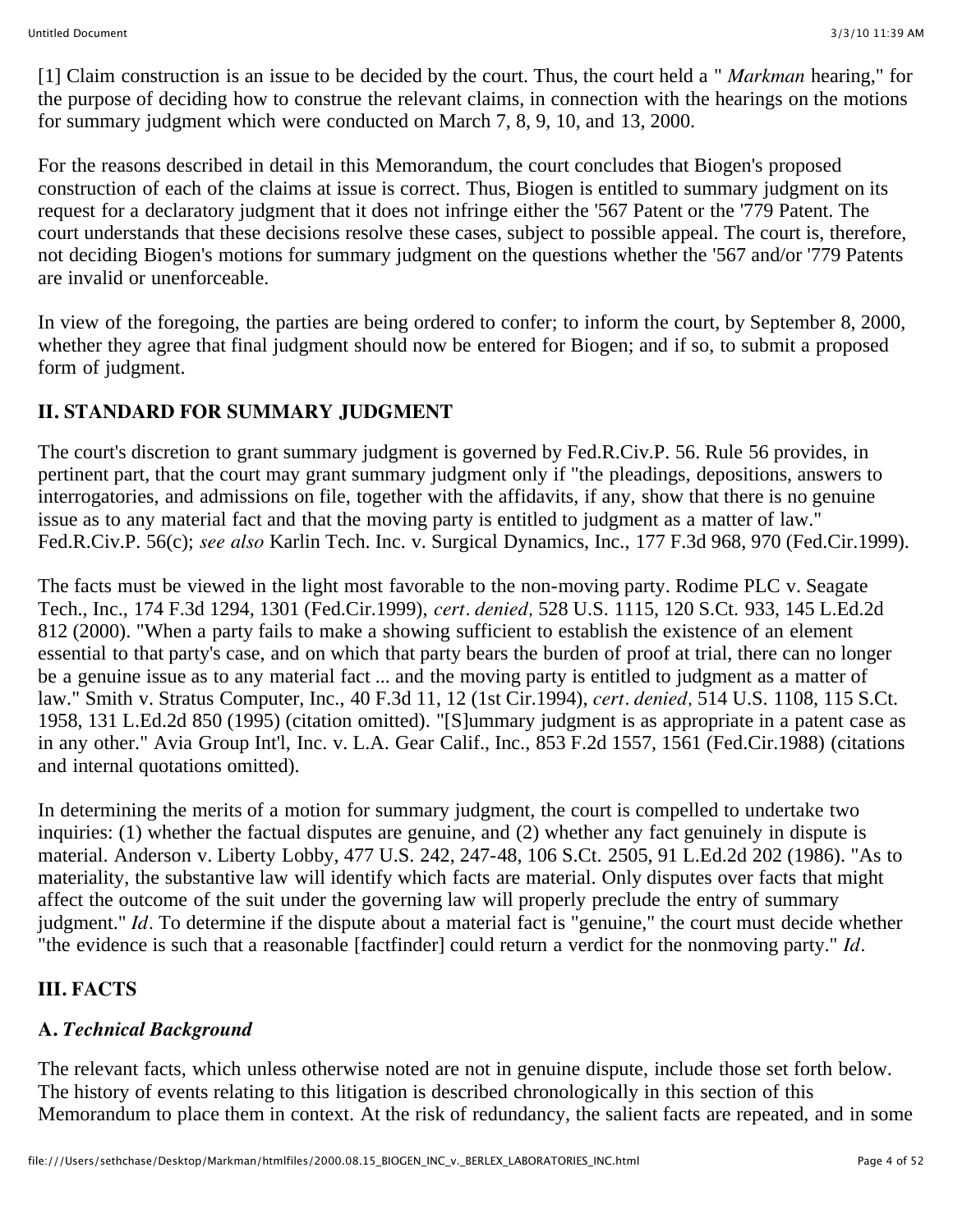[1] Claim construction is an issue to be decided by the court. Thus, the court held a " *Markman* hearing," for the purpose of deciding how to construe the relevant claims, in connection with the hearings on the motions for summary judgment which were conducted on March 7, 8, 9, 10, and 13, 2000.

For the reasons described in detail in this Memorandum, the court concludes that Biogen's proposed construction of each of the claims at issue is correct. Thus, Biogen is entitled to summary judgment on its request for a declaratory judgment that it does not infringe either the '567 Patent or the '779 Patent. The court understands that these decisions resolve these cases, subject to possible appeal. The court is, therefore, not deciding Biogen's motions for summary judgment on the questions whether the '567 and/or '779 Patents are invalid or unenforceable.

In view of the foregoing, the parties are being ordered to confer; to inform the court, by September 8, 2000, whether they agree that final judgment should now be entered for Biogen; and if so, to submit a proposed form of judgment.

## **II. STANDARD FOR SUMMARY JUDGMENT**

The court's discretion to grant summary judgment is governed by Fed.R.Civ.P. 56. Rule 56 provides, in pertinent part, that the court may grant summary judgment only if "the pleadings, depositions, answers to interrogatories, and admissions on file, together with the affidavits, if any, show that there is no genuine issue as to any material fact and that the moving party is entitled to judgment as a matter of law." Fed.R.Civ.P. 56(c); *see also* Karlin Tech. Inc. v. Surgical Dynamics, Inc., 177 F.3d 968, 970 (Fed.Cir.1999).

The facts must be viewed in the light most favorable to the non-moving party. Rodime PLC v. Seagate Tech., Inc., 174 F.3d 1294, 1301 (Fed.Cir.1999), *cert. denied,* 528 U.S. 1115, 120 S.Ct. 933, 145 L.Ed.2d 812 (2000). "When a party fails to make a showing sufficient to establish the existence of an element essential to that party's case, and on which that party bears the burden of proof at trial, there can no longer be a genuine issue as to any material fact ... and the moving party is entitled to judgment as a matter of law." Smith v. Stratus Computer, Inc., 40 F.3d 11, 12 (1st Cir.1994), *cert. denied,* 514 U.S. 1108, 115 S.Ct. 1958, 131 L.Ed.2d 850 (1995) (citation omitted). "[S]ummary judgment is as appropriate in a patent case as in any other." Avia Group Int'l, Inc. v. L.A. Gear Calif., Inc., 853 F.2d 1557, 1561 (Fed.Cir.1988) (citations and internal quotations omitted).

In determining the merits of a motion for summary judgment, the court is compelled to undertake two inquiries: (1) whether the factual disputes are genuine, and (2) whether any fact genuinely in dispute is material. Anderson v. Liberty Lobby, 477 U.S. 242, 247-48, 106 S.Ct. 2505, 91 L.Ed.2d 202 (1986). "As to materiality, the substantive law will identify which facts are material. Only disputes over facts that might affect the outcome of the suit under the governing law will properly preclude the entry of summary judgment." *Id.* To determine if the dispute about a material fact is "genuine," the court must decide whether "the evidence is such that a reasonable [factfinder] could return a verdict for the nonmoving party." *Id.*

# **III. FACTS**

### **A.** *Technical Background*

The relevant facts, which unless otherwise noted are not in genuine dispute, include those set forth below. The history of events relating to this litigation is described chronologically in this section of this Memorandum to place them in context. At the risk of redundancy, the salient facts are repeated, and in some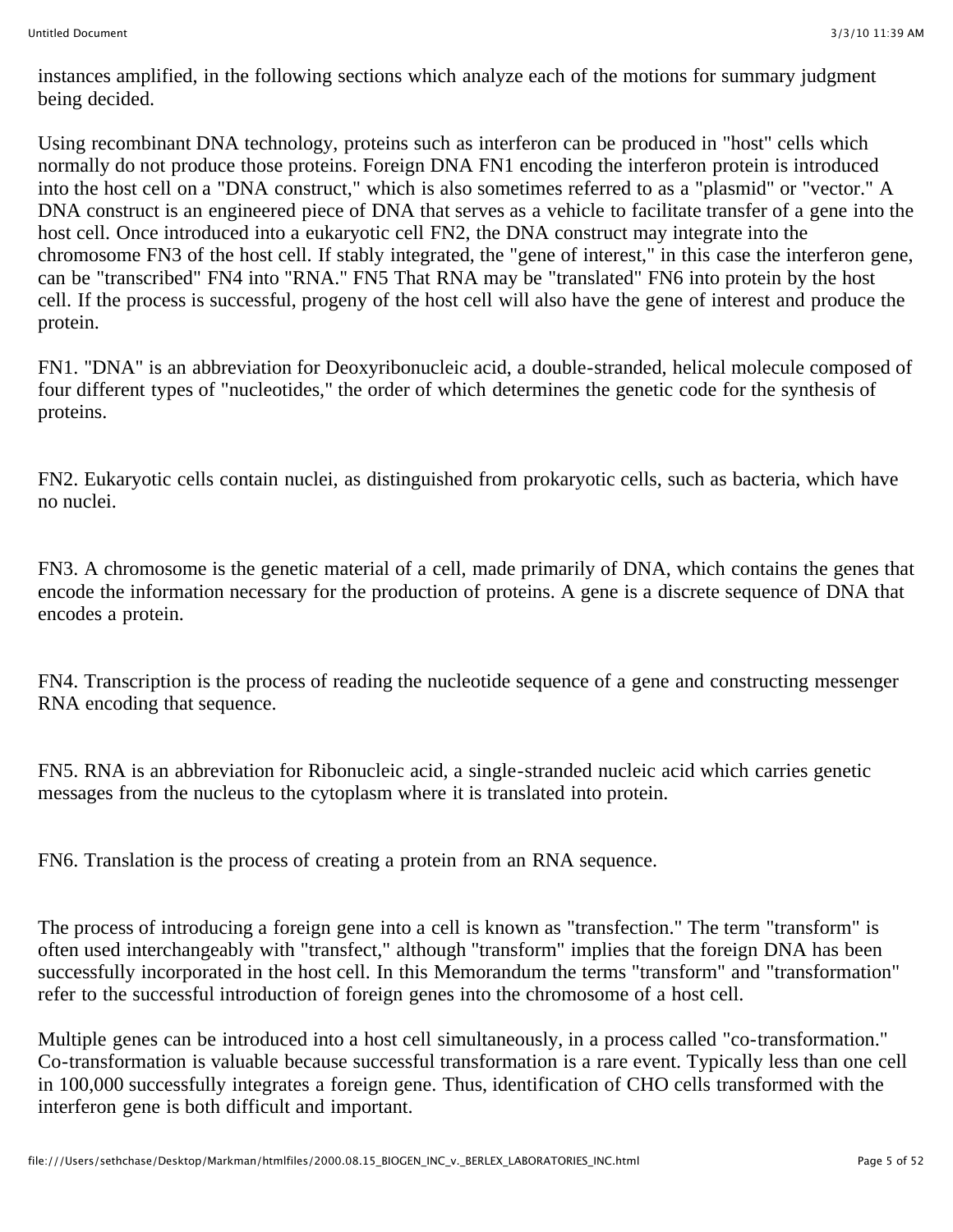instances amplified, in the following sections which analyze each of the motions for summary judgment being decided.

Using recombinant DNA technology, proteins such as interferon can be produced in "host" cells which normally do not produce those proteins. Foreign DNA FN1 encoding the interferon protein is introduced into the host cell on a "DNA construct," which is also sometimes referred to as a "plasmid" or "vector." A DNA construct is an engineered piece of DNA that serves as a vehicle to facilitate transfer of a gene into the host cell. Once introduced into a eukaryotic cell FN2, the DNA construct may integrate into the chromosome FN3 of the host cell. If stably integrated, the "gene of interest," in this case the interferon gene, can be "transcribed" FN4 into "RNA." FN5 That RNA may be "translated" FN6 into protein by the host cell. If the process is successful, progeny of the host cell will also have the gene of interest and produce the protein.

FN1. "DNA" is an abbreviation for Deoxyribonucleic acid, a double-stranded, helical molecule composed of four different types of "nucleotides," the order of which determines the genetic code for the synthesis of proteins.

FN2. Eukaryotic cells contain nuclei, as distinguished from prokaryotic cells, such as bacteria, which have no nuclei.

FN3. A chromosome is the genetic material of a cell, made primarily of DNA, which contains the genes that encode the information necessary for the production of proteins. A gene is a discrete sequence of DNA that encodes a protein.

FN4. Transcription is the process of reading the nucleotide sequence of a gene and constructing messenger RNA encoding that sequence.

FN5. RNA is an abbreviation for Ribonucleic acid, a single-stranded nucleic acid which carries genetic messages from the nucleus to the cytoplasm where it is translated into protein.

FN6. Translation is the process of creating a protein from an RNA sequence.

The process of introducing a foreign gene into a cell is known as "transfection." The term "transform" is often used interchangeably with "transfect," although "transform" implies that the foreign DNA has been successfully incorporated in the host cell. In this Memorandum the terms "transform" and "transformation" refer to the successful introduction of foreign genes into the chromosome of a host cell.

Multiple genes can be introduced into a host cell simultaneously, in a process called "co-transformation." Co-transformation is valuable because successful transformation is a rare event. Typically less than one cell in 100,000 successfully integrates a foreign gene. Thus, identification of CHO cells transformed with the interferon gene is both difficult and important.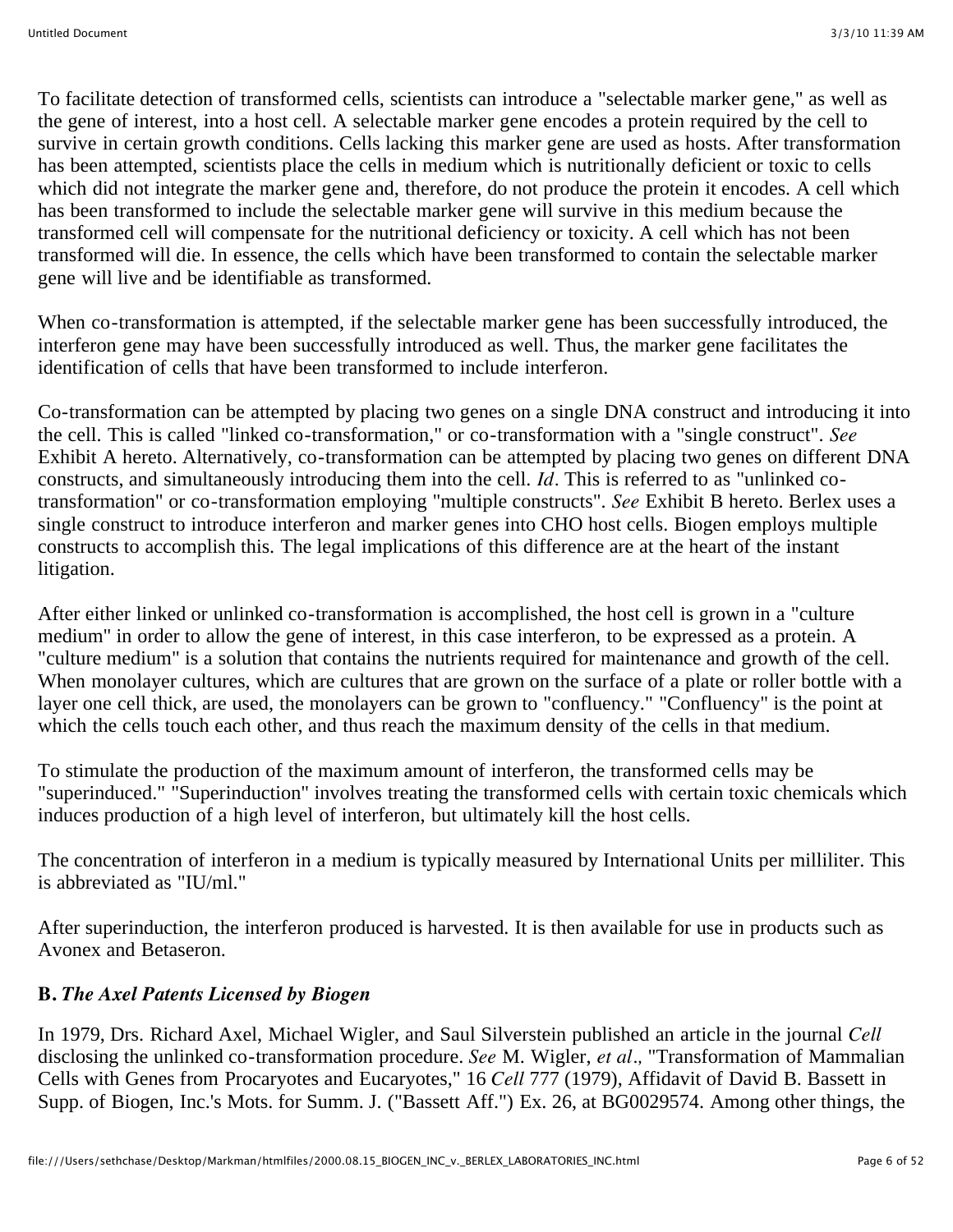To facilitate detection of transformed cells, scientists can introduce a "selectable marker gene," as well as the gene of interest, into a host cell. A selectable marker gene encodes a protein required by the cell to survive in certain growth conditions. Cells lacking this marker gene are used as hosts. After transformation has been attempted, scientists place the cells in medium which is nutritionally deficient or toxic to cells which did not integrate the marker gene and, therefore, do not produce the protein it encodes. A cell which has been transformed to include the selectable marker gene will survive in this medium because the transformed cell will compensate for the nutritional deficiency or toxicity. A cell which has not been transformed will die. In essence, the cells which have been transformed to contain the selectable marker gene will live and be identifiable as transformed.

When co-transformation is attempted, if the selectable marker gene has been successfully introduced, the interferon gene may have been successfully introduced as well. Thus, the marker gene facilitates the identification of cells that have been transformed to include interferon.

Co-transformation can be attempted by placing two genes on a single DNA construct and introducing it into the cell. This is called "linked co-transformation," or co-transformation with a "single construct". *See* Exhibit A hereto. Alternatively, co-transformation can be attempted by placing two genes on different DNA constructs, and simultaneously introducing them into the cell. *Id.* This is referred to as "unlinked cotransformation" or co-transformation employing "multiple constructs". *See* Exhibit B hereto. Berlex uses a single construct to introduce interferon and marker genes into CHO host cells. Biogen employs multiple constructs to accomplish this. The legal implications of this difference are at the heart of the instant litigation.

After either linked or unlinked co-transformation is accomplished, the host cell is grown in a "culture medium" in order to allow the gene of interest, in this case interferon, to be expressed as a protein. A "culture medium" is a solution that contains the nutrients required for maintenance and growth of the cell. When monolayer cultures, which are cultures that are grown on the surface of a plate or roller bottle with a layer one cell thick, are used, the monolayers can be grown to "confluency." "Confluency" is the point at which the cells touch each other, and thus reach the maximum density of the cells in that medium.

To stimulate the production of the maximum amount of interferon, the transformed cells may be "superinduced." "Superinduction" involves treating the transformed cells with certain toxic chemicals which induces production of a high level of interferon, but ultimately kill the host cells.

The concentration of interferon in a medium is typically measured by International Units per milliliter. This is abbreviated as "IU/ml."

After superinduction, the interferon produced is harvested. It is then available for use in products such as Avonex and Betaseron.

### **B.** *The Axel Patents Licensed by Biogen*

In 1979, Drs. Richard Axel, Michael Wigler, and Saul Silverstein published an article in the journal *Cell* disclosing the unlinked co-transformation procedure. *See* M. Wigler, *et al.,* "Transformation of Mammalian Cells with Genes from Procaryotes and Eucaryotes," 16 *Cell* 777 (1979), Affidavit of David B. Bassett in Supp. of Biogen, Inc.'s Mots. for Summ. J. ("Bassett Aff.") Ex. 26, at BG0029574. Among other things, the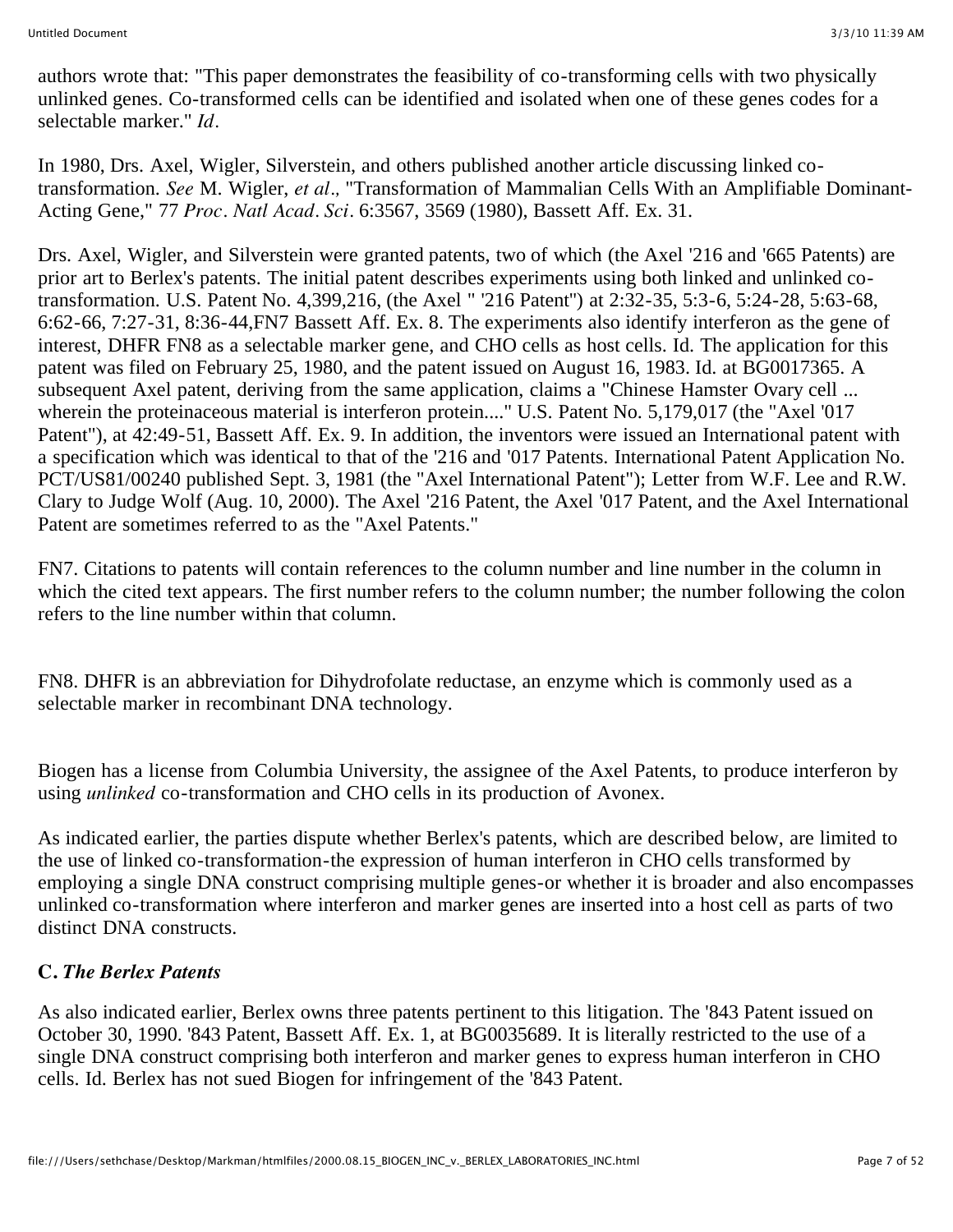authors wrote that: "This paper demonstrates the feasibility of co-transforming cells with two physically unlinked genes. Co-transformed cells can be identified and isolated when one of these genes codes for a selectable marker." *Id.*

In 1980, Drs. Axel, Wigler, Silverstein, and others published another article discussing linked cotransformation. *See* M. Wigler, *et al.,* "Transformation of Mammalian Cells With an Amplifiable Dominant-Acting Gene," 77 *Proc. Natl Acad. Sci.* 6:3567, 3569 (1980), Bassett Aff. Ex. 31.

Drs. Axel, Wigler, and Silverstein were granted patents, two of which (the Axel '216 and '665 Patents) are prior art to Berlex's patents. The initial patent describes experiments using both linked and unlinked cotransformation. U.S. Patent No. 4,399,216, (the Axel " '216 Patent'') at 2:32-35, 5:3-6, 5:24-28, 5:63-68, 6:62-66, 7:27-31, 8:36-44,FN7 Bassett Aff. Ex. 8. The experiments also identify interferon as the gene of interest, DHFR FN8 as a selectable marker gene, and CHO cells as host cells. Id. The application for this patent was filed on February 25, 1980, and the patent issued on August 16, 1983. Id. at BG0017365. A subsequent Axel patent, deriving from the same application, claims a "Chinese Hamster Ovary cell ... wherein the proteinaceous material is interferon protein...." U.S. Patent No. 5,179,017 (the "Axel '017 Patent"), at 42:49-51, Bassett Aff. Ex. 9. In addition, the inventors were issued an International patent with a specification which was identical to that of the '216 and '017 Patents. International Patent Application No. PCT/US81/00240 published Sept. 3, 1981 (the "Axel International Patent"); Letter from W.F. Lee and R.W. Clary to Judge Wolf (Aug. 10, 2000). The Axel '216 Patent, the Axel '017 Patent, and the Axel International Patent are sometimes referred to as the "Axel Patents."

FN7. Citations to patents will contain references to the column number and line number in the column in which the cited text appears. The first number refers to the column number; the number following the colon refers to the line number within that column.

FN8. DHFR is an abbreviation for Dihydrofolate reductase, an enzyme which is commonly used as a selectable marker in recombinant DNA technology.

Biogen has a license from Columbia University, the assignee of the Axel Patents, to produce interferon by using *unlinked* co-transformation and CHO cells in its production of Avonex.

As indicated earlier, the parties dispute whether Berlex's patents, which are described below, are limited to the use of linked co-transformation-the expression of human interferon in CHO cells transformed by employing a single DNA construct comprising multiple genes-or whether it is broader and also encompasses unlinked co-transformation where interferon and marker genes are inserted into a host cell as parts of two distinct DNA constructs.

#### **C.** *The Berlex Patents*

As also indicated earlier, Berlex owns three patents pertinent to this litigation. The '843 Patent issued on October 30, 1990. '843 Patent, Bassett Aff. Ex. 1, at BG0035689. It is literally restricted to the use of a single DNA construct comprising both interferon and marker genes to express human interferon in CHO cells. Id. Berlex has not sued Biogen for infringement of the '843 Patent.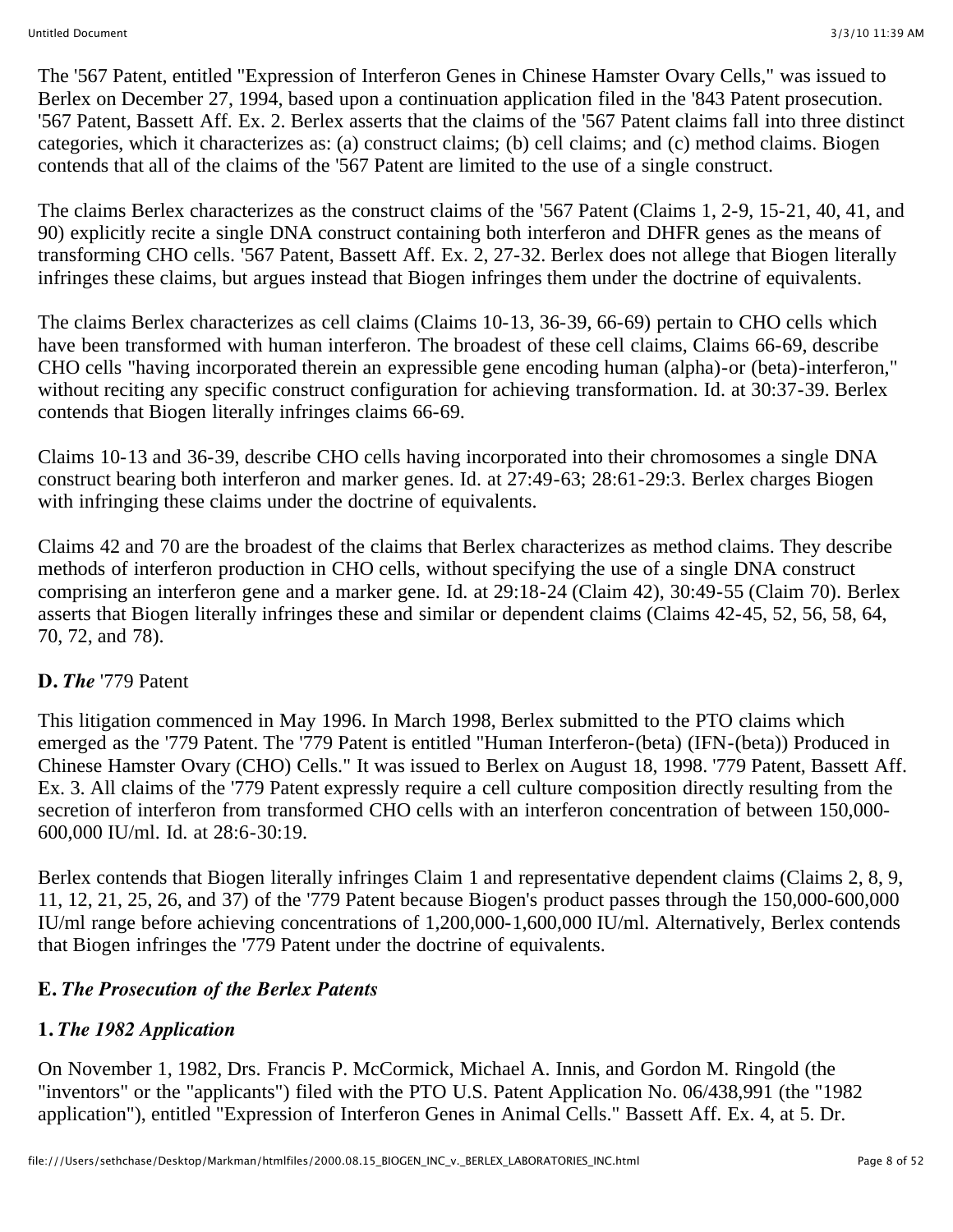The '567 Patent, entitled "Expression of Interferon Genes in Chinese Hamster Ovary Cells," was issued to Berlex on December 27, 1994, based upon a continuation application filed in the '843 Patent prosecution. '567 Patent, Bassett Aff. Ex. 2. Berlex asserts that the claims of the '567 Patent claims fall into three distinct categories, which it characterizes as: (a) construct claims; (b) cell claims; and (c) method claims. Biogen contends that all of the claims of the '567 Patent are limited to the use of a single construct.

The claims Berlex characterizes as the construct claims of the '567 Patent (Claims 1, 2-9, 15-21, 40, 41, and 90) explicitly recite a single DNA construct containing both interferon and DHFR genes as the means of transforming CHO cells. '567 Patent, Bassett Aff. Ex. 2, 27-32. Berlex does not allege that Biogen literally infringes these claims, but argues instead that Biogen infringes them under the doctrine of equivalents.

The claims Berlex characterizes as cell claims (Claims 10-13, 36-39, 66-69) pertain to CHO cells which have been transformed with human interferon. The broadest of these cell claims, Claims 66-69, describe CHO cells "having incorporated therein an expressible gene encoding human (alpha)-or (beta)-interferon," without reciting any specific construct configuration for achieving transformation. Id. at 30:37-39. Berlex contends that Biogen literally infringes claims 66-69.

Claims 10-13 and 36-39, describe CHO cells having incorporated into their chromosomes a single DNA construct bearing both interferon and marker genes. Id. at 27:49-63; 28:61-29:3. Berlex charges Biogen with infringing these claims under the doctrine of equivalents.

Claims 42 and 70 are the broadest of the claims that Berlex characterizes as method claims. They describe methods of interferon production in CHO cells, without specifying the use of a single DNA construct comprising an interferon gene and a marker gene. Id. at 29:18-24 (Claim 42), 30:49-55 (Claim 70). Berlex asserts that Biogen literally infringes these and similar or dependent claims (Claims 42-45, 52, 56, 58, 64, 70, 72, and 78).

### **D.** *The* '779 Patent

This litigation commenced in May 1996. In March 1998, Berlex submitted to the PTO claims which emerged as the '779 Patent. The '779 Patent is entitled "Human Interferon-(beta) (IFN-(beta)) Produced in Chinese Hamster Ovary (CHO) Cells." It was issued to Berlex on August 18, 1998. '779 Patent, Bassett Aff. Ex. 3. All claims of the '779 Patent expressly require a cell culture composition directly resulting from the secretion of interferon from transformed CHO cells with an interferon concentration of between 150,000- 600,000 IU/ml. Id. at 28:6-30:19.

Berlex contends that Biogen literally infringes Claim 1 and representative dependent claims (Claims 2, 8, 9, 11, 12, 21, 25, 26, and 37) of the '779 Patent because Biogen's product passes through the 150,000-600,000 IU/ml range before achieving concentrations of 1,200,000-1,600,000 IU/ml. Alternatively, Berlex contends that Biogen infringes the '779 Patent under the doctrine of equivalents.

### **E.** *The Prosecution of the Berlex Patents*

# **1.** *The 1982 Application*

On November 1, 1982, Drs. Francis P. McCormick, Michael A. Innis, and Gordon M. Ringold (the "inventors" or the "applicants") filed with the PTO U.S. Patent Application No. 06/438,991 (the "1982 application"), entitled "Expression of Interferon Genes in Animal Cells." Bassett Aff. Ex. 4, at 5. Dr.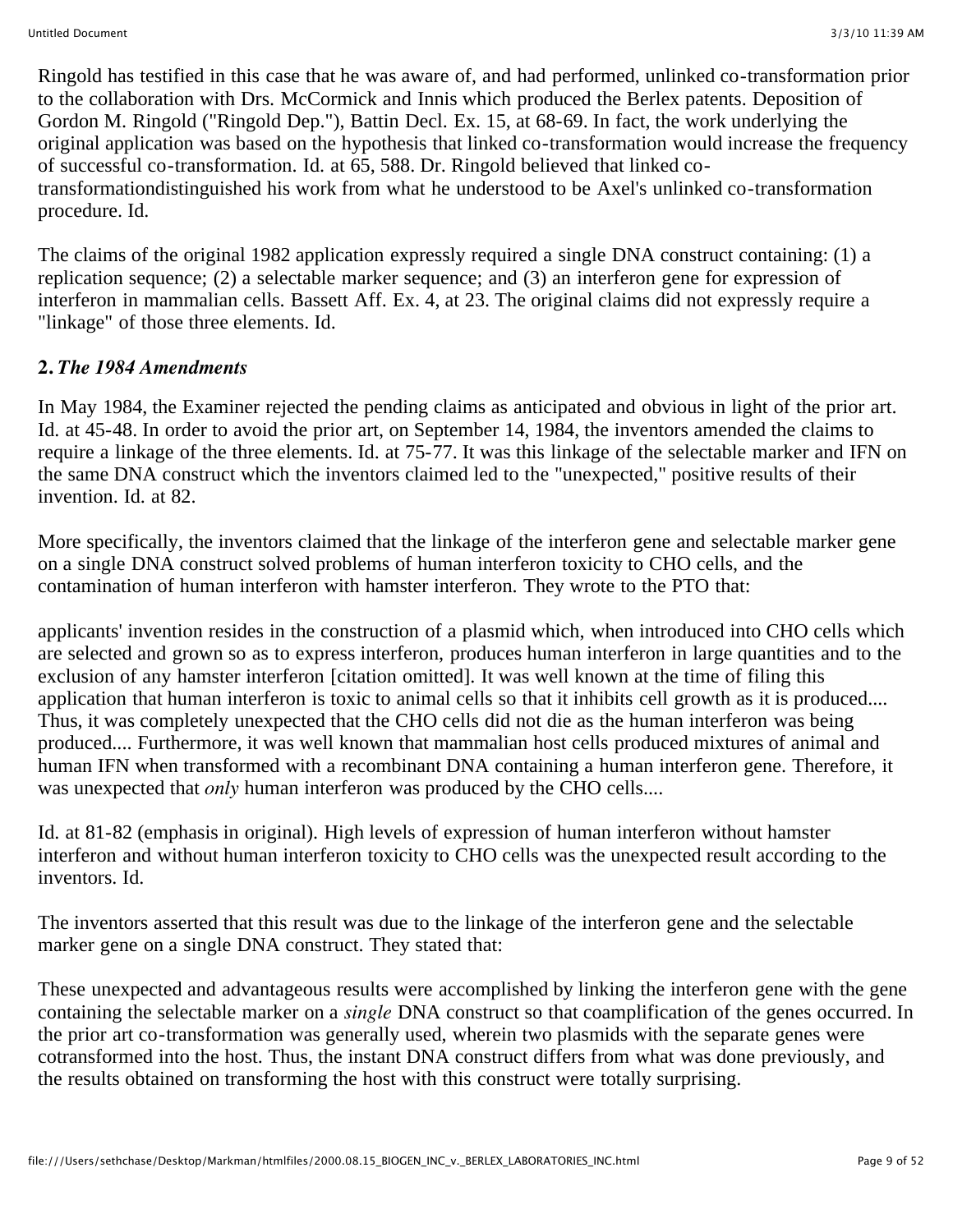Ringold has testified in this case that he was aware of, and had performed, unlinked co-transformation prior to the collaboration with Drs. McCormick and Innis which produced the Berlex patents. Deposition of Gordon M. Ringold ("Ringold Dep."), Battin Decl. Ex. 15, at 68-69. In fact, the work underlying the original application was based on the hypothesis that linked co-transformation would increase the frequency of successful co-transformation. Id. at 65, 588. Dr. Ringold believed that linked cotransformationdistinguished his work from what he understood to be Axel's unlinked co-transformation procedure. Id.

The claims of the original 1982 application expressly required a single DNA construct containing: (1) a replication sequence; (2) a selectable marker sequence; and (3) an interferon gene for expression of interferon in mammalian cells. Bassett Aff. Ex. 4, at 23. The original claims did not expressly require a "linkage" of those three elements. Id.

## **2.** *The 1984 Amendments*

In May 1984, the Examiner rejected the pending claims as anticipated and obvious in light of the prior art. Id. at 45-48. In order to avoid the prior art, on September 14, 1984, the inventors amended the claims to require a linkage of the three elements. Id. at 75-77. It was this linkage of the selectable marker and IFN on the same DNA construct which the inventors claimed led to the "unexpected," positive results of their invention. Id. at 82.

More specifically, the inventors claimed that the linkage of the interferon gene and selectable marker gene on a single DNA construct solved problems of human interferon toxicity to CHO cells, and the contamination of human interferon with hamster interferon. They wrote to the PTO that:

applicants' invention resides in the construction of a plasmid which, when introduced into CHO cells which are selected and grown so as to express interferon, produces human interferon in large quantities and to the exclusion of any hamster interferon [citation omitted]. It was well known at the time of filing this application that human interferon is toxic to animal cells so that it inhibits cell growth as it is produced.... Thus, it was completely unexpected that the CHO cells did not die as the human interferon was being produced.... Furthermore, it was well known that mammalian host cells produced mixtures of animal and human IFN when transformed with a recombinant DNA containing a human interferon gene. Therefore, it was unexpected that *only* human interferon was produced by the CHO cells....

Id. at 81-82 (emphasis in original). High levels of expression of human interferon without hamster interferon and without human interferon toxicity to CHO cells was the unexpected result according to the inventors. Id.

The inventors asserted that this result was due to the linkage of the interferon gene and the selectable marker gene on a single DNA construct. They stated that:

These unexpected and advantageous results were accomplished by linking the interferon gene with the gene containing the selectable marker on a *single* DNA construct so that coamplification of the genes occurred. In the prior art co-transformation was generally used, wherein two plasmids with the separate genes were cotransformed into the host. Thus, the instant DNA construct differs from what was done previously, and the results obtained on transforming the host with this construct were totally surprising.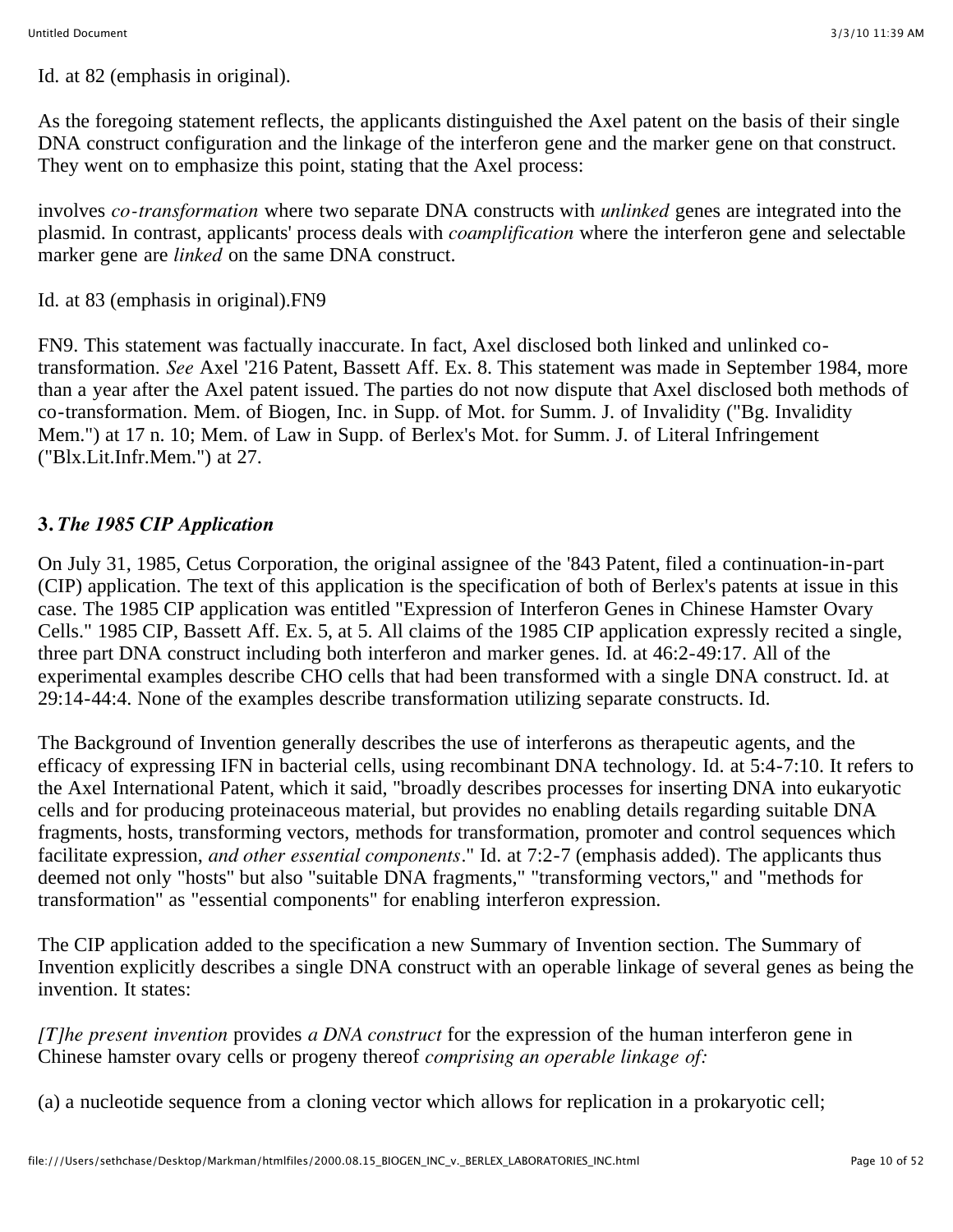Id. at 82 (emphasis in original).

As the foregoing statement reflects, the applicants distinguished the Axel patent on the basis of their single DNA construct configuration and the linkage of the interferon gene and the marker gene on that construct. They went on to emphasize this point, stating that the Axel process:

involves *co-transformation* where two separate DNA constructs with *unlinked* genes are integrated into the plasmid. In contrast, applicants' process deals with *coamplification* where the interferon gene and selectable marker gene are *linked* on the same DNA construct.

Id. at 83 (emphasis in original).FN9

FN9. This statement was factually inaccurate. In fact, Axel disclosed both linked and unlinked cotransformation. *See* Axel '216 Patent, Bassett Aff. Ex. 8. This statement was made in September 1984, more than a year after the Axel patent issued. The parties do not now dispute that Axel disclosed both methods of co-transformation. Mem. of Biogen, Inc. in Supp. of Mot. for Summ. J. of Invalidity ("Bg. Invalidity Mem.") at 17 n. 10; Mem. of Law in Supp. of Berlex's Mot. for Summ. J. of Literal Infringement ("Blx.Lit.Infr.Mem.") at 27.

## **3.** *The 1985 CIP Application*

On July 31, 1985, Cetus Corporation, the original assignee of the '843 Patent, filed a continuation-in-part (CIP) application. The text of this application is the specification of both of Berlex's patents at issue in this case. The 1985 CIP application was entitled "Expression of Interferon Genes in Chinese Hamster Ovary Cells." 1985 CIP, Bassett Aff. Ex. 5, at 5. All claims of the 1985 CIP application expressly recited a single, three part DNA construct including both interferon and marker genes. Id. at 46:2-49:17. All of the experimental examples describe CHO cells that had been transformed with a single DNA construct. Id. at 29:14-44:4. None of the examples describe transformation utilizing separate constructs. Id.

The Background of Invention generally describes the use of interferons as therapeutic agents, and the efficacy of expressing IFN in bacterial cells, using recombinant DNA technology. Id. at 5:4-7:10. It refers to the Axel International Patent, which it said, "broadly describes processes for inserting DNA into eukaryotic cells and for producing proteinaceous material, but provides no enabling details regarding suitable DNA fragments, hosts, transforming vectors, methods for transformation, promoter and control sequences which facilitate expression, *and other essential components.*" Id. at 7:2-7 (emphasis added). The applicants thus deemed not only "hosts" but also "suitable DNA fragments," "transforming vectors," and "methods for transformation" as "essential components" for enabling interferon expression.

The CIP application added to the specification a new Summary of Invention section. The Summary of Invention explicitly describes a single DNA construct with an operable linkage of several genes as being the invention. It states:

*[T]he present invention* provides *a DNA construct* for the expression of the human interferon gene in Chinese hamster ovary cells or progeny thereof *comprising an operable linkage of:*

(a) a nucleotide sequence from a cloning vector which allows for replication in a prokaryotic cell;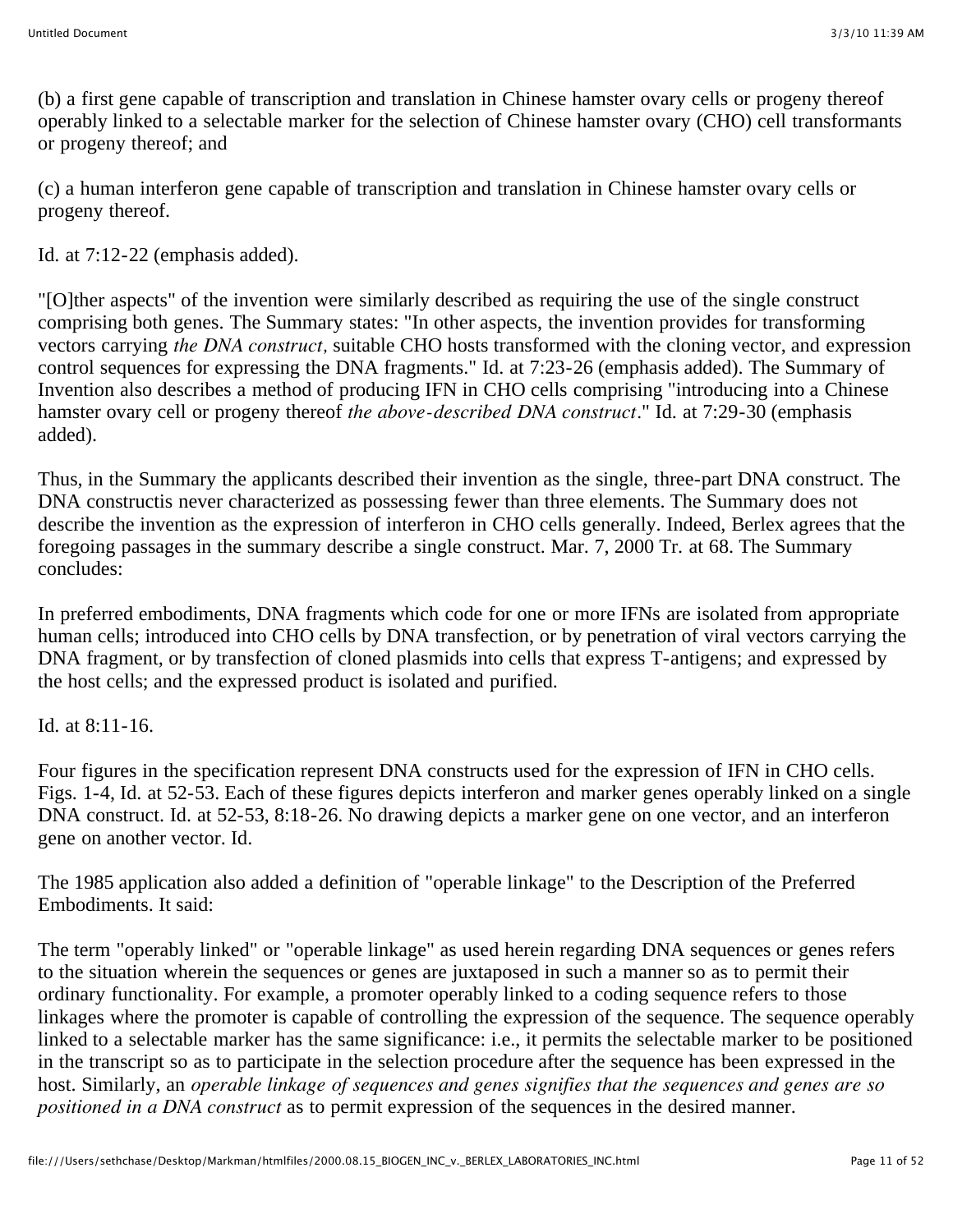(b) a first gene capable of transcription and translation in Chinese hamster ovary cells or progeny thereof operably linked to a selectable marker for the selection of Chinese hamster ovary (CHO) cell transformants or progeny thereof; and

(c) a human interferon gene capable of transcription and translation in Chinese hamster ovary cells or progeny thereof.

Id. at 7:12-22 (emphasis added).

"[O]ther aspects" of the invention were similarly described as requiring the use of the single construct comprising both genes. The Summary states: "In other aspects, the invention provides for transforming vectors carrying *the DNA construct,* suitable CHO hosts transformed with the cloning vector, and expression control sequences for expressing the DNA fragments." Id. at 7:23-26 (emphasis added). The Summary of Invention also describes a method of producing IFN in CHO cells comprising "introducing into a Chinese hamster ovary cell or progeny thereof *the above-described DNA construct.*" Id. at 7:29-30 (emphasis added).

Thus, in the Summary the applicants described their invention as the single, three-part DNA construct. The DNA constructis never characterized as possessing fewer than three elements. The Summary does not describe the invention as the expression of interferon in CHO cells generally. Indeed, Berlex agrees that the foregoing passages in the summary describe a single construct. Mar. 7, 2000 Tr. at 68. The Summary concludes:

In preferred embodiments, DNA fragments which code for one or more IFNs are isolated from appropriate human cells; introduced into CHO cells by DNA transfection, or by penetration of viral vectors carrying the DNA fragment, or by transfection of cloned plasmids into cells that express T-antigens; and expressed by the host cells; and the expressed product is isolated and purified.

Id. at 8:11-16.

Four figures in the specification represent DNA constructs used for the expression of IFN in CHO cells. Figs. 1-4, Id. at 52-53. Each of these figures depicts interferon and marker genes operably linked on a single DNA construct. Id. at 52-53, 8:18-26. No drawing depicts a marker gene on one vector, and an interferon gene on another vector. Id.

The 1985 application also added a definition of "operable linkage" to the Description of the Preferred Embodiments. It said:

The term "operably linked" or "operable linkage" as used herein regarding DNA sequences or genes refers to the situation wherein the sequences or genes are juxtaposed in such a manner so as to permit their ordinary functionality. For example, a promoter operably linked to a coding sequence refers to those linkages where the promoter is capable of controlling the expression of the sequence. The sequence operably linked to a selectable marker has the same significance: i.e., it permits the selectable marker to be positioned in the transcript so as to participate in the selection procedure after the sequence has been expressed in the host. Similarly, an *operable linkage of sequences and genes signifies that the sequences and genes are so positioned in a DNA construct* as to permit expression of the sequences in the desired manner.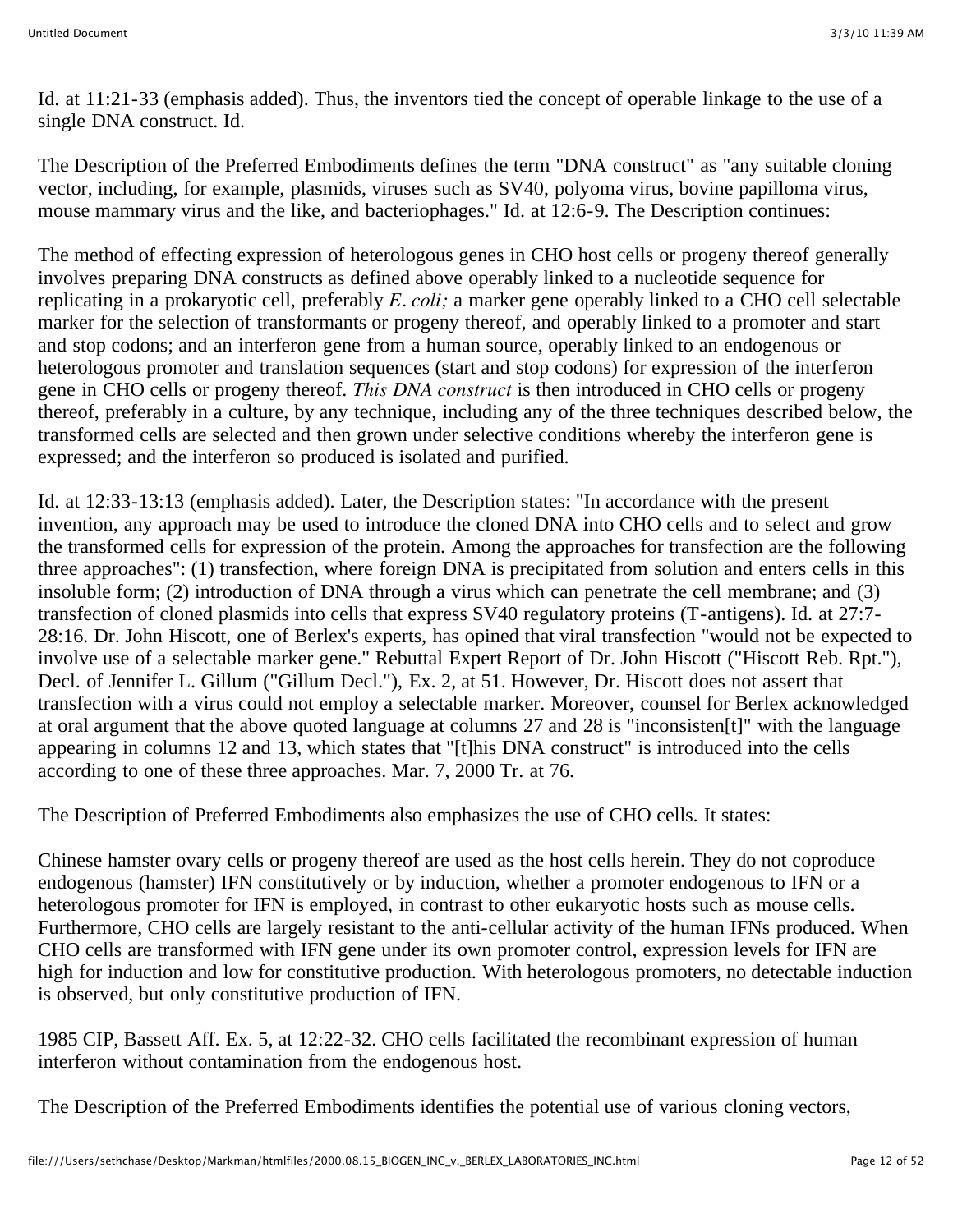Id. at 11:21-33 (emphasis added). Thus, the inventors tied the concept of operable linkage to the use of a single DNA construct. Id.

The Description of the Preferred Embodiments defines the term "DNA construct" as "any suitable cloning vector, including, for example, plasmids, viruses such as SV40, polyoma virus, bovine papilloma virus, mouse mammary virus and the like, and bacteriophages." Id. at 12:6-9. The Description continues:

The method of effecting expression of heterologous genes in CHO host cells or progeny thereof generally involves preparing DNA constructs as defined above operably linked to a nucleotide sequence for replicating in a prokaryotic cell, preferably *E. coli;* a marker gene operably linked to a CHO cell selectable marker for the selection of transformants or progeny thereof, and operably linked to a promoter and start and stop codons; and an interferon gene from a human source, operably linked to an endogenous or heterologous promoter and translation sequences (start and stop codons) for expression of the interferon gene in CHO cells or progeny thereof. *This DNA construct* is then introduced in CHO cells or progeny thereof, preferably in a culture, by any technique, including any of the three techniques described below, the transformed cells are selected and then grown under selective conditions whereby the interferon gene is expressed; and the interferon so produced is isolated and purified.

Id. at 12:33-13:13 (emphasis added). Later, the Description states: "In accordance with the present invention, any approach may be used to introduce the cloned DNA into CHO cells and to select and grow the transformed cells for expression of the protein. Among the approaches for transfection are the following three approaches": (1) transfection, where foreign DNA is precipitated from solution and enters cells in this insoluble form; (2) introduction of DNA through a virus which can penetrate the cell membrane; and (3) transfection of cloned plasmids into cells that express SV40 regulatory proteins (T-antigens). Id. at 27:7- 28:16. Dr. John Hiscott, one of Berlex's experts, has opined that viral transfection "would not be expected to involve use of a selectable marker gene." Rebuttal Expert Report of Dr. John Hiscott ("Hiscott Reb. Rpt."), Decl. of Jennifer L. Gillum ("Gillum Decl."), Ex. 2, at 51. However, Dr. Hiscott does not assert that transfection with a virus could not employ a selectable marker. Moreover, counsel for Berlex acknowledged at oral argument that the above quoted language at columns 27 and 28 is "inconsisten[t]" with the language appearing in columns 12 and 13, which states that "[t]his DNA construct" is introduced into the cells according to one of these three approaches. Mar. 7, 2000 Tr. at 76.

The Description of Preferred Embodiments also emphasizes the use of CHO cells. It states:

Chinese hamster ovary cells or progeny thereof are used as the host cells herein. They do not coproduce endogenous (hamster) IFN constitutively or by induction, whether a promoter endogenous to IFN or a heterologous promoter for IFN is employed, in contrast to other eukaryotic hosts such as mouse cells. Furthermore, CHO cells are largely resistant to the anti-cellular activity of the human IFNs produced. When CHO cells are transformed with IFN gene under its own promoter control, expression levels for IFN are high for induction and low for constitutive production. With heterologous promoters, no detectable induction is observed, but only constitutive production of IFN.

1985 CIP, Bassett Aff. Ex. 5, at 12:22-32. CHO cells facilitated the recombinant expression of human interferon without contamination from the endogenous host.

The Description of the Preferred Embodiments identifies the potential use of various cloning vectors,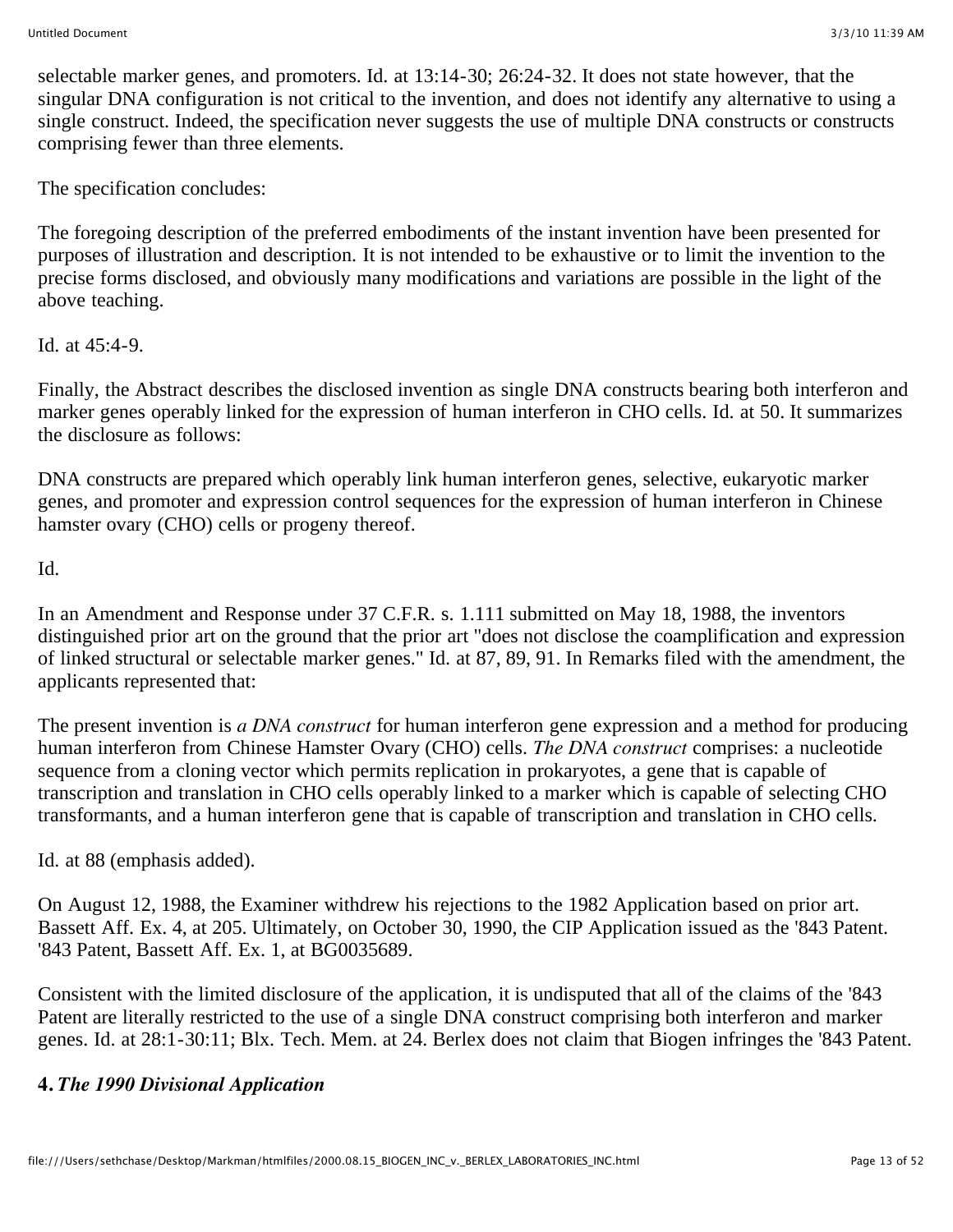selectable marker genes, and promoters. Id. at 13:14-30; 26:24-32. It does not state however, that the singular DNA configuration is not critical to the invention, and does not identify any alternative to using a single construct. Indeed, the specification never suggests the use of multiple DNA constructs or constructs comprising fewer than three elements.

The specification concludes:

The foregoing description of the preferred embodiments of the instant invention have been presented for purposes of illustration and description. It is not intended to be exhaustive or to limit the invention to the precise forms disclosed, and obviously many modifications and variations are possible in the light of the above teaching.

Id. at 45:4-9.

Finally, the Abstract describes the disclosed invention as single DNA constructs bearing both interferon and marker genes operably linked for the expression of human interferon in CHO cells. Id. at 50. It summarizes the disclosure as follows:

DNA constructs are prepared which operably link human interferon genes, selective, eukaryotic marker genes, and promoter and expression control sequences for the expression of human interferon in Chinese hamster ovary (CHO) cells or progeny thereof.

Id.

In an Amendment and Response under 37 C.F.R. s. 1.111 submitted on May 18, 1988, the inventors distinguished prior art on the ground that the prior art "does not disclose the coamplification and expression of linked structural or selectable marker genes." Id. at 87, 89, 91. In Remarks filed with the amendment, the applicants represented that:

The present invention is *a DNA construct* for human interferon gene expression and a method for producing human interferon from Chinese Hamster Ovary (CHO) cells. *The DNA construct* comprises: a nucleotide sequence from a cloning vector which permits replication in prokaryotes, a gene that is capable of transcription and translation in CHO cells operably linked to a marker which is capable of selecting CHO transformants, and a human interferon gene that is capable of transcription and translation in CHO cells.

Id. at 88 (emphasis added).

On August 12, 1988, the Examiner withdrew his rejections to the 1982 Application based on prior art. Bassett Aff. Ex. 4, at 205. Ultimately, on October 30, 1990, the CIP Application issued as the '843 Patent. '843 Patent, Bassett Aff. Ex. 1, at BG0035689.

Consistent with the limited disclosure of the application, it is undisputed that all of the claims of the '843 Patent are literally restricted to the use of a single DNA construct comprising both interferon and marker genes. Id. at 28:1-30:11; Blx. Tech. Mem. at 24. Berlex does not claim that Biogen infringes the '843 Patent.

# **4.** *The 1990 Divisional Application*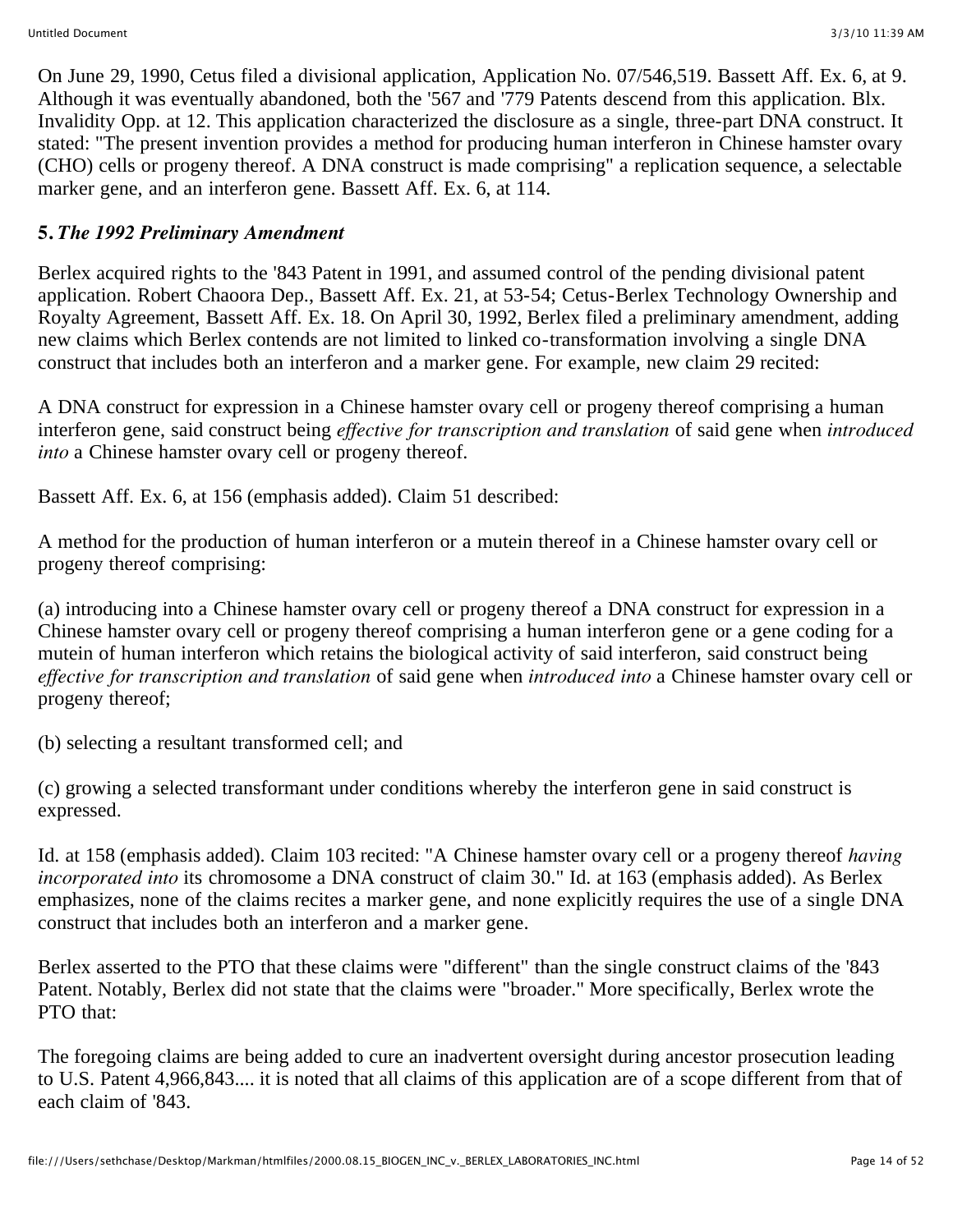On June 29, 1990, Cetus filed a divisional application, Application No. 07/546,519. Bassett Aff. Ex. 6, at 9. Although it was eventually abandoned, both the '567 and '779 Patents descend from this application. Blx. Invalidity Opp. at 12. This application characterized the disclosure as a single, three-part DNA construct. It stated: "The present invention provides a method for producing human interferon in Chinese hamster ovary (CHO) cells or progeny thereof. A DNA construct is made comprising" a replication sequence, a selectable marker gene, and an interferon gene. Bassett Aff. Ex. 6, at 114.

### **5.** *The 1992 Preliminary Amendment*

Berlex acquired rights to the '843 Patent in 1991, and assumed control of the pending divisional patent application. Robert Chaoora Dep., Bassett Aff. Ex. 21, at 53-54; Cetus-Berlex Technology Ownership and Royalty Agreement, Bassett Aff. Ex. 18. On April 30, 1992, Berlex filed a preliminary amendment, adding new claims which Berlex contends are not limited to linked co-transformation involving a single DNA construct that includes both an interferon and a marker gene. For example, new claim 29 recited:

A DNA construct for expression in a Chinese hamster ovary cell or progeny thereof comprising a human interferon gene, said construct being *effective for transcription and translation* of said gene when *introduced into* a Chinese hamster ovary cell or progeny thereof.

Bassett Aff. Ex. 6, at 156 (emphasis added). Claim 51 described:

A method for the production of human interferon or a mutein thereof in a Chinese hamster ovary cell or progeny thereof comprising:

(a) introducing into a Chinese hamster ovary cell or progeny thereof a DNA construct for expression in a Chinese hamster ovary cell or progeny thereof comprising a human interferon gene or a gene coding for a mutein of human interferon which retains the biological activity of said interferon, said construct being *effective for transcription and translation* of said gene when *introduced into* a Chinese hamster ovary cell or progeny thereof;

(b) selecting a resultant transformed cell; and

(c) growing a selected transformant under conditions whereby the interferon gene in said construct is expressed.

Id. at 158 (emphasis added). Claim 103 recited: "A Chinese hamster ovary cell or a progeny thereof *having incorporated into* its chromosome a DNA construct of claim 30." Id. at 163 (emphasis added). As Berlex emphasizes, none of the claims recites a marker gene, and none explicitly requires the use of a single DNA construct that includes both an interferon and a marker gene.

Berlex asserted to the PTO that these claims were "different" than the single construct claims of the '843 Patent. Notably, Berlex did not state that the claims were "broader." More specifically, Berlex wrote the PTO that:

The foregoing claims are being added to cure an inadvertent oversight during ancestor prosecution leading to U.S. Patent 4,966,843.... it is noted that all claims of this application are of a scope different from that of each claim of '843.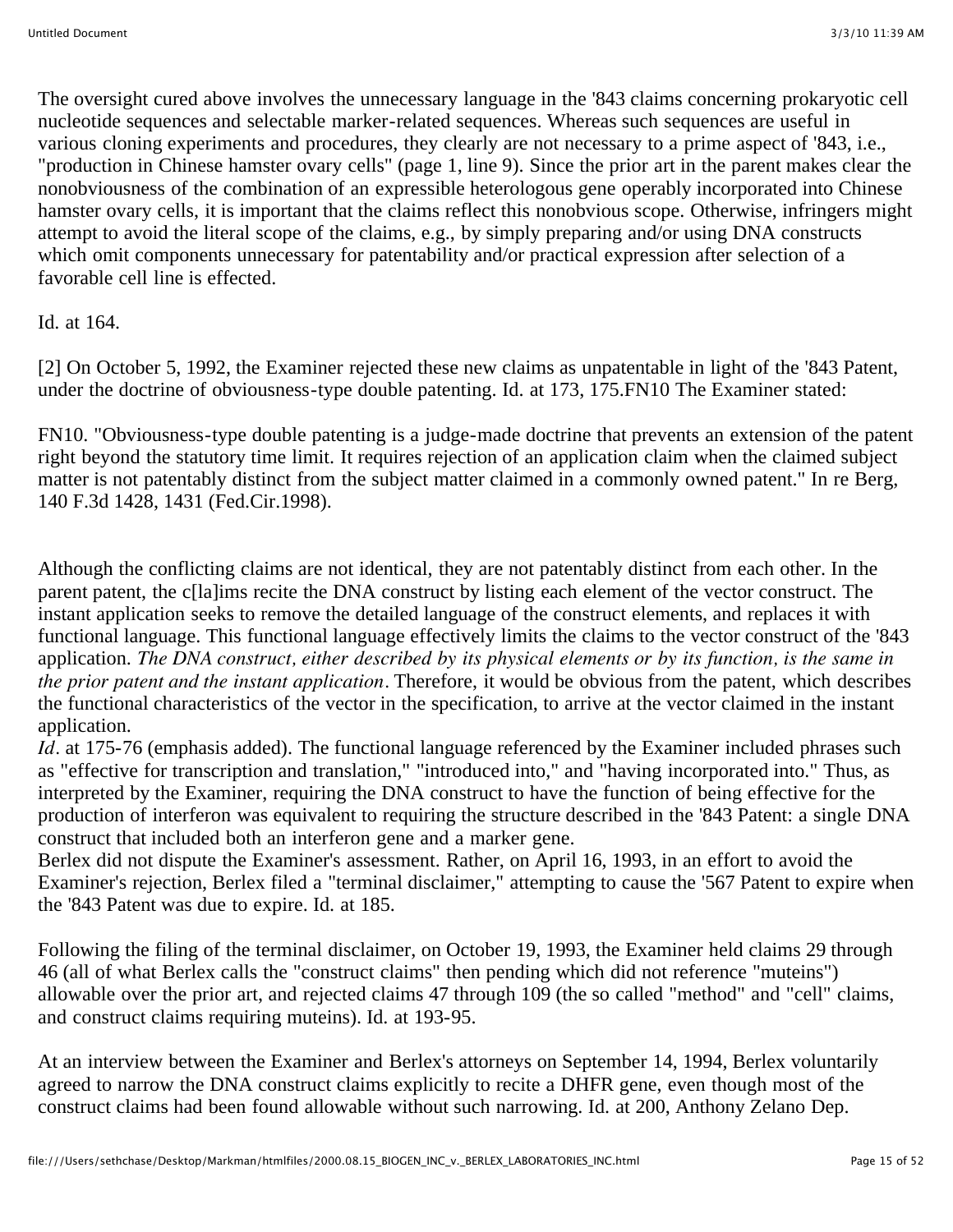The oversight cured above involves the unnecessary language in the '843 claims concerning prokaryotic cell nucleotide sequences and selectable marker-related sequences. Whereas such sequences are useful in various cloning experiments and procedures, they clearly are not necessary to a prime aspect of '843, i.e., "production in Chinese hamster ovary cells" (page 1, line 9). Since the prior art in the parent makes clear the nonobviousness of the combination of an expressible heterologous gene operably incorporated into Chinese hamster ovary cells, it is important that the claims reflect this nonobvious scope. Otherwise, infringers might attempt to avoid the literal scope of the claims, e.g., by simply preparing and/or using DNA constructs which omit components unnecessary for patentability and/or practical expression after selection of a favorable cell line is effected.

Id. at 164.

[2] On October 5, 1992, the Examiner rejected these new claims as unpatentable in light of the '843 Patent, under the doctrine of obviousness-type double patenting. Id. at 173, 175.FN10 The Examiner stated:

FN10. "Obviousness-type double patenting is a judge-made doctrine that prevents an extension of the patent right beyond the statutory time limit. It requires rejection of an application claim when the claimed subject matter is not patentably distinct from the subject matter claimed in a commonly owned patent." In re Berg, 140 F.3d 1428, 1431 (Fed.Cir.1998).

Although the conflicting claims are not identical, they are not patentably distinct from each other. In the parent patent, the c[la]ims recite the DNA construct by listing each element of the vector construct. The instant application seeks to remove the detailed language of the construct elements, and replaces it with functional language. This functional language effectively limits the claims to the vector construct of the '843 application. *The DNA construct, either described by its physical elements or by its function, is the same in the prior patent and the instant application.* Therefore, it would be obvious from the patent, which describes the functional characteristics of the vector in the specification, to arrive at the vector claimed in the instant application.

*Id.* at 175-76 (emphasis added). The functional language referenced by the Examiner included phrases such as "effective for transcription and translation," "introduced into," and "having incorporated into." Thus, as interpreted by the Examiner, requiring the DNA construct to have the function of being effective for the production of interferon was equivalent to requiring the structure described in the '843 Patent: a single DNA construct that included both an interferon gene and a marker gene.

Berlex did not dispute the Examiner's assessment. Rather, on April 16, 1993, in an effort to avoid the Examiner's rejection, Berlex filed a "terminal disclaimer," attempting to cause the '567 Patent to expire when the '843 Patent was due to expire. Id. at 185.

Following the filing of the terminal disclaimer, on October 19, 1993, the Examiner held claims 29 through 46 (all of what Berlex calls the "construct claims" then pending which did not reference "muteins") allowable over the prior art, and rejected claims 47 through 109 (the so called "method" and "cell" claims, and construct claims requiring muteins). Id. at 193-95.

At an interview between the Examiner and Berlex's attorneys on September 14, 1994, Berlex voluntarily agreed to narrow the DNA construct claims explicitly to recite a DHFR gene, even though most of the construct claims had been found allowable without such narrowing. Id. at 200, Anthony Zelano Dep.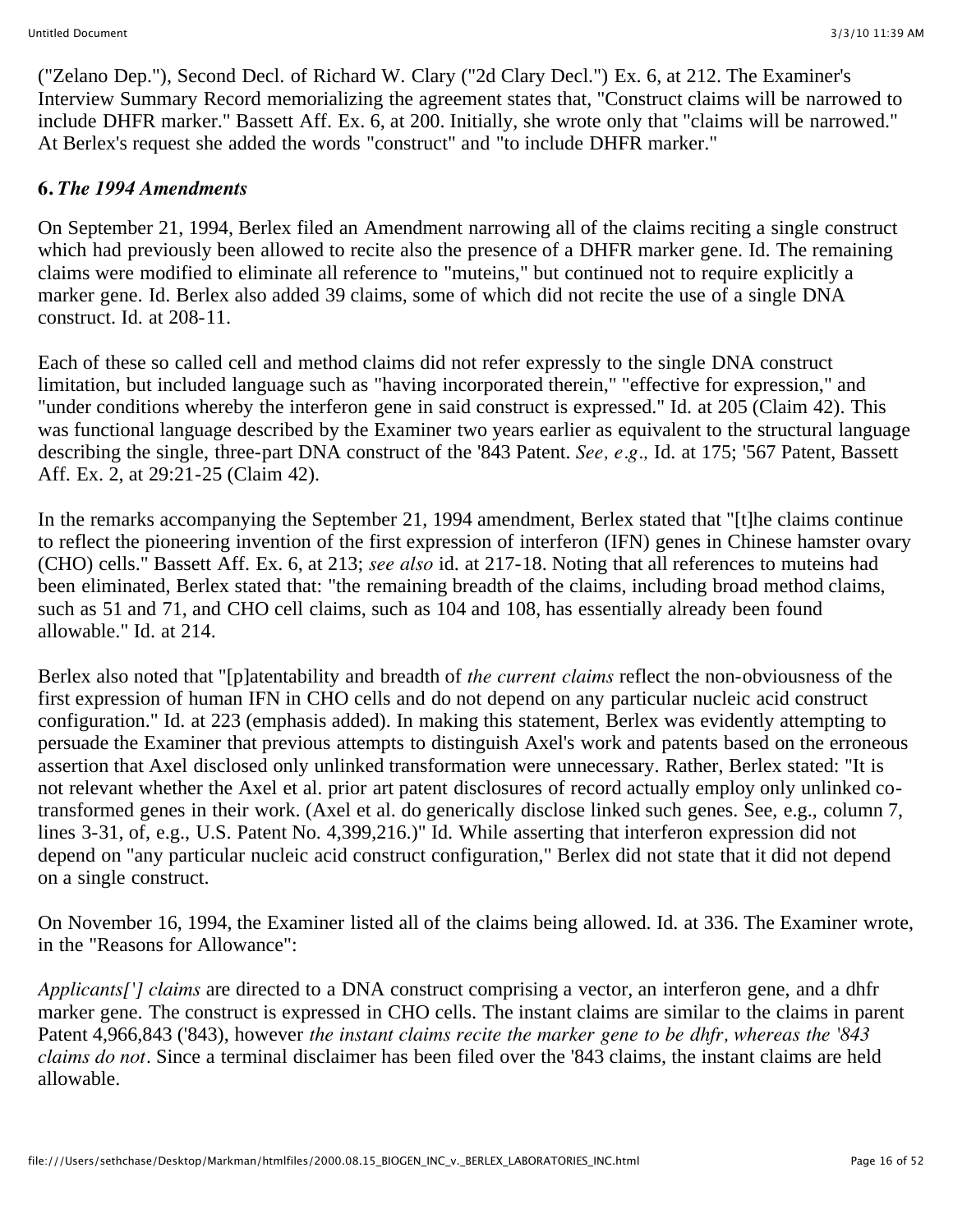("Zelano Dep."), Second Decl. of Richard W. Clary ("2d Clary Decl.") Ex. 6, at 212. The Examiner's Interview Summary Record memorializing the agreement states that, "Construct claims will be narrowed to include DHFR marker." Bassett Aff. Ex. 6, at 200. Initially, she wrote only that "claims will be narrowed." At Berlex's request she added the words "construct" and "to include DHFR marker."

## **6.** *The 1994 Amendments*

On September 21, 1994, Berlex filed an Amendment narrowing all of the claims reciting a single construct which had previously been allowed to recite also the presence of a DHFR marker gene. Id. The remaining claims were modified to eliminate all reference to "muteins," but continued not to require explicitly a marker gene. Id. Berlex also added 39 claims, some of which did not recite the use of a single DNA construct. Id. at 208-11.

Each of these so called cell and method claims did not refer expressly to the single DNA construct limitation, but included language such as "having incorporated therein," "effective for expression," and "under conditions whereby the interferon gene in said construct is expressed." Id. at 205 (Claim 42). This was functional language described by the Examiner two years earlier as equivalent to the structural language describing the single, three-part DNA construct of the '843 Patent. *See, e.g.,* Id. at 175; '567 Patent, Bassett Aff. Ex. 2, at 29:21-25 (Claim 42).

In the remarks accompanying the September 21, 1994 amendment, Berlex stated that "[t]he claims continue to reflect the pioneering invention of the first expression of interferon (IFN) genes in Chinese hamster ovary (CHO) cells." Bassett Aff. Ex. 6, at 213; *see also* id. at 217-18. Noting that all references to muteins had been eliminated, Berlex stated that: "the remaining breadth of the claims, including broad method claims, such as 51 and 71, and CHO cell claims, such as 104 and 108, has essentially already been found allowable." Id. at 214.

Berlex also noted that "[p]atentability and breadth of *the current claims* reflect the non-obviousness of the first expression of human IFN in CHO cells and do not depend on any particular nucleic acid construct configuration." Id. at 223 (emphasis added). In making this statement, Berlex was evidently attempting to persuade the Examiner that previous attempts to distinguish Axel's work and patents based on the erroneous assertion that Axel disclosed only unlinked transformation were unnecessary. Rather, Berlex stated: "It is not relevant whether the Axel et al. prior art patent disclosures of record actually employ only unlinked cotransformed genes in their work. (Axel et al. do generically disclose linked such genes. See, e.g., column 7, lines 3-31, of, e.g., U.S. Patent No. 4,399,216.)" Id. While asserting that interferon expression did not depend on "any particular nucleic acid construct configuration," Berlex did not state that it did not depend on a single construct.

On November 16, 1994, the Examiner listed all of the claims being allowed. Id. at 336. The Examiner wrote, in the "Reasons for Allowance":

*Applicants['] claims* are directed to a DNA construct comprising a vector, an interferon gene, and a dhfr marker gene. The construct is expressed in CHO cells. The instant claims are similar to the claims in parent Patent 4,966,843 ('843), however *the instant claims recite the marker gene to be dhfr, whereas the '843 claims do not.* Since a terminal disclaimer has been filed over the '843 claims, the instant claims are held allowable.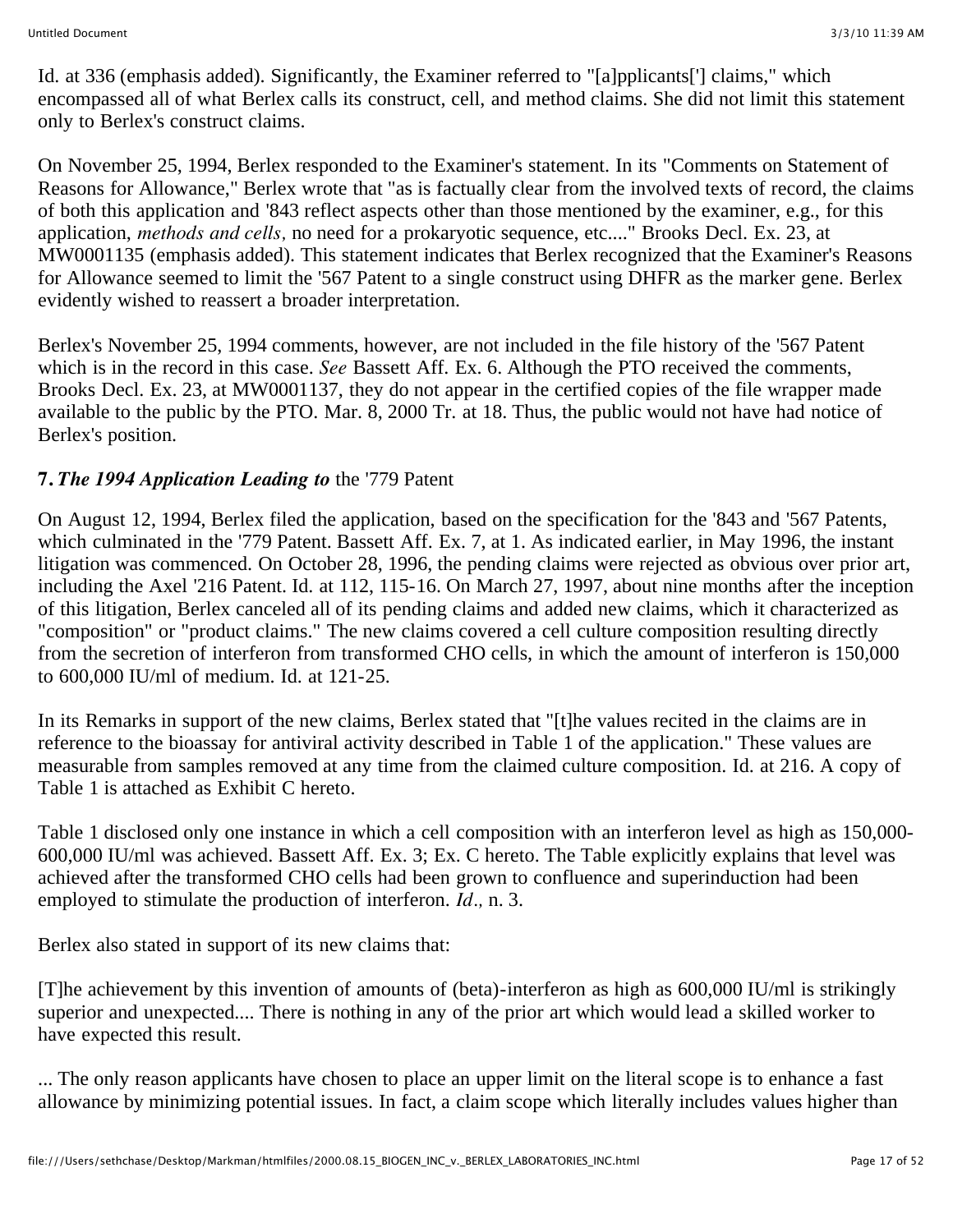Id. at 336 (emphasis added). Significantly, the Examiner referred to "[a]pplicants['] claims," which encompassed all of what Berlex calls its construct, cell, and method claims. She did not limit this statement only to Berlex's construct claims.

On November 25, 1994, Berlex responded to the Examiner's statement. In its "Comments on Statement of Reasons for Allowance," Berlex wrote that "as is factually clear from the involved texts of record, the claims of both this application and '843 reflect aspects other than those mentioned by the examiner, e.g., for this application, *methods and cells,* no need for a prokaryotic sequence, etc...." Brooks Decl. Ex. 23, at MW0001135 (emphasis added). This statement indicates that Berlex recognized that the Examiner's Reasons for Allowance seemed to limit the '567 Patent to a single construct using DHFR as the marker gene. Berlex evidently wished to reassert a broader interpretation.

Berlex's November 25, 1994 comments, however, are not included in the file history of the '567 Patent which is in the record in this case. *See* Bassett Aff. Ex. 6. Although the PTO received the comments, Brooks Decl. Ex. 23, at MW0001137, they do not appear in the certified copies of the file wrapper made available to the public by the PTO. Mar. 8, 2000 Tr. at 18. Thus, the public would not have had notice of Berlex's position.

#### **7.** *The 1994 Application Leading to* the '779 Patent

On August 12, 1994, Berlex filed the application, based on the specification for the '843 and '567 Patents, which culminated in the '779 Patent. Bassett Aff. Ex. 7, at 1. As indicated earlier, in May 1996, the instant litigation was commenced. On October 28, 1996, the pending claims were rejected as obvious over prior art, including the Axel '216 Patent. Id. at 112, 115-16. On March 27, 1997, about nine months after the inception of this litigation, Berlex canceled all of its pending claims and added new claims, which it characterized as "composition" or "product claims." The new claims covered a cell culture composition resulting directly from the secretion of interferon from transformed CHO cells, in which the amount of interferon is 150,000 to 600,000 IU/ml of medium. Id. at 121-25.

In its Remarks in support of the new claims, Berlex stated that "[t]he values recited in the claims are in reference to the bioassay for antiviral activity described in Table 1 of the application." These values are measurable from samples removed at any time from the claimed culture composition. Id. at 216. A copy of Table 1 is attached as Exhibit C hereto.

Table 1 disclosed only one instance in which a cell composition with an interferon level as high as 150,000- 600,000 IU/ml was achieved. Bassett Aff. Ex. 3; Ex. C hereto. The Table explicitly explains that level was achieved after the transformed CHO cells had been grown to confluence and superinduction had been employed to stimulate the production of interferon. *Id.,* n. 3.

Berlex also stated in support of its new claims that:

[T]he achievement by this invention of amounts of (beta)-interferon as high as 600,000 IU/ml is strikingly superior and unexpected.... There is nothing in any of the prior art which would lead a skilled worker to have expected this result.

... The only reason applicants have chosen to place an upper limit on the literal scope is to enhance a fast allowance by minimizing potential issues. In fact, a claim scope which literally includes values higher than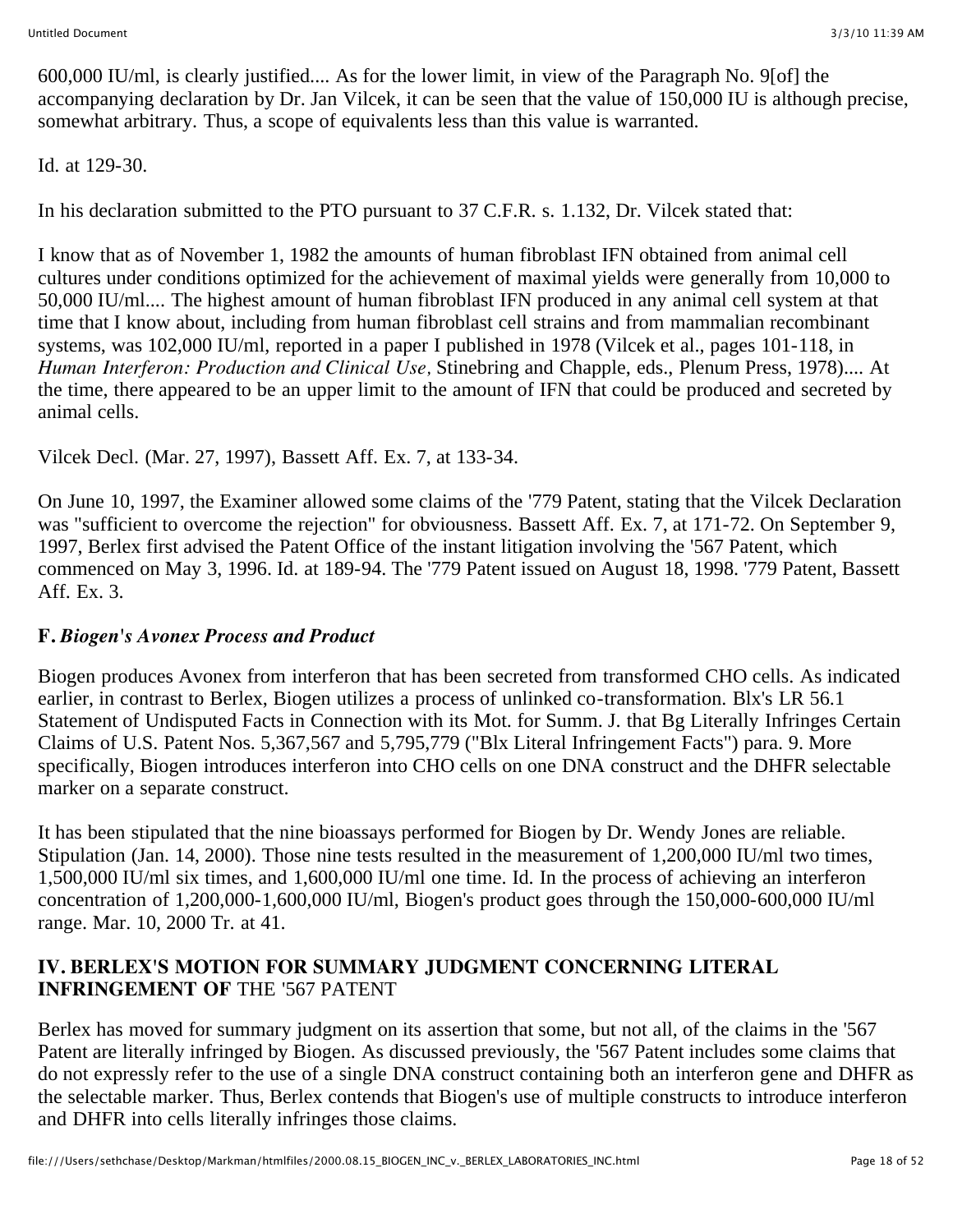600,000 IU/ml, is clearly justified.... As for the lower limit, in view of the Paragraph No. 9[of] the accompanying declaration by Dr. Jan Vilcek, it can be seen that the value of 150,000 IU is although precise, somewhat arbitrary. Thus, a scope of equivalents less than this value is warranted.

Id. at 129-30.

In his declaration submitted to the PTO pursuant to 37 C.F.R. s. 1.132, Dr. Vilcek stated that:

I know that as of November 1, 1982 the amounts of human fibroblast IFN obtained from animal cell cultures under conditions optimized for the achievement of maximal yields were generally from 10,000 to 50,000 IU/ml.... The highest amount of human fibroblast IFN produced in any animal cell system at that time that I know about, including from human fibroblast cell strains and from mammalian recombinant systems, was 102,000 IU/ml, reported in a paper I published in 1978 (Vilcek et al., pages 101-118, in *Human Interferon: Production and Clinical Use,* Stinebring and Chapple, eds., Plenum Press, 1978).... At the time, there appeared to be an upper limit to the amount of IFN that could be produced and secreted by animal cells.

Vilcek Decl. (Mar. 27, 1997), Bassett Aff. Ex. 7, at 133-34.

On June 10, 1997, the Examiner allowed some claims of the '779 Patent, stating that the Vilcek Declaration was "sufficient to overcome the rejection" for obviousness. Bassett Aff. Ex. 7, at 171-72. On September 9, 1997, Berlex first advised the Patent Office of the instant litigation involving the '567 Patent, which commenced on May 3, 1996. Id. at 189-94. The '779 Patent issued on August 18, 1998. '779 Patent, Bassett Aff. Ex. 3.

# **F.** *Biogen's Avonex Process and Product*

Biogen produces Avonex from interferon that has been secreted from transformed CHO cells. As indicated earlier, in contrast to Berlex, Biogen utilizes a process of unlinked co-transformation. Blx's LR 56.1 Statement of Undisputed Facts in Connection with its Mot. for Summ. J. that Bg Literally Infringes Certain Claims of U.S. Patent Nos. 5,367,567 and 5,795,779 ("Blx Literal Infringement Facts") para. 9. More specifically, Biogen introduces interferon into CHO cells on one DNA construct and the DHFR selectable marker on a separate construct.

It has been stipulated that the nine bioassays performed for Biogen by Dr. Wendy Jones are reliable. Stipulation (Jan. 14, 2000). Those nine tests resulted in the measurement of 1,200,000 IU/ml two times, 1,500,000 IU/ml six times, and 1,600,000 IU/ml one time. Id. In the process of achieving an interferon concentration of 1,200,000-1,600,000 IU/ml, Biogen's product goes through the 150,000-600,000 IU/ml range. Mar. 10, 2000 Tr. at 41.

## **IV. BERLEX'S MOTION FOR SUMMARY JUDGMENT CONCERNING LITERAL INFRINGEMENT OF** THE '567 PATENT

Berlex has moved for summary judgment on its assertion that some, but not all, of the claims in the '567 Patent are literally infringed by Biogen. As discussed previously, the '567 Patent includes some claims that do not expressly refer to the use of a single DNA construct containing both an interferon gene and DHFR as the selectable marker. Thus, Berlex contends that Biogen's use of multiple constructs to introduce interferon and DHFR into cells literally infringes those claims.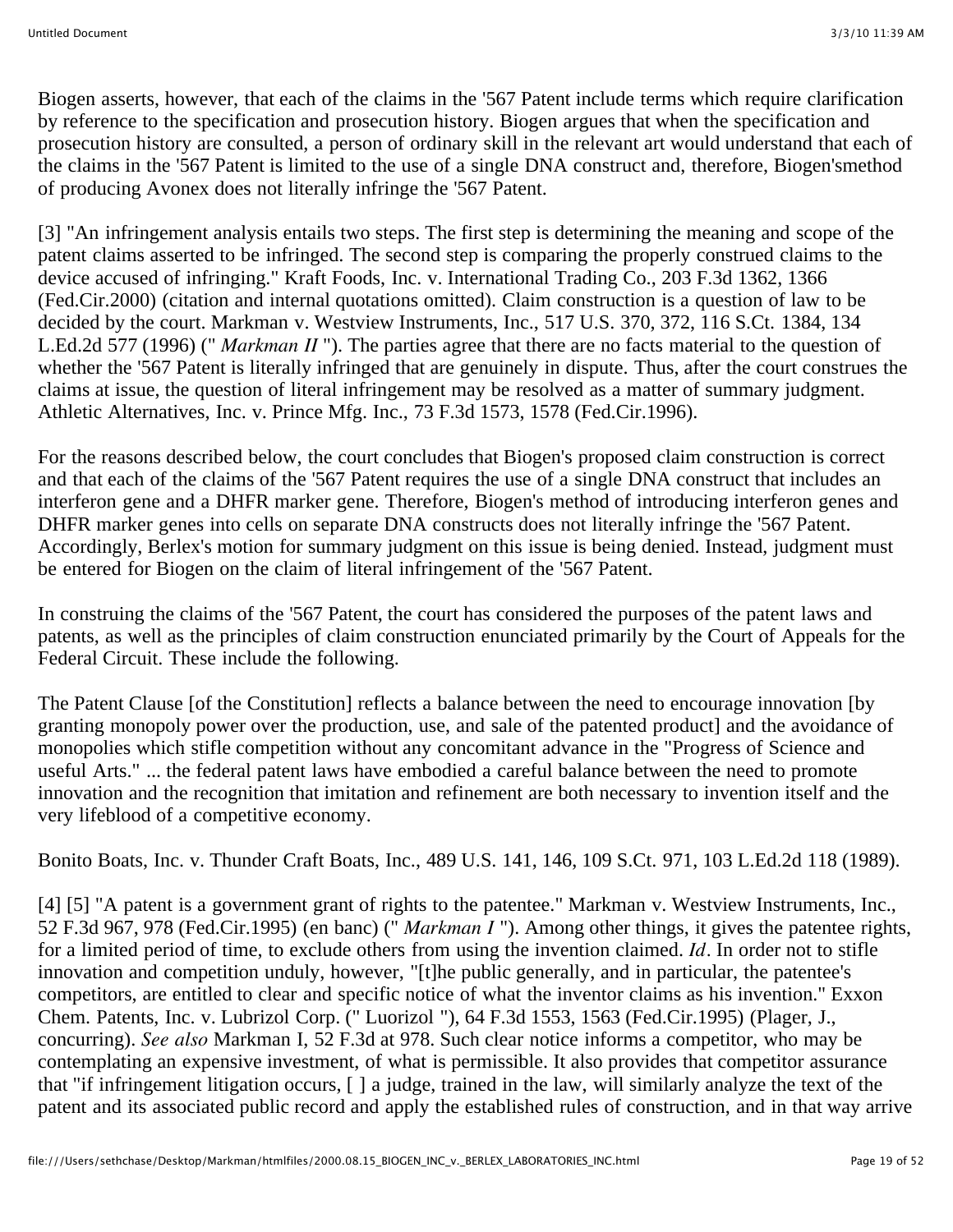Biogen asserts, however, that each of the claims in the '567 Patent include terms which require clarification by reference to the specification and prosecution history. Biogen argues that when the specification and prosecution history are consulted, a person of ordinary skill in the relevant art would understand that each of the claims in the '567 Patent is limited to the use of a single DNA construct and, therefore, Biogen'smethod of producing Avonex does not literally infringe the '567 Patent.

[3] "An infringement analysis entails two steps. The first step is determining the meaning and scope of the patent claims asserted to be infringed. The second step is comparing the properly construed claims to the device accused of infringing." Kraft Foods, Inc. v. International Trading Co., 203 F.3d 1362, 1366 (Fed.Cir.2000) (citation and internal quotations omitted). Claim construction is a question of law to be decided by the court. Markman v. Westview Instruments, Inc., 517 U.S. 370, 372, 116 S.Ct. 1384, 134 L.Ed.2d 577 (1996) (" *Markman II* "). The parties agree that there are no facts material to the question of whether the '567 Patent is literally infringed that are genuinely in dispute. Thus, after the court construes the claims at issue, the question of literal infringement may be resolved as a matter of summary judgment. Athletic Alternatives, Inc. v. Prince Mfg. Inc., 73 F.3d 1573, 1578 (Fed.Cir.1996).

For the reasons described below, the court concludes that Biogen's proposed claim construction is correct and that each of the claims of the '567 Patent requires the use of a single DNA construct that includes an interferon gene and a DHFR marker gene. Therefore, Biogen's method of introducing interferon genes and DHFR marker genes into cells on separate DNA constructs does not literally infringe the '567 Patent. Accordingly, Berlex's motion for summary judgment on this issue is being denied. Instead, judgment must be entered for Biogen on the claim of literal infringement of the '567 Patent.

In construing the claims of the '567 Patent, the court has considered the purposes of the patent laws and patents, as well as the principles of claim construction enunciated primarily by the Court of Appeals for the Federal Circuit. These include the following.

The Patent Clause [of the Constitution] reflects a balance between the need to encourage innovation [by granting monopoly power over the production, use, and sale of the patented product] and the avoidance of monopolies which stifle competition without any concomitant advance in the "Progress of Science and useful Arts." ... the federal patent laws have embodied a careful balance between the need to promote innovation and the recognition that imitation and refinement are both necessary to invention itself and the very lifeblood of a competitive economy.

Bonito Boats, Inc. v. Thunder Craft Boats, Inc., 489 U.S. 141, 146, 109 S.Ct. 971, 103 L.Ed.2d 118 (1989).

[4] [5] "A patent is a government grant of rights to the patentee." Markman v. Westview Instruments, Inc., 52 F.3d 967, 978 (Fed.Cir.1995) (en banc) (" *Markman I* "). Among other things, it gives the patentee rights, for a limited period of time, to exclude others from using the invention claimed. *Id.* In order not to stifle innovation and competition unduly, however, "[t]he public generally, and in particular, the patentee's competitors, are entitled to clear and specific notice of what the inventor claims as his invention." Exxon Chem. Patents, Inc. v. Lubrizol Corp. (" Luorizol "), 64 F.3d 1553, 1563 (Fed.Cir.1995) (Plager, J., concurring). *See also* Markman I, 52 F.3d at 978. Such clear notice informs a competitor, who may be contemplating an expensive investment, of what is permissible. It also provides that competitor assurance that "if infringement litigation occurs, [ ] a judge, trained in the law, will similarly analyze the text of the patent and its associated public record and apply the established rules of construction, and in that way arrive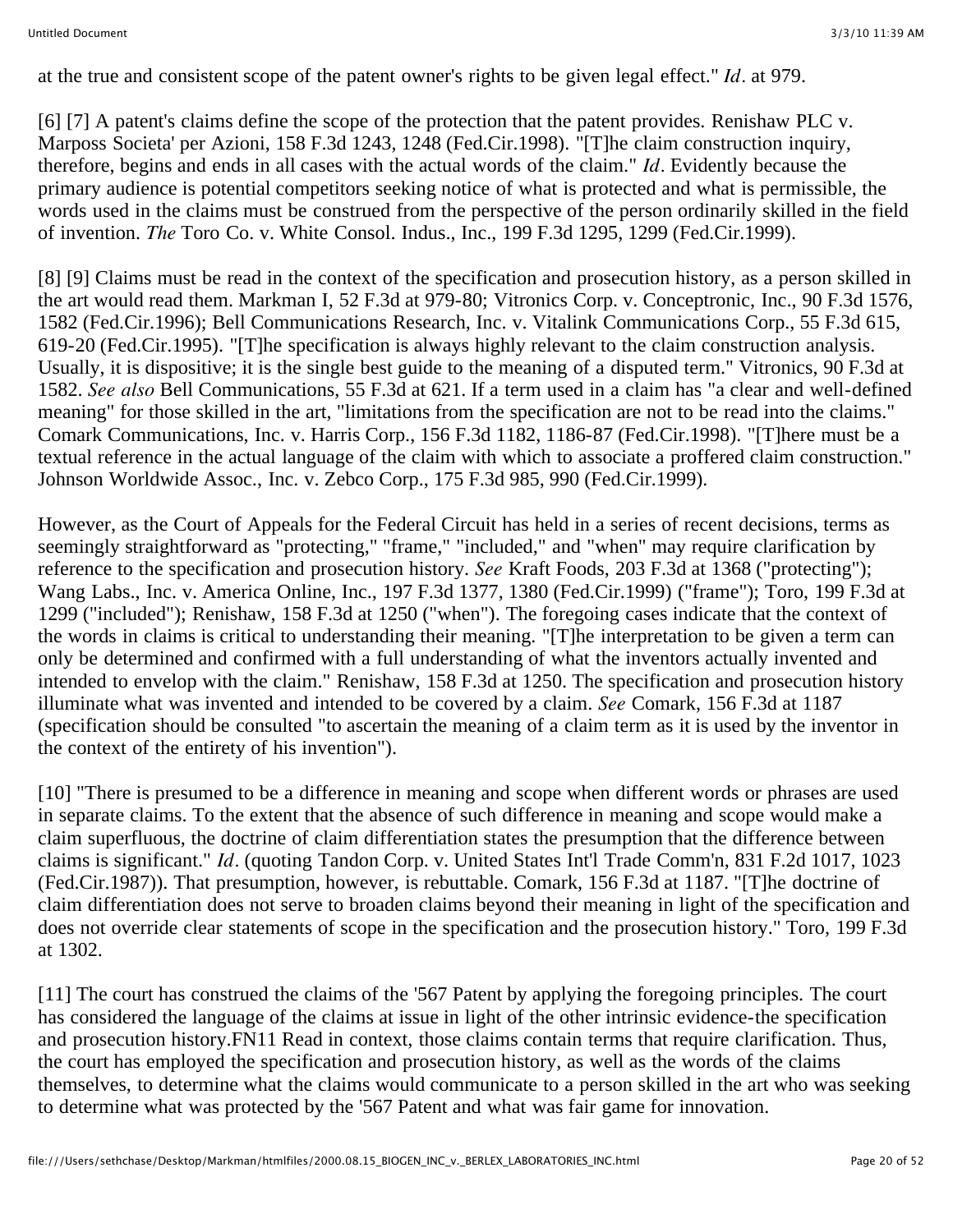at the true and consistent scope of the patent owner's rights to be given legal effect." *Id.* at 979.

[6] [7] A patent's claims define the scope of the protection that the patent provides. Renishaw PLC v. Marposs Societa' per Azioni, 158 F.3d 1243, 1248 (Fed.Cir.1998). "[T]he claim construction inquiry, therefore, begins and ends in all cases with the actual words of the claim." *Id.* Evidently because the primary audience is potential competitors seeking notice of what is protected and what is permissible, the words used in the claims must be construed from the perspective of the person ordinarily skilled in the field of invention. *The* Toro Co. v. White Consol. Indus., Inc., 199 F.3d 1295, 1299 (Fed.Cir.1999).

[8] [9] Claims must be read in the context of the specification and prosecution history, as a person skilled in the art would read them. Markman I, 52 F.3d at 979-80; Vitronics Corp. v. Conceptronic, Inc., 90 F.3d 1576, 1582 (Fed.Cir.1996); Bell Communications Research, Inc. v. Vitalink Communications Corp., 55 F.3d 615, 619-20 (Fed.Cir.1995). "[T]he specification is always highly relevant to the claim construction analysis. Usually, it is dispositive; it is the single best guide to the meaning of a disputed term." Vitronics, 90 F.3d at 1582. *See also* Bell Communications, 55 F.3d at 621. If a term used in a claim has "a clear and well-defined meaning" for those skilled in the art, "limitations from the specification are not to be read into the claims." Comark Communications, Inc. v. Harris Corp., 156 F.3d 1182, 1186-87 (Fed.Cir.1998). "[T]here must be a textual reference in the actual language of the claim with which to associate a proffered claim construction." Johnson Worldwide Assoc., Inc. v. Zebco Corp., 175 F.3d 985, 990 (Fed.Cir.1999).

However, as the Court of Appeals for the Federal Circuit has held in a series of recent decisions, terms as seemingly straightforward as "protecting," "frame," "included," and "when" may require clarification by reference to the specification and prosecution history. *See* Kraft Foods, 203 F.3d at 1368 ("protecting"); Wang Labs., Inc. v. America Online, Inc., 197 F.3d 1377, 1380 (Fed.Cir.1999) ("frame"); Toro, 199 F.3d at 1299 ("included"); Renishaw, 158 F.3d at 1250 ("when"). The foregoing cases indicate that the context of the words in claims is critical to understanding their meaning. "[T]he interpretation to be given a term can only be determined and confirmed with a full understanding of what the inventors actually invented and intended to envelop with the claim." Renishaw, 158 F.3d at 1250. The specification and prosecution history illuminate what was invented and intended to be covered by a claim. *See* Comark, 156 F.3d at 1187 (specification should be consulted "to ascertain the meaning of a claim term as it is used by the inventor in the context of the entirety of his invention").

[10] "There is presumed to be a difference in meaning and scope when different words or phrases are used in separate claims. To the extent that the absence of such difference in meaning and scope would make a claim superfluous, the doctrine of claim differentiation states the presumption that the difference between claims is significant." *Id.* (quoting Tandon Corp. v. United States Int'l Trade Comm'n, 831 F.2d 1017, 1023 (Fed.Cir.1987)). That presumption, however, is rebuttable. Comark, 156 F.3d at 1187. "[T]he doctrine of claim differentiation does not serve to broaden claims beyond their meaning in light of the specification and does not override clear statements of scope in the specification and the prosecution history." Toro, 199 F.3d at 1302.

[11] The court has construed the claims of the '567 Patent by applying the foregoing principles. The court has considered the language of the claims at issue in light of the other intrinsic evidence-the specification and prosecution history.FN11 Read in context, those claims contain terms that require clarification. Thus, the court has employed the specification and prosecution history, as well as the words of the claims themselves, to determine what the claims would communicate to a person skilled in the art who was seeking to determine what was protected by the '567 Patent and what was fair game for innovation.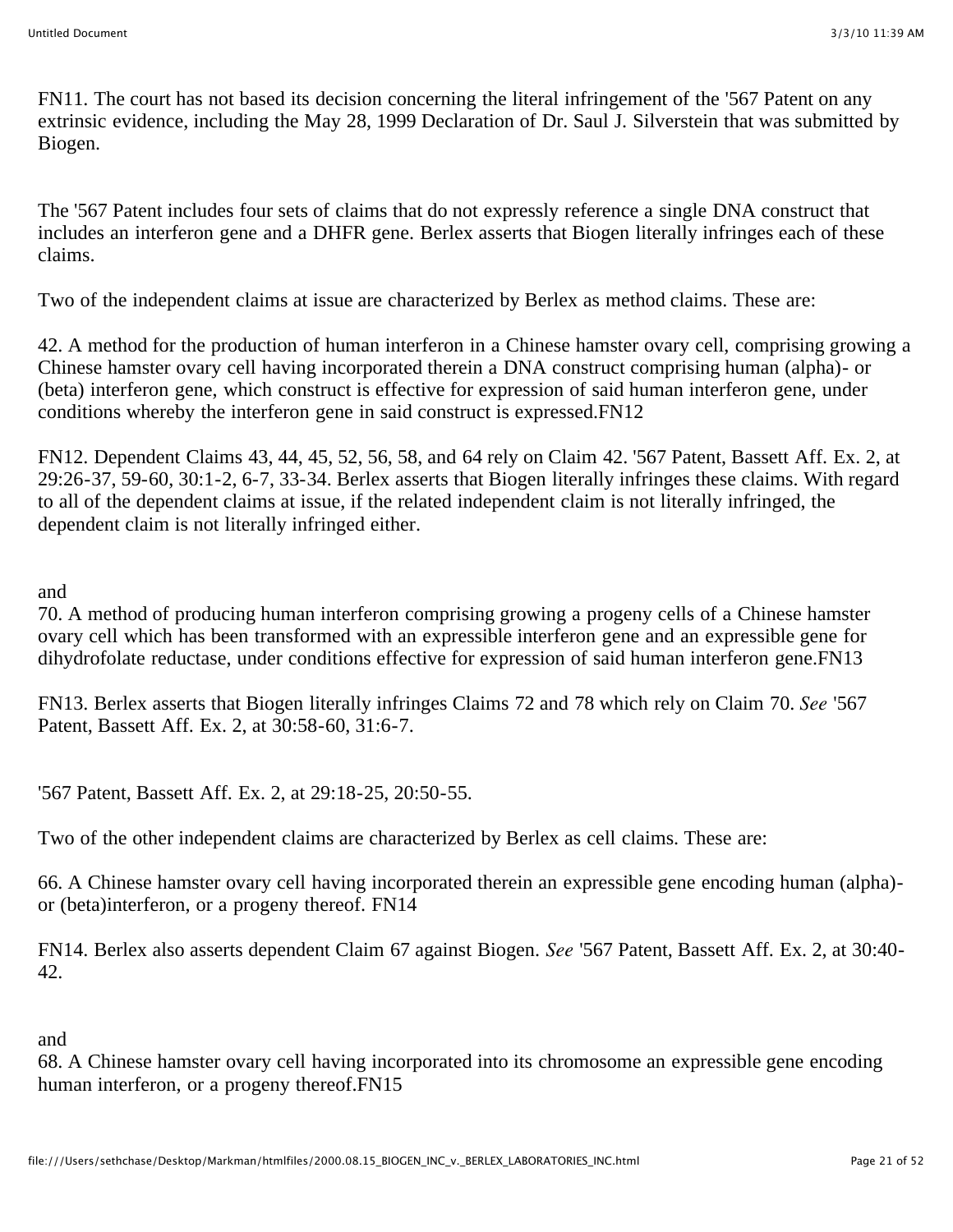FN11. The court has not based its decision concerning the literal infringement of the '567 Patent on any extrinsic evidence, including the May 28, 1999 Declaration of Dr. Saul J. Silverstein that was submitted by Biogen.

The '567 Patent includes four sets of claims that do not expressly reference a single DNA construct that includes an interferon gene and a DHFR gene. Berlex asserts that Biogen literally infringes each of these claims.

Two of the independent claims at issue are characterized by Berlex as method claims. These are:

42. A method for the production of human interferon in a Chinese hamster ovary cell, comprising growing a Chinese hamster ovary cell having incorporated therein a DNA construct comprising human (alpha)- or (beta) interferon gene, which construct is effective for expression of said human interferon gene, under conditions whereby the interferon gene in said construct is expressed.FN12

FN12. Dependent Claims 43, 44, 45, 52, 56, 58, and 64 rely on Claim 42. '567 Patent, Bassett Aff. Ex. 2, at 29:26-37, 59-60, 30:1-2, 6-7, 33-34. Berlex asserts that Biogen literally infringes these claims. With regard to all of the dependent claims at issue, if the related independent claim is not literally infringed, the dependent claim is not literally infringed either.

and

70. A method of producing human interferon comprising growing a progeny cells of a Chinese hamster ovary cell which has been transformed with an expressible interferon gene and an expressible gene for dihydrofolate reductase, under conditions effective for expression of said human interferon gene.FN13

FN13. Berlex asserts that Biogen literally infringes Claims 72 and 78 which rely on Claim 70. *See* '567 Patent, Bassett Aff. Ex. 2, at 30:58-60, 31:6-7.

'567 Patent, Bassett Aff. Ex. 2, at 29:18-25, 20:50-55.

Two of the other independent claims are characterized by Berlex as cell claims. These are:

66. A Chinese hamster ovary cell having incorporated therein an expressible gene encoding human (alpha) or (beta)interferon, or a progeny thereof. FN14

FN14. Berlex also asserts dependent Claim 67 against Biogen. *See* '567 Patent, Bassett Aff. Ex. 2, at 30:40- 42.

and

68. A Chinese hamster ovary cell having incorporated into its chromosome an expressible gene encoding human interferon, or a progeny thereof.FN15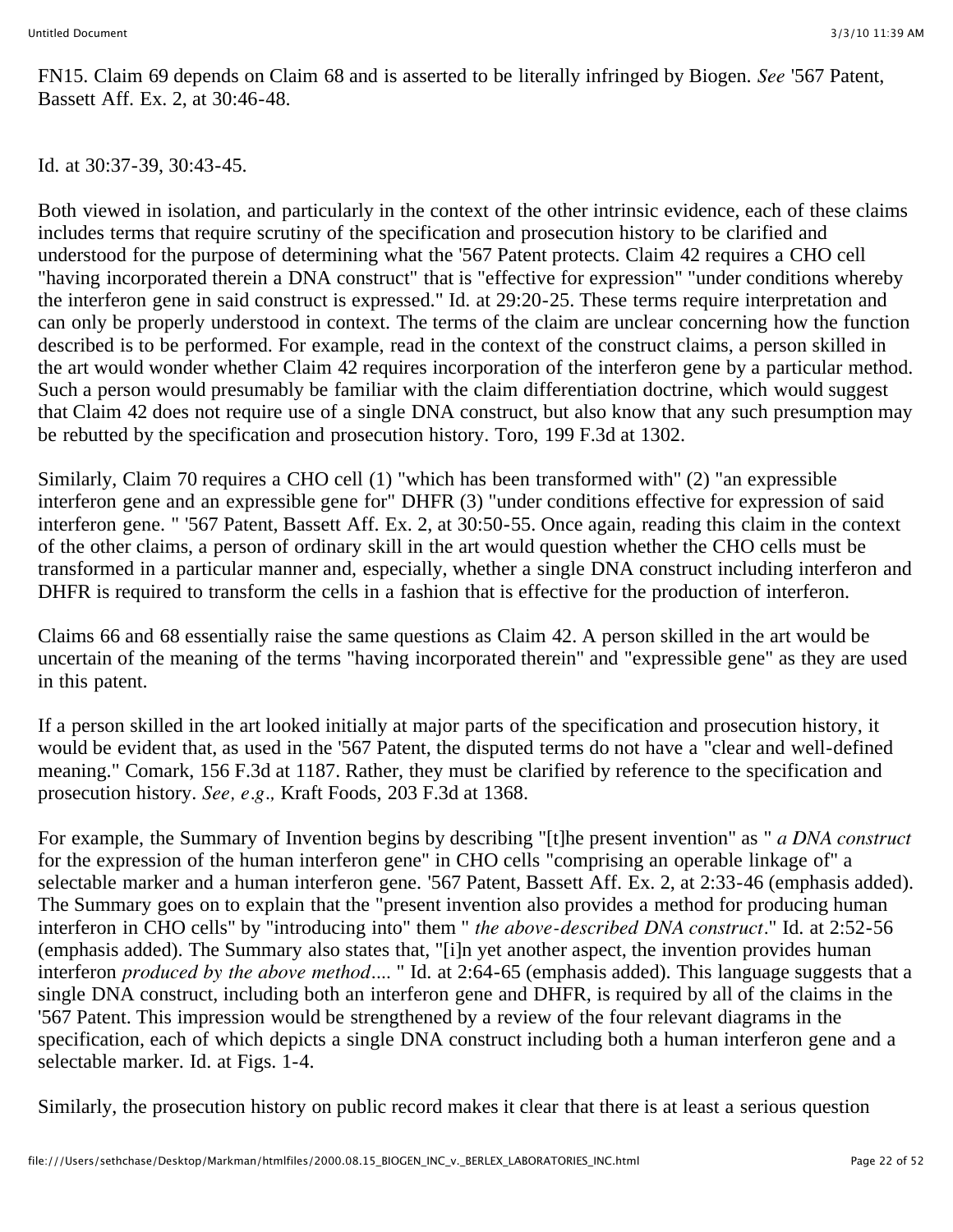FN15. Claim 69 depends on Claim 68 and is asserted to be literally infringed by Biogen. *See* '567 Patent, Bassett Aff. Ex. 2, at 30:46-48.

Id. at 30:37-39, 30:43-45.

Both viewed in isolation, and particularly in the context of the other intrinsic evidence, each of these claims includes terms that require scrutiny of the specification and prosecution history to be clarified and understood for the purpose of determining what the '567 Patent protects. Claim 42 requires a CHO cell "having incorporated therein a DNA construct" that is "effective for expression" "under conditions whereby the interferon gene in said construct is expressed." Id. at 29:20-25. These terms require interpretation and can only be properly understood in context. The terms of the claim are unclear concerning how the function described is to be performed. For example, read in the context of the construct claims, a person skilled in the art would wonder whether Claim 42 requires incorporation of the interferon gene by a particular method. Such a person would presumably be familiar with the claim differentiation doctrine, which would suggest that Claim 42 does not require use of a single DNA construct, but also know that any such presumption may be rebutted by the specification and prosecution history. Toro, 199 F.3d at 1302.

Similarly, Claim 70 requires a CHO cell (1) "which has been transformed with" (2) "an expressible interferon gene and an expressible gene for" DHFR (3) "under conditions effective for expression of said interferon gene. " '567 Patent, Bassett Aff. Ex. 2, at 30:50-55. Once again, reading this claim in the context of the other claims, a person of ordinary skill in the art would question whether the CHO cells must be transformed in a particular manner and, especially, whether a single DNA construct including interferon and DHFR is required to transform the cells in a fashion that is effective for the production of interferon.

Claims 66 and 68 essentially raise the same questions as Claim 42. A person skilled in the art would be uncertain of the meaning of the terms "having incorporated therein" and "expressible gene" as they are used in this patent.

If a person skilled in the art looked initially at major parts of the specification and prosecution history, it would be evident that, as used in the '567 Patent, the disputed terms do not have a "clear and well-defined meaning." Comark, 156 F.3d at 1187. Rather, they must be clarified by reference to the specification and prosecution history. *See, e.g.,* Kraft Foods, 203 F.3d at 1368.

For example, the Summary of Invention begins by describing "[t]he present invention" as " *a DNA construct* for the expression of the human interferon gene" in CHO cells "comprising an operable linkage of" a selectable marker and a human interferon gene. '567 Patent, Bassett Aff. Ex. 2, at 2:33-46 (emphasis added). The Summary goes on to explain that the "present invention also provides a method for producing human interferon in CHO cells" by "introducing into" them " *the above-described DNA construct.*" Id. at 2:52-56 (emphasis added). The Summary also states that, "[i]n yet another aspect, the invention provides human interferon *produced by the above method....* " Id. at 2:64-65 (emphasis added). This language suggests that a single DNA construct, including both an interferon gene and DHFR, is required by all of the claims in the '567 Patent. This impression would be strengthened by a review of the four relevant diagrams in the specification, each of which depicts a single DNA construct including both a human interferon gene and a selectable marker. Id. at Figs. 1-4.

Similarly, the prosecution history on public record makes it clear that there is at least a serious question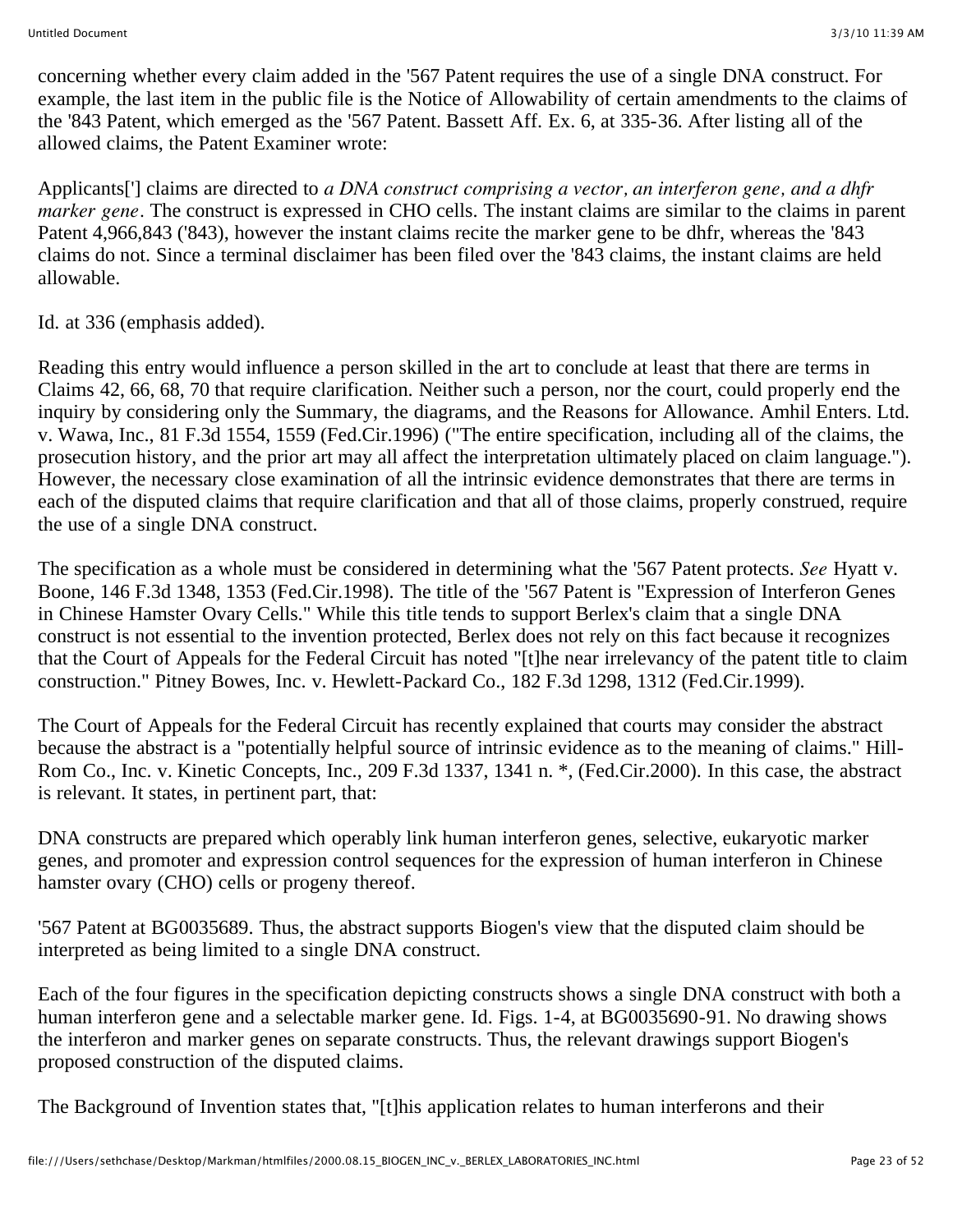concerning whether every claim added in the '567 Patent requires the use of a single DNA construct. For example, the last item in the public file is the Notice of Allowability of certain amendments to the claims of the '843 Patent, which emerged as the '567 Patent. Bassett Aff. Ex. 6, at 335-36. After listing all of the allowed claims, the Patent Examiner wrote:

Applicants['] claims are directed to *a DNA construct comprising a vector, an interferon gene, and a dhfr marker gene.* The construct is expressed in CHO cells. The instant claims are similar to the claims in parent Patent 4,966,843 ('843), however the instant claims recite the marker gene to be dhfr, whereas the '843 claims do not. Since a terminal disclaimer has been filed over the '843 claims, the instant claims are held allowable.

Id. at 336 (emphasis added).

Reading this entry would influence a person skilled in the art to conclude at least that there are terms in Claims 42, 66, 68, 70 that require clarification. Neither such a person, nor the court, could properly end the inquiry by considering only the Summary, the diagrams, and the Reasons for Allowance. Amhil Enters. Ltd. v. Wawa, Inc., 81 F.3d 1554, 1559 (Fed.Cir.1996) ("The entire specification, including all of the claims, the prosecution history, and the prior art may all affect the interpretation ultimately placed on claim language."). However, the necessary close examination of all the intrinsic evidence demonstrates that there are terms in each of the disputed claims that require clarification and that all of those claims, properly construed, require the use of a single DNA construct.

The specification as a whole must be considered in determining what the '567 Patent protects. *See* Hyatt v. Boone, 146 F.3d 1348, 1353 (Fed.Cir.1998). The title of the '567 Patent is "Expression of Interferon Genes in Chinese Hamster Ovary Cells." While this title tends to support Berlex's claim that a single DNA construct is not essential to the invention protected, Berlex does not rely on this fact because it recognizes that the Court of Appeals for the Federal Circuit has noted "[t]he near irrelevancy of the patent title to claim construction." Pitney Bowes, Inc. v. Hewlett-Packard Co., 182 F.3d 1298, 1312 (Fed.Cir.1999).

The Court of Appeals for the Federal Circuit has recently explained that courts may consider the abstract because the abstract is a "potentially helpful source of intrinsic evidence as to the meaning of claims." Hill-Rom Co., Inc. v. Kinetic Concepts, Inc., 209 F.3d 1337, 1341 n. \*, (Fed.Cir.2000). In this case, the abstract is relevant. It states, in pertinent part, that:

DNA constructs are prepared which operably link human interferon genes, selective, eukaryotic marker genes, and promoter and expression control sequences for the expression of human interferon in Chinese hamster ovary (CHO) cells or progeny thereof.

'567 Patent at BG0035689. Thus, the abstract supports Biogen's view that the disputed claim should be interpreted as being limited to a single DNA construct.

Each of the four figures in the specification depicting constructs shows a single DNA construct with both a human interferon gene and a selectable marker gene. Id. Figs. 1-4, at BG0035690-91. No drawing shows the interferon and marker genes on separate constructs. Thus, the relevant drawings support Biogen's proposed construction of the disputed claims.

The Background of Invention states that, "[t]his application relates to human interferons and their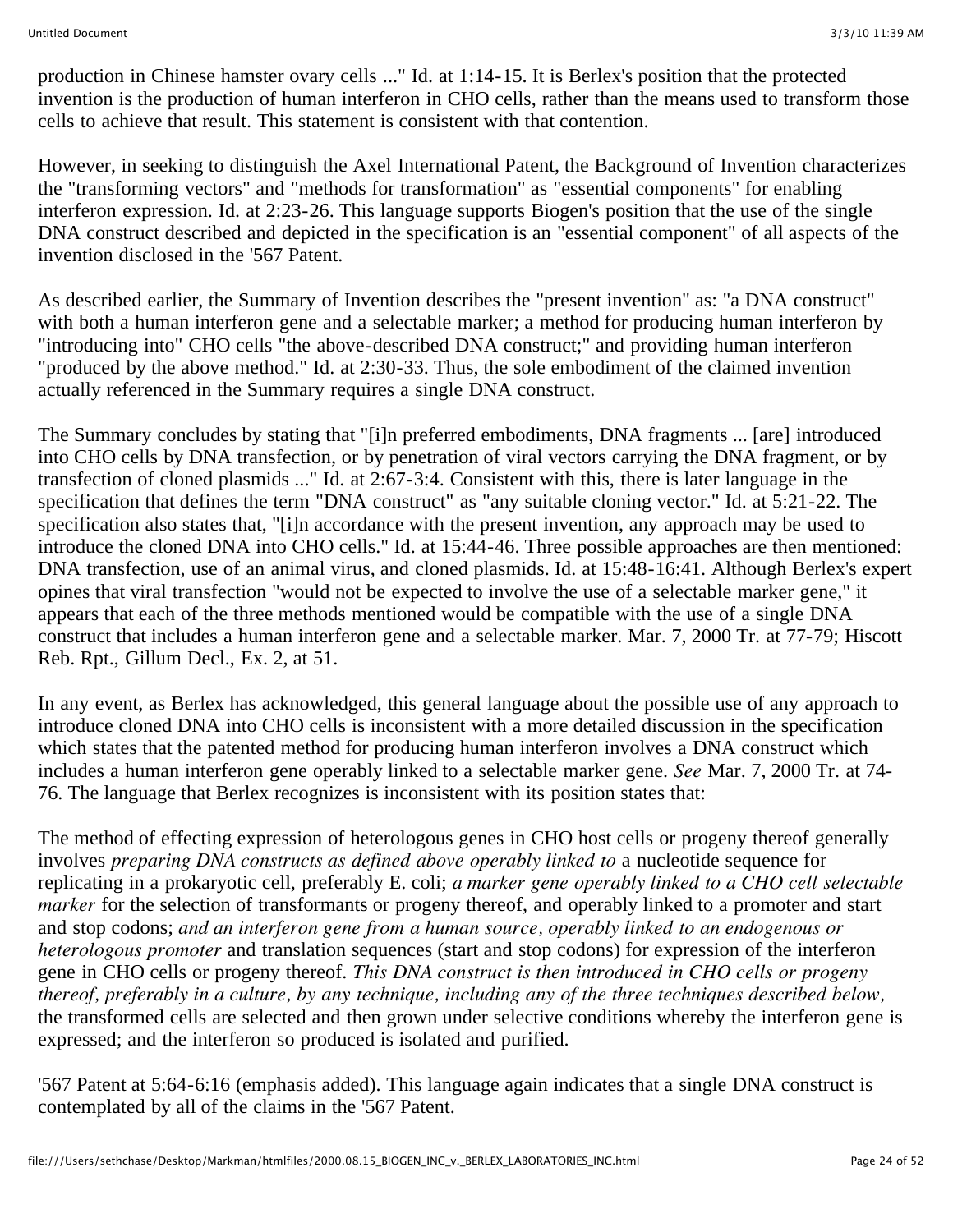production in Chinese hamster ovary cells ..." Id. at 1:14-15. It is Berlex's position that the protected invention is the production of human interferon in CHO cells, rather than the means used to transform those cells to achieve that result. This statement is consistent with that contention.

However, in seeking to distinguish the Axel International Patent, the Background of Invention characterizes the "transforming vectors" and "methods for transformation" as "essential components" for enabling interferon expression. Id. at 2:23-26. This language supports Biogen's position that the use of the single DNA construct described and depicted in the specification is an "essential component" of all aspects of the invention disclosed in the '567 Patent.

As described earlier, the Summary of Invention describes the "present invention" as: "a DNA construct" with both a human interferon gene and a selectable marker; a method for producing human interferon by "introducing into" CHO cells "the above-described DNA construct;" and providing human interferon "produced by the above method." Id. at 2:30-33. Thus, the sole embodiment of the claimed invention actually referenced in the Summary requires a single DNA construct.

The Summary concludes by stating that "[i]n preferred embodiments, DNA fragments ... [are] introduced into CHO cells by DNA transfection, or by penetration of viral vectors carrying the DNA fragment, or by transfection of cloned plasmids ..." Id. at 2:67-3:4. Consistent with this, there is later language in the specification that defines the term "DNA construct" as "any suitable cloning vector." Id. at 5:21-22. The specification also states that, "[i]n accordance with the present invention, any approach may be used to introduce the cloned DNA into CHO cells." Id. at 15:44-46. Three possible approaches are then mentioned: DNA transfection, use of an animal virus, and cloned plasmids. Id. at 15:48-16:41. Although Berlex's expert opines that viral transfection "would not be expected to involve the use of a selectable marker gene," it appears that each of the three methods mentioned would be compatible with the use of a single DNA construct that includes a human interferon gene and a selectable marker. Mar. 7, 2000 Tr. at 77-79; Hiscott Reb. Rpt., Gillum Decl., Ex. 2, at 51.

In any event, as Berlex has acknowledged, this general language about the possible use of any approach to introduce cloned DNA into CHO cells is inconsistent with a more detailed discussion in the specification which states that the patented method for producing human interferon involves a DNA construct which includes a human interferon gene operably linked to a selectable marker gene. *See* Mar. 7, 2000 Tr. at 74- 76. The language that Berlex recognizes is inconsistent with its position states that:

The method of effecting expression of heterologous genes in CHO host cells or progeny thereof generally involves *preparing DNA constructs as defined above operably linked to* a nucleotide sequence for replicating in a prokaryotic cell, preferably E. coli; *a marker gene operably linked to a CHO cell selectable marker* for the selection of transformants or progeny thereof, and operably linked to a promoter and start and stop codons; *and an interferon gene from a human source, operably linked to an endogenous or heterologous promoter* and translation sequences (start and stop codons) for expression of the interferon gene in CHO cells or progeny thereof. *This DNA construct is then introduced in CHO cells or progeny thereof, preferably in a culture, by any technique, including any of the three techniques described below,* the transformed cells are selected and then grown under selective conditions whereby the interferon gene is expressed; and the interferon so produced is isolated and purified.

'567 Patent at 5:64-6:16 (emphasis added). This language again indicates that a single DNA construct is contemplated by all of the claims in the '567 Patent.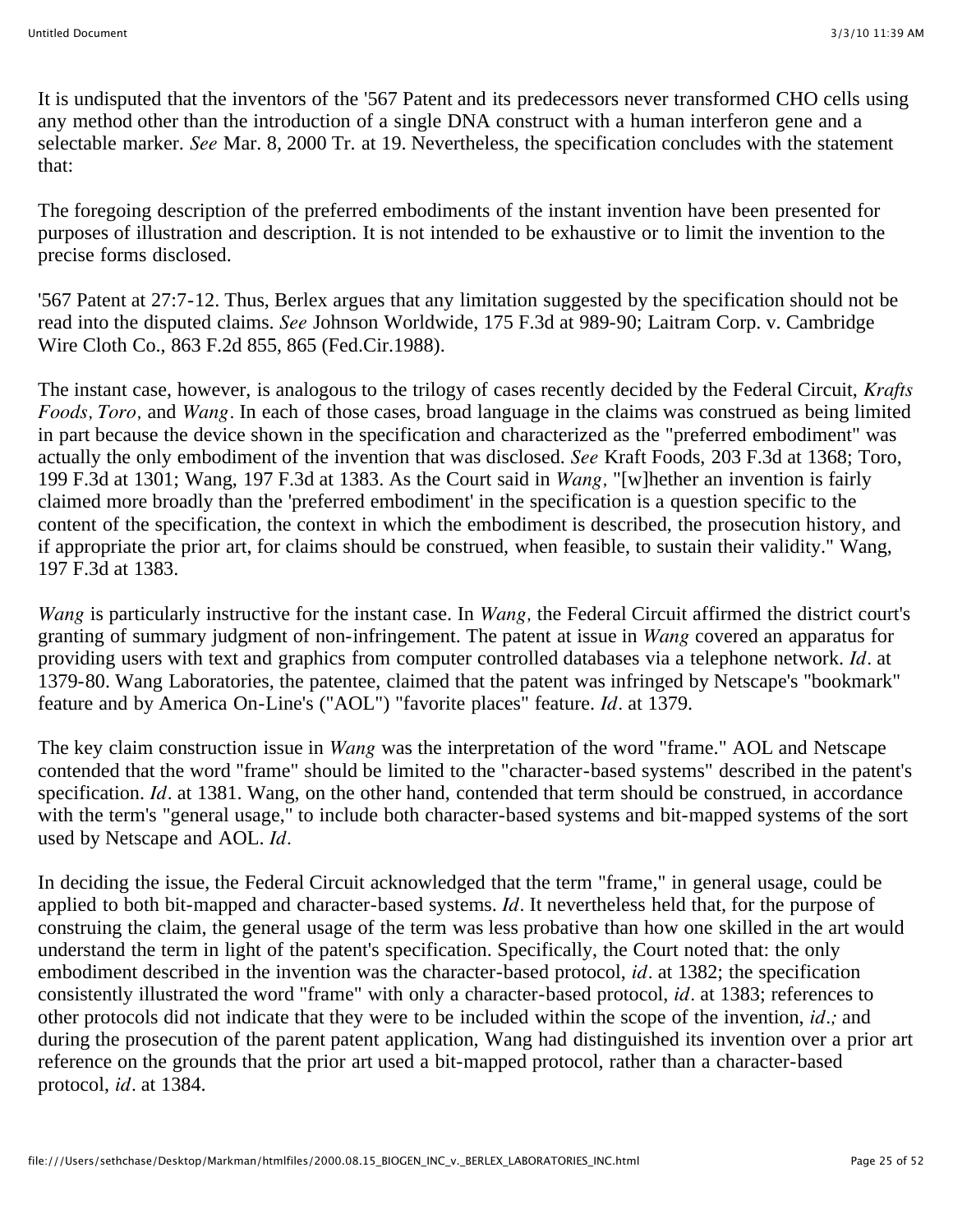It is undisputed that the inventors of the '567 Patent and its predecessors never transformed CHO cells using any method other than the introduction of a single DNA construct with a human interferon gene and a selectable marker. *See* Mar. 8, 2000 Tr. at 19. Nevertheless, the specification concludes with the statement that:

The foregoing description of the preferred embodiments of the instant invention have been presented for purposes of illustration and description. It is not intended to be exhaustive or to limit the invention to the precise forms disclosed.

'567 Patent at 27:7-12. Thus, Berlex argues that any limitation suggested by the specification should not be read into the disputed claims. *See* Johnson Worldwide, 175 F.3d at 989-90; Laitram Corp. v. Cambridge Wire Cloth Co., 863 F.2d 855, 865 (Fed.Cir.1988).

The instant case, however, is analogous to the trilogy of cases recently decided by the Federal Circuit, *Krafts Foods, Toro,* and *Wang.* In each of those cases, broad language in the claims was construed as being limited in part because the device shown in the specification and characterized as the "preferred embodiment" was actually the only embodiment of the invention that was disclosed. *See* Kraft Foods, 203 F.3d at 1368; Toro, 199 F.3d at 1301; Wang, 197 F.3d at 1383. As the Court said in *Wang,* "[w]hether an invention is fairly claimed more broadly than the 'preferred embodiment' in the specification is a question specific to the content of the specification, the context in which the embodiment is described, the prosecution history, and if appropriate the prior art, for claims should be construed, when feasible, to sustain their validity." Wang, 197 F.3d at 1383.

*Wang* is particularly instructive for the instant case. In *Wang,* the Federal Circuit affirmed the district court's granting of summary judgment of non-infringement. The patent at issue in *Wang* covered an apparatus for providing users with text and graphics from computer controlled databases via a telephone network. *Id.* at 1379-80. Wang Laboratories, the patentee, claimed that the patent was infringed by Netscape's "bookmark" feature and by America On-Line's ("AOL") "favorite places" feature. *Id.* at 1379.

The key claim construction issue in *Wang* was the interpretation of the word "frame." AOL and Netscape contended that the word "frame" should be limited to the "character-based systems" described in the patent's specification. *Id.* at 1381. Wang, on the other hand, contended that term should be construed, in accordance with the term's "general usage," to include both character-based systems and bit-mapped systems of the sort used by Netscape and AOL. *Id.*

In deciding the issue, the Federal Circuit acknowledged that the term "frame," in general usage, could be applied to both bit-mapped and character-based systems. *Id.* It nevertheless held that, for the purpose of construing the claim, the general usage of the term was less probative than how one skilled in the art would understand the term in light of the patent's specification. Specifically, the Court noted that: the only embodiment described in the invention was the character-based protocol, *id.* at 1382; the specification consistently illustrated the word "frame" with only a character-based protocol, *id.* at 1383; references to other protocols did not indicate that they were to be included within the scope of the invention, *id.;* and during the prosecution of the parent patent application, Wang had distinguished its invention over a prior art reference on the grounds that the prior art used a bit-mapped protocol, rather than a character-based protocol, *id.* at 1384.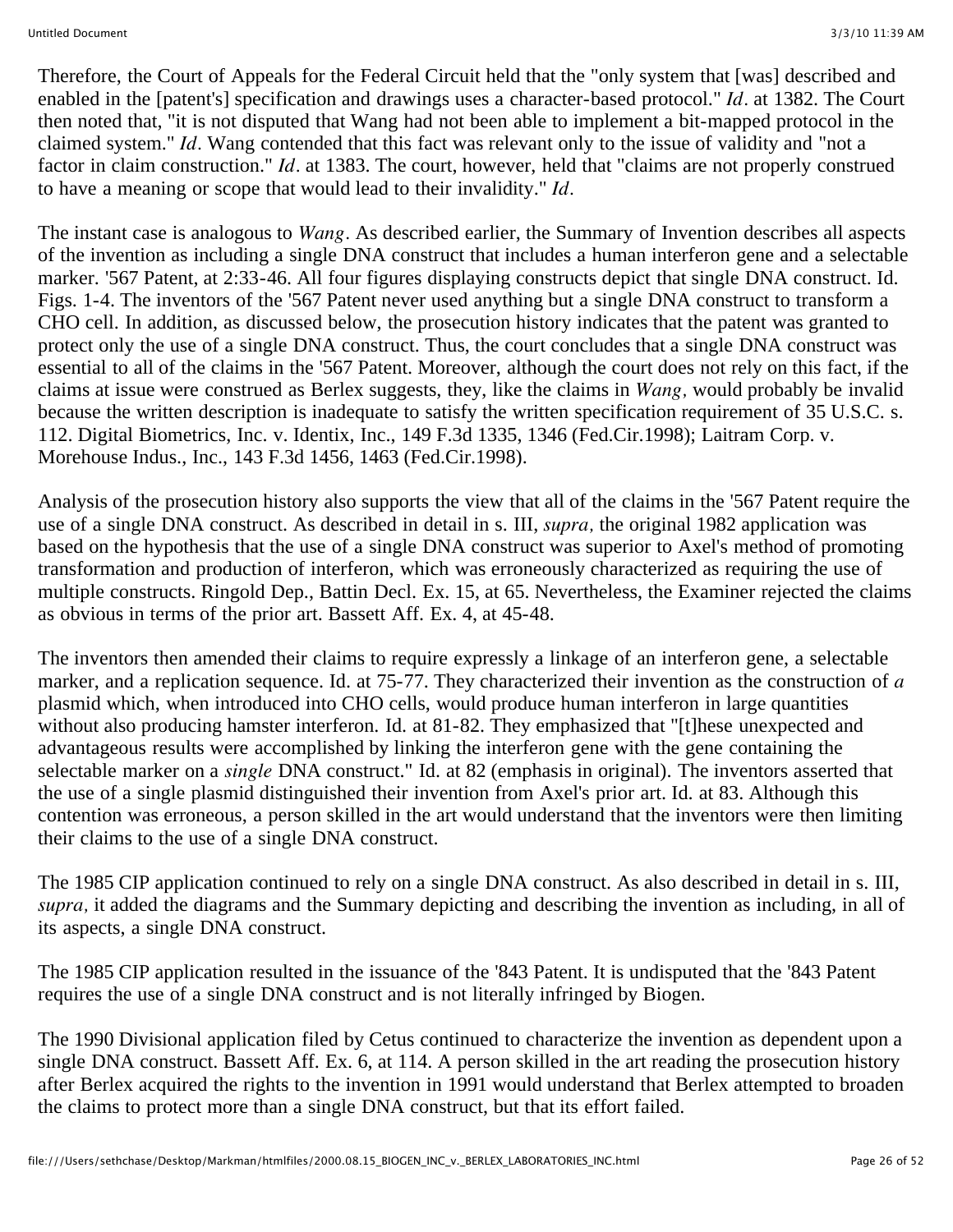Therefore, the Court of Appeals for the Federal Circuit held that the "only system that [was] described and enabled in the [patent's] specification and drawings uses a character-based protocol." *Id.* at 1382. The Court then noted that, "it is not disputed that Wang had not been able to implement a bit-mapped protocol in the claimed system." *Id.* Wang contended that this fact was relevant only to the issue of validity and "not a factor in claim construction." *Id.* at 1383. The court, however, held that "claims are not properly construed to have a meaning or scope that would lead to their invalidity." *Id.*

The instant case is analogous to *Wang.* As described earlier, the Summary of Invention describes all aspects of the invention as including a single DNA construct that includes a human interferon gene and a selectable marker. '567 Patent, at 2:33-46. All four figures displaying constructs depict that single DNA construct. Id. Figs. 1-4. The inventors of the '567 Patent never used anything but a single DNA construct to transform a CHO cell. In addition, as discussed below, the prosecution history indicates that the patent was granted to protect only the use of a single DNA construct. Thus, the court concludes that a single DNA construct was essential to all of the claims in the '567 Patent. Moreover, although the court does not rely on this fact, if the claims at issue were construed as Berlex suggests, they, like the claims in *Wang,* would probably be invalid because the written description is inadequate to satisfy the written specification requirement of 35 U.S.C. s. 112. Digital Biometrics, Inc. v. Identix, Inc., 149 F.3d 1335, 1346 (Fed.Cir.1998); Laitram Corp. v. Morehouse Indus., Inc., 143 F.3d 1456, 1463 (Fed.Cir.1998).

Analysis of the prosecution history also supports the view that all of the claims in the '567 Patent require the use of a single DNA construct. As described in detail in s. III, *supra,* the original 1982 application was based on the hypothesis that the use of a single DNA construct was superior to Axel's method of promoting transformation and production of interferon, which was erroneously characterized as requiring the use of multiple constructs. Ringold Dep., Battin Decl. Ex. 15, at 65. Nevertheless, the Examiner rejected the claims as obvious in terms of the prior art. Bassett Aff. Ex. 4, at 45-48.

The inventors then amended their claims to require expressly a linkage of an interferon gene, a selectable marker, and a replication sequence. Id. at 75-77. They characterized their invention as the construction of *a* plasmid which, when introduced into CHO cells, would produce human interferon in large quantities without also producing hamster interferon. Id. at 81-82. They emphasized that "[t]hese unexpected and advantageous results were accomplished by linking the interferon gene with the gene containing the selectable marker on a *single* DNA construct." Id. at 82 (emphasis in original). The inventors asserted that the use of a single plasmid distinguished their invention from Axel's prior art. Id. at 83. Although this contention was erroneous, a person skilled in the art would understand that the inventors were then limiting their claims to the use of a single DNA construct.

The 1985 CIP application continued to rely on a single DNA construct. As also described in detail in s. III, *supra,* it added the diagrams and the Summary depicting and describing the invention as including, in all of its aspects, a single DNA construct.

The 1985 CIP application resulted in the issuance of the '843 Patent. It is undisputed that the '843 Patent requires the use of a single DNA construct and is not literally infringed by Biogen.

The 1990 Divisional application filed by Cetus continued to characterize the invention as dependent upon a single DNA construct. Bassett Aff. Ex. 6, at 114. A person skilled in the art reading the prosecution history after Berlex acquired the rights to the invention in 1991 would understand that Berlex attempted to broaden the claims to protect more than a single DNA construct, but that its effort failed.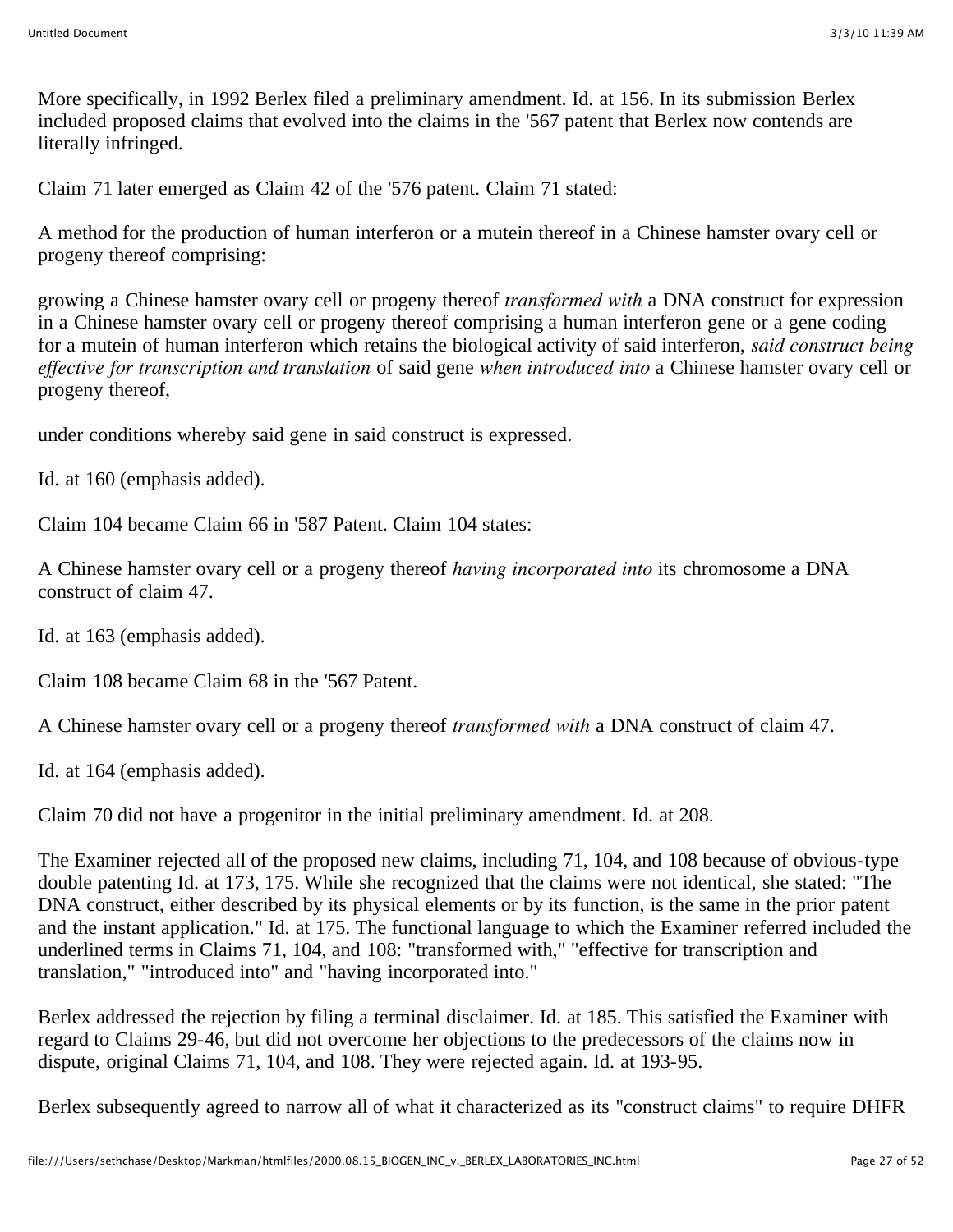More specifically, in 1992 Berlex filed a preliminary amendment. Id. at 156. In its submission Berlex included proposed claims that evolved into the claims in the '567 patent that Berlex now contends are literally infringed.

Claim 71 later emerged as Claim 42 of the '576 patent. Claim 71 stated:

A method for the production of human interferon or a mutein thereof in a Chinese hamster ovary cell or progeny thereof comprising:

growing a Chinese hamster ovary cell or progeny thereof *transformed with* a DNA construct for expression in a Chinese hamster ovary cell or progeny thereof comprising a human interferon gene or a gene coding for a mutein of human interferon which retains the biological activity of said interferon, *said construct being effective for transcription and translation* of said gene *when introduced into* a Chinese hamster ovary cell or progeny thereof,

under conditions whereby said gene in said construct is expressed.

Id. at 160 (emphasis added).

Claim 104 became Claim 66 in '587 Patent. Claim 104 states:

A Chinese hamster ovary cell or a progeny thereof *having incorporated into* its chromosome a DNA construct of claim 47.

Id. at 163 (emphasis added).

Claim 108 became Claim 68 in the '567 Patent.

A Chinese hamster ovary cell or a progeny thereof *transformed with* a DNA construct of claim 47.

Id. at 164 (emphasis added).

Claim 70 did not have a progenitor in the initial preliminary amendment. Id. at 208.

The Examiner rejected all of the proposed new claims, including 71, 104, and 108 because of obvious-type double patenting Id. at 173, 175. While she recognized that the claims were not identical, she stated: "The DNA construct, either described by its physical elements or by its function, is the same in the prior patent and the instant application." Id. at 175. The functional language to which the Examiner referred included the underlined terms in Claims 71, 104, and 108: "transformed with," "effective for transcription and translation," "introduced into" and "having incorporated into."

Berlex addressed the rejection by filing a terminal disclaimer. Id. at 185. This satisfied the Examiner with regard to Claims 29-46, but did not overcome her objections to the predecessors of the claims now in dispute, original Claims 71, 104, and 108. They were rejected again. Id. at 193-95.

Berlex subsequently agreed to narrow all of what it characterized as its "construct claims" to require DHFR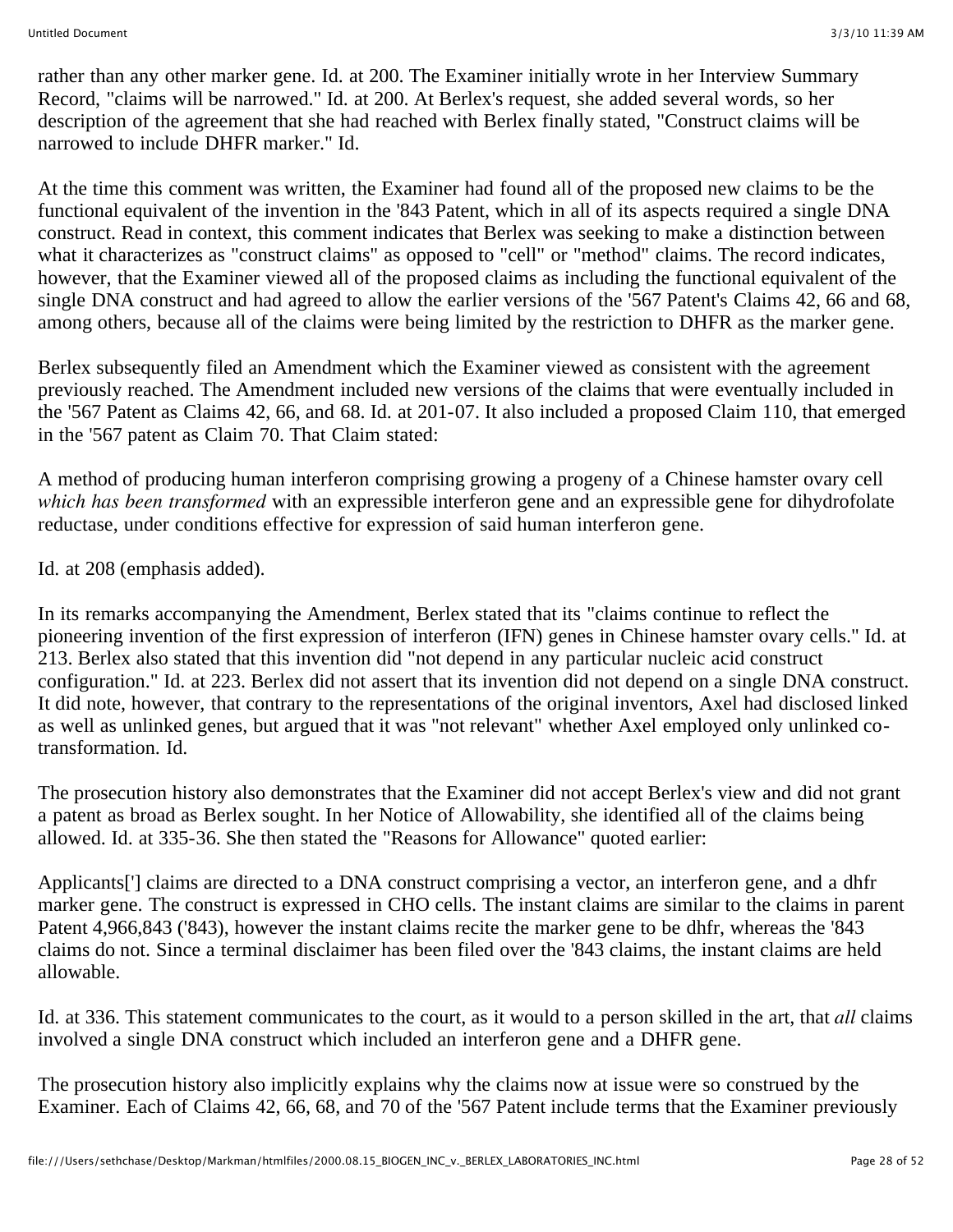rather than any other marker gene. Id. at 200. The Examiner initially wrote in her Interview Summary Record, "claims will be narrowed." Id. at 200. At Berlex's request, she added several words, so her description of the agreement that she had reached with Berlex finally stated, "Construct claims will be narrowed to include DHFR marker." Id.

At the time this comment was written, the Examiner had found all of the proposed new claims to be the functional equivalent of the invention in the '843 Patent, which in all of its aspects required a single DNA construct. Read in context, this comment indicates that Berlex was seeking to make a distinction between what it characterizes as "construct claims" as opposed to "cell" or "method" claims. The record indicates, however, that the Examiner viewed all of the proposed claims as including the functional equivalent of the single DNA construct and had agreed to allow the earlier versions of the '567 Patent's Claims 42, 66 and 68, among others, because all of the claims were being limited by the restriction to DHFR as the marker gene.

Berlex subsequently filed an Amendment which the Examiner viewed as consistent with the agreement previously reached. The Amendment included new versions of the claims that were eventually included in the '567 Patent as Claims 42, 66, and 68. Id. at 201-07. It also included a proposed Claim 110, that emerged in the '567 patent as Claim 70. That Claim stated:

A method of producing human interferon comprising growing a progeny of a Chinese hamster ovary cell *which has been transformed* with an expressible interferon gene and an expressible gene for dihydrofolate reductase, under conditions effective for expression of said human interferon gene.

Id. at 208 (emphasis added).

In its remarks accompanying the Amendment, Berlex stated that its "claims continue to reflect the pioneering invention of the first expression of interferon (IFN) genes in Chinese hamster ovary cells." Id. at 213. Berlex also stated that this invention did "not depend in any particular nucleic acid construct configuration." Id. at 223. Berlex did not assert that its invention did not depend on a single DNA construct. It did note, however, that contrary to the representations of the original inventors, Axel had disclosed linked as well as unlinked genes, but argued that it was "not relevant" whether Axel employed only unlinked cotransformation. Id.

The prosecution history also demonstrates that the Examiner did not accept Berlex's view and did not grant a patent as broad as Berlex sought. In her Notice of Allowability, she identified all of the claims being allowed. Id. at 335-36. She then stated the "Reasons for Allowance" quoted earlier:

Applicants['] claims are directed to a DNA construct comprising a vector, an interferon gene, and a dhfr marker gene. The construct is expressed in CHO cells. The instant claims are similar to the claims in parent Patent 4,966,843 ('843), however the instant claims recite the marker gene to be dhfr, whereas the '843 claims do not. Since a terminal disclaimer has been filed over the '843 claims, the instant claims are held allowable.

Id. at 336. This statement communicates to the court, as it would to a person skilled in the art, that *all* claims involved a single DNA construct which included an interferon gene and a DHFR gene.

The prosecution history also implicitly explains why the claims now at issue were so construed by the Examiner. Each of Claims 42, 66, 68, and 70 of the '567 Patent include terms that the Examiner previously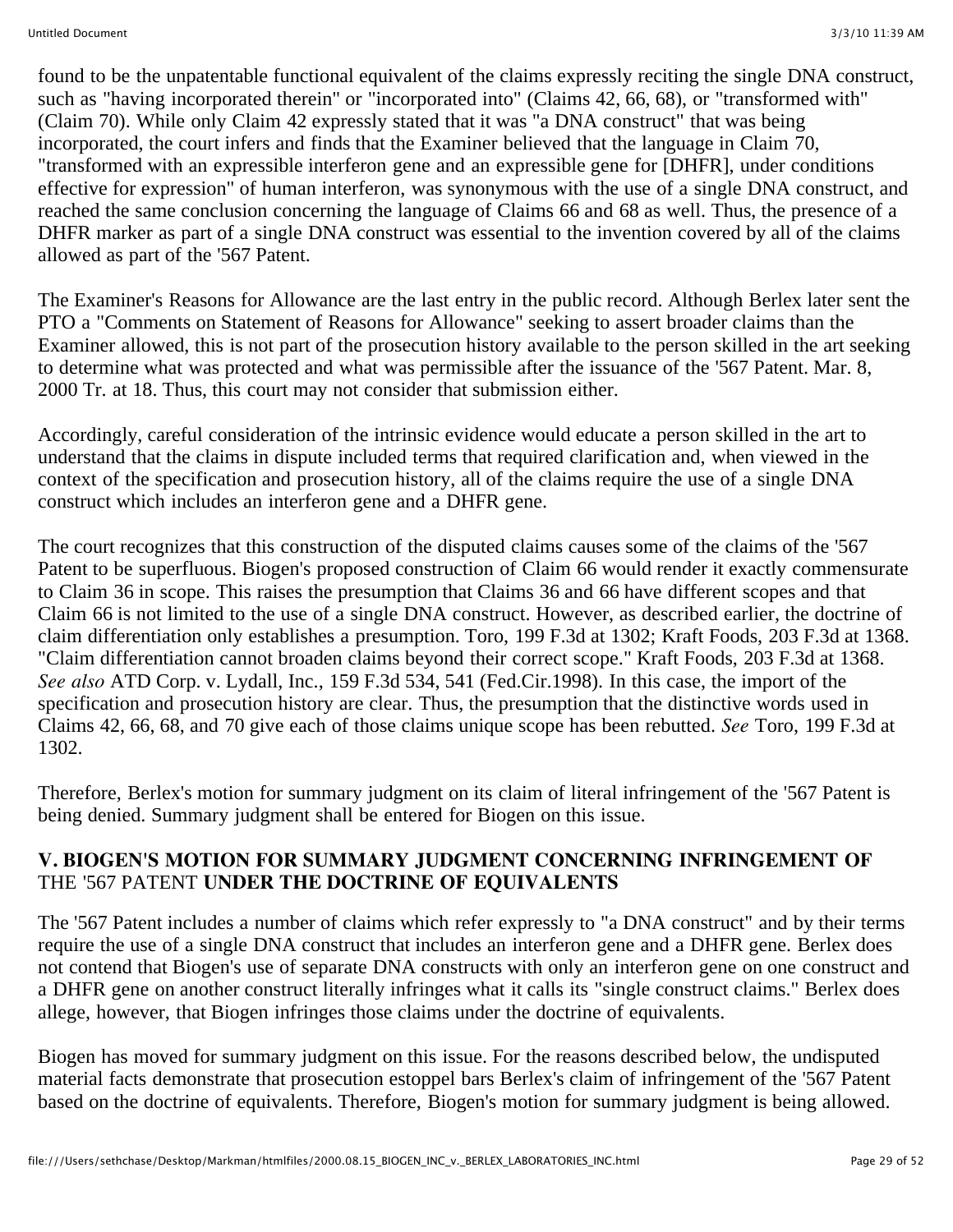found to be the unpatentable functional equivalent of the claims expressly reciting the single DNA construct, such as "having incorporated therein" or "incorporated into" (Claims 42, 66, 68), or "transformed with" (Claim 70). While only Claim 42 expressly stated that it was "a DNA construct" that was being incorporated, the court infers and finds that the Examiner believed that the language in Claim 70, "transformed with an expressible interferon gene and an expressible gene for [DHFR], under conditions effective for expression" of human interferon, was synonymous with the use of a single DNA construct, and reached the same conclusion concerning the language of Claims 66 and 68 as well. Thus, the presence of a DHFR marker as part of a single DNA construct was essential to the invention covered by all of the claims allowed as part of the '567 Patent.

The Examiner's Reasons for Allowance are the last entry in the public record. Although Berlex later sent the PTO a "Comments on Statement of Reasons for Allowance" seeking to assert broader claims than the Examiner allowed, this is not part of the prosecution history available to the person skilled in the art seeking to determine what was protected and what was permissible after the issuance of the '567 Patent. Mar. 8, 2000 Tr. at 18. Thus, this court may not consider that submission either.

Accordingly, careful consideration of the intrinsic evidence would educate a person skilled in the art to understand that the claims in dispute included terms that required clarification and, when viewed in the context of the specification and prosecution history, all of the claims require the use of a single DNA construct which includes an interferon gene and a DHFR gene.

The court recognizes that this construction of the disputed claims causes some of the claims of the '567 Patent to be superfluous. Biogen's proposed construction of Claim 66 would render it exactly commensurate to Claim 36 in scope. This raises the presumption that Claims 36 and 66 have different scopes and that Claim 66 is not limited to the use of a single DNA construct. However, as described earlier, the doctrine of claim differentiation only establishes a presumption. Toro, 199 F.3d at 1302; Kraft Foods, 203 F.3d at 1368. "Claim differentiation cannot broaden claims beyond their correct scope." Kraft Foods, 203 F.3d at 1368. *See also* ATD Corp. v. Lydall, Inc., 159 F.3d 534, 541 (Fed.Cir.1998). In this case, the import of the specification and prosecution history are clear. Thus, the presumption that the distinctive words used in Claims 42, 66, 68, and 70 give each of those claims unique scope has been rebutted. *See* Toro, 199 F.3d at 1302.

Therefore, Berlex's motion for summary judgment on its claim of literal infringement of the '567 Patent is being denied. Summary judgment shall be entered for Biogen on this issue.

#### **V. BIOGEN'S MOTION FOR SUMMARY JUDGMENT CONCERNING INFRINGEMENT OF** THE '567 PATENT **UNDER THE DOCTRINE OF EQUIVALENTS**

The '567 Patent includes a number of claims which refer expressly to "a DNA construct" and by their terms require the use of a single DNA construct that includes an interferon gene and a DHFR gene. Berlex does not contend that Biogen's use of separate DNA constructs with only an interferon gene on one construct and a DHFR gene on another construct literally infringes what it calls its "single construct claims." Berlex does allege, however, that Biogen infringes those claims under the doctrine of equivalents.

Biogen has moved for summary judgment on this issue. For the reasons described below, the undisputed material facts demonstrate that prosecution estoppel bars Berlex's claim of infringement of the '567 Patent based on the doctrine of equivalents. Therefore, Biogen's motion for summary judgment is being allowed.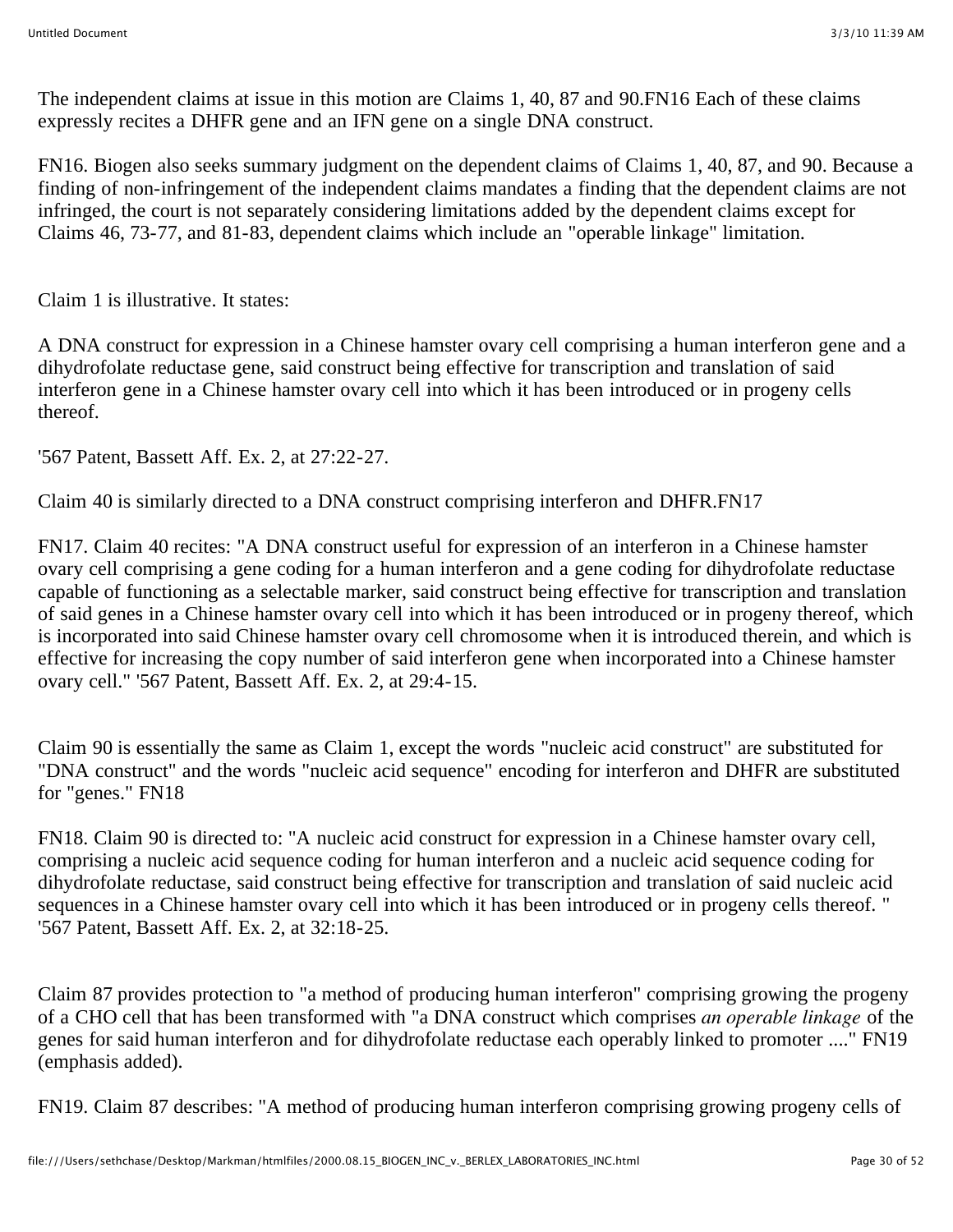The independent claims at issue in this motion are Claims 1, 40, 87 and 90.FN16 Each of these claims expressly recites a DHFR gene and an IFN gene on a single DNA construct.

FN16. Biogen also seeks summary judgment on the dependent claims of Claims 1, 40, 87, and 90. Because a finding of non-infringement of the independent claims mandates a finding that the dependent claims are not infringed, the court is not separately considering limitations added by the dependent claims except for Claims 46, 73-77, and 81-83, dependent claims which include an "operable linkage" limitation.

Claim 1 is illustrative. It states:

A DNA construct for expression in a Chinese hamster ovary cell comprising a human interferon gene and a dihydrofolate reductase gene, said construct being effective for transcription and translation of said interferon gene in a Chinese hamster ovary cell into which it has been introduced or in progeny cells thereof.

'567 Patent, Bassett Aff. Ex. 2, at 27:22-27.

Claim 40 is similarly directed to a DNA construct comprising interferon and DHFR.FN17

FN17. Claim 40 recites: "A DNA construct useful for expression of an interferon in a Chinese hamster ovary cell comprising a gene coding for a human interferon and a gene coding for dihydrofolate reductase capable of functioning as a selectable marker, said construct being effective for transcription and translation of said genes in a Chinese hamster ovary cell into which it has been introduced or in progeny thereof, which is incorporated into said Chinese hamster ovary cell chromosome when it is introduced therein, and which is effective for increasing the copy number of said interferon gene when incorporated into a Chinese hamster ovary cell." '567 Patent, Bassett Aff. Ex. 2, at 29:4-15.

Claim 90 is essentially the same as Claim 1, except the words "nucleic acid construct" are substituted for "DNA construct" and the words "nucleic acid sequence" encoding for interferon and DHFR are substituted for "genes." FN18

FN18. Claim 90 is directed to: "A nucleic acid construct for expression in a Chinese hamster ovary cell, comprising a nucleic acid sequence coding for human interferon and a nucleic acid sequence coding for dihydrofolate reductase, said construct being effective for transcription and translation of said nucleic acid sequences in a Chinese hamster ovary cell into which it has been introduced or in progeny cells thereof. " '567 Patent, Bassett Aff. Ex. 2, at 32:18-25.

Claim 87 provides protection to "a method of producing human interferon" comprising growing the progeny of a CHO cell that has been transformed with "a DNA construct which comprises *an operable linkage* of the genes for said human interferon and for dihydrofolate reductase each operably linked to promoter ...." FN19 (emphasis added).

FN19. Claim 87 describes: "A method of producing human interferon comprising growing progeny cells of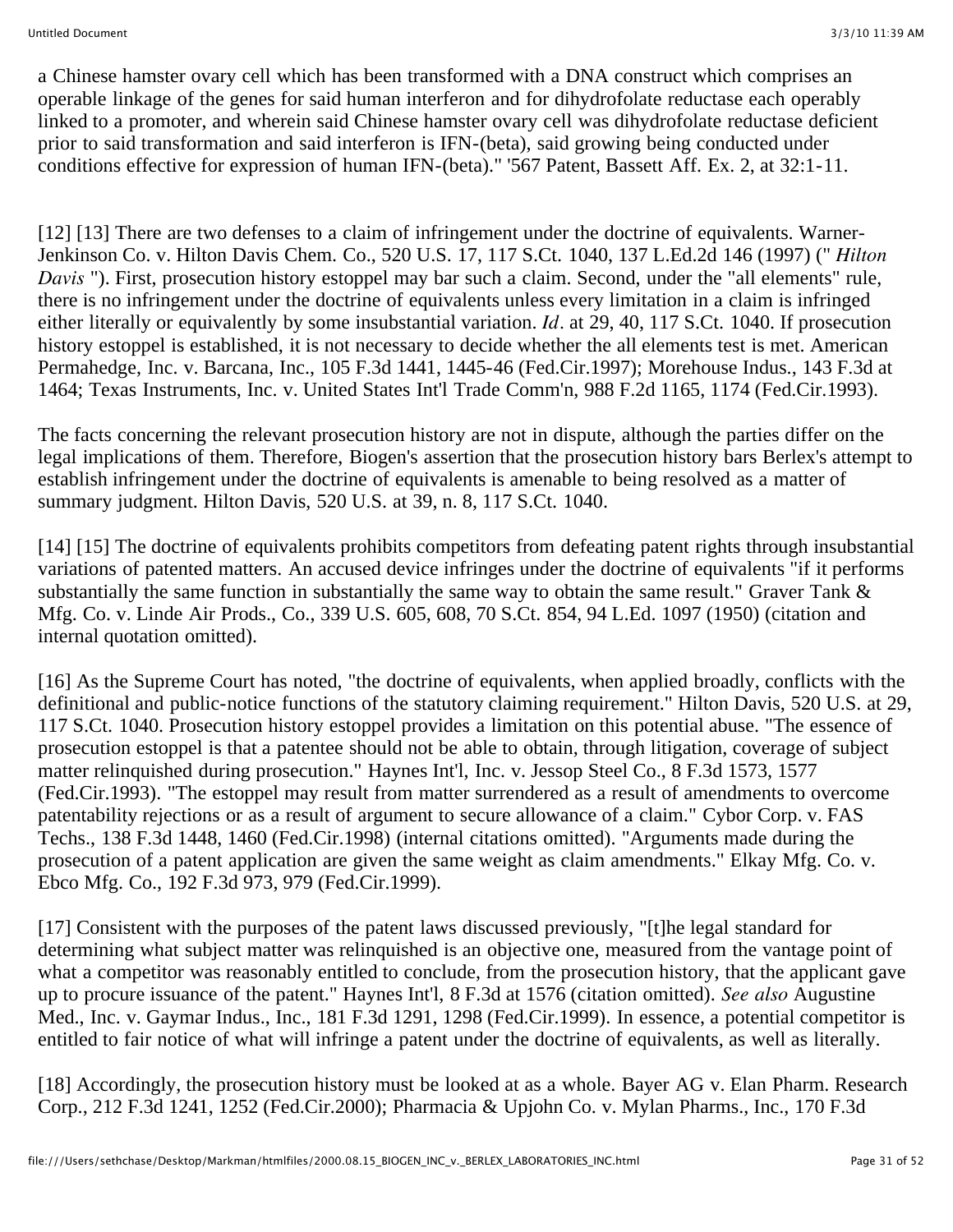a Chinese hamster ovary cell which has been transformed with a DNA construct which comprises an operable linkage of the genes for said human interferon and for dihydrofolate reductase each operably linked to a promoter, and wherein said Chinese hamster ovary cell was dihydrofolate reductase deficient prior to said transformation and said interferon is IFN-(beta), said growing being conducted under conditions effective for expression of human IFN-(beta)." '567 Patent, Bassett Aff. Ex. 2, at 32:1-11.

[12] [13] There are two defenses to a claim of infringement under the doctrine of equivalents. Warner-Jenkinson Co. v. Hilton Davis Chem. Co., 520 U.S. 17, 117 S.Ct. 1040, 137 L.Ed.2d 146 (1997) (" *Hilton Davis* "). First, prosecution history estoppel may bar such a claim. Second, under the "all elements" rule, there is no infringement under the doctrine of equivalents unless every limitation in a claim is infringed either literally or equivalently by some insubstantial variation. *Id.* at 29, 40, 117 S.Ct. 1040. If prosecution history estoppel is established, it is not necessary to decide whether the all elements test is met. American Permahedge, Inc. v. Barcana, Inc., 105 F.3d 1441, 1445-46 (Fed.Cir.1997); Morehouse Indus., 143 F.3d at 1464; Texas Instruments, Inc. v. United States Int'l Trade Comm'n, 988 F.2d 1165, 1174 (Fed.Cir.1993).

The facts concerning the relevant prosecution history are not in dispute, although the parties differ on the legal implications of them. Therefore, Biogen's assertion that the prosecution history bars Berlex's attempt to establish infringement under the doctrine of equivalents is amenable to being resolved as a matter of summary judgment. Hilton Davis, 520 U.S. at 39, n. 8, 117 S.Ct. 1040.

[14] [15] The doctrine of equivalents prohibits competitors from defeating patent rights through insubstantial variations of patented matters. An accused device infringes under the doctrine of equivalents "if it performs substantially the same function in substantially the same way to obtain the same result." Graver Tank & Mfg. Co. v. Linde Air Prods., Co., 339 U.S. 605, 608, 70 S.Ct. 854, 94 L.Ed. 1097 (1950) (citation and internal quotation omitted).

[16] As the Supreme Court has noted, "the doctrine of equivalents, when applied broadly, conflicts with the definitional and public-notice functions of the statutory claiming requirement." Hilton Davis, 520 U.S. at 29, 117 S.Ct. 1040. Prosecution history estoppel provides a limitation on this potential abuse. "The essence of prosecution estoppel is that a patentee should not be able to obtain, through litigation, coverage of subject matter relinquished during prosecution." Haynes Int'l, Inc. v. Jessop Steel Co., 8 F.3d 1573, 1577 (Fed.Cir.1993). "The estoppel may result from matter surrendered as a result of amendments to overcome patentability rejections or as a result of argument to secure allowance of a claim." Cybor Corp. v. FAS Techs., 138 F.3d 1448, 1460 (Fed.Cir.1998) (internal citations omitted). "Arguments made during the prosecution of a patent application are given the same weight as claim amendments." Elkay Mfg. Co. v. Ebco Mfg. Co., 192 F.3d 973, 979 (Fed.Cir.1999).

[17] Consistent with the purposes of the patent laws discussed previously, "[t]he legal standard for determining what subject matter was relinquished is an objective one, measured from the vantage point of what a competitor was reasonably entitled to conclude, from the prosecution history, that the applicant gave up to procure issuance of the patent." Haynes Int'l, 8 F.3d at 1576 (citation omitted). *See also* Augustine Med., Inc. v. Gaymar Indus., Inc., 181 F.3d 1291, 1298 (Fed.Cir.1999). In essence, a potential competitor is entitled to fair notice of what will infringe a patent under the doctrine of equivalents, as well as literally.

[18] Accordingly, the prosecution history must be looked at as a whole. Bayer AG v. Elan Pharm. Research Corp., 212 F.3d 1241, 1252 (Fed.Cir.2000); Pharmacia & Upjohn Co. v. Mylan Pharms., Inc., 170 F.3d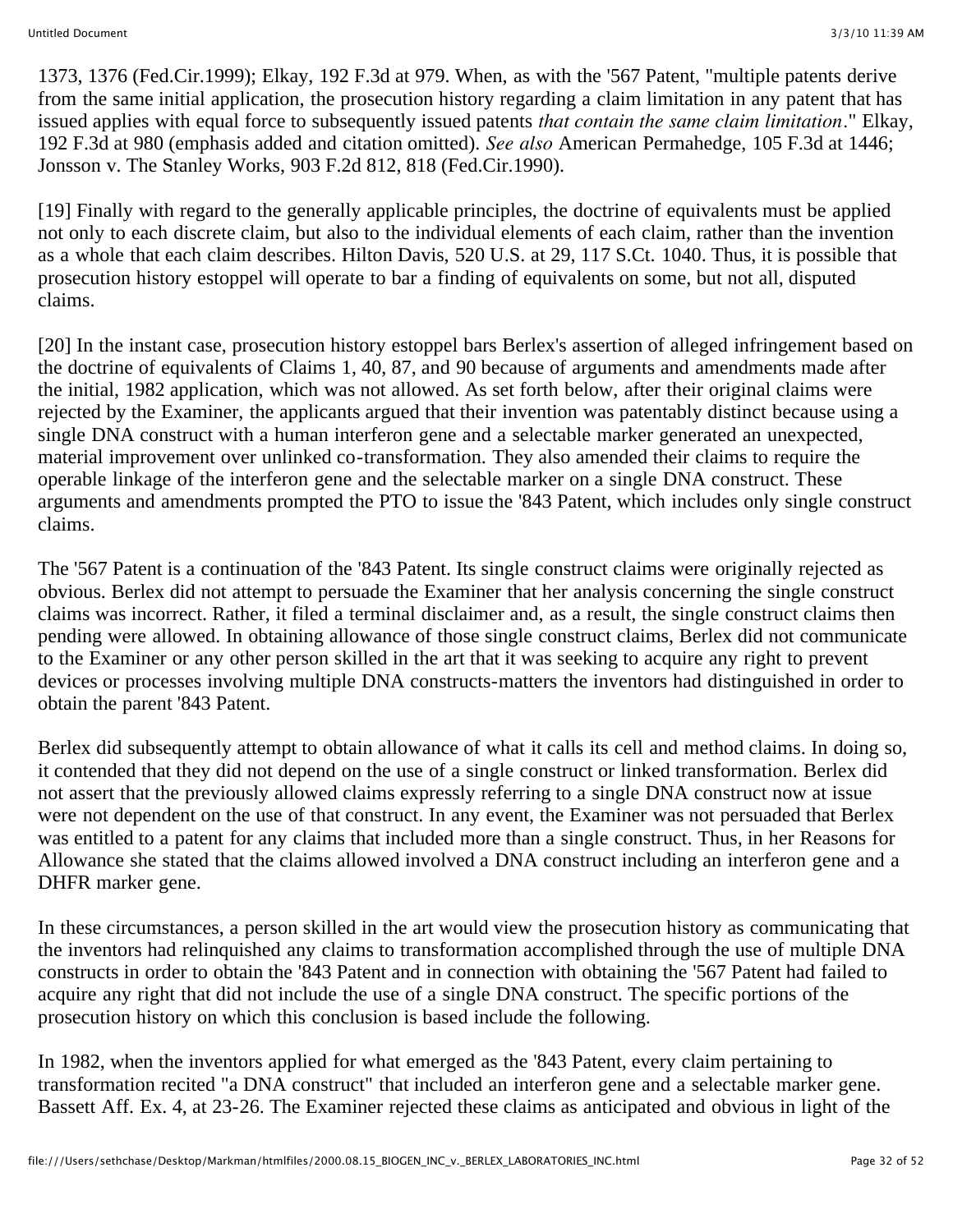1373, 1376 (Fed.Cir.1999); Elkay, 192 F.3d at 979. When, as with the '567 Patent, "multiple patents derive from the same initial application, the prosecution history regarding a claim limitation in any patent that has issued applies with equal force to subsequently issued patents *that contain the same claim limitation.*" Elkay, 192 F.3d at 980 (emphasis added and citation omitted). *See also* American Permahedge, 105 F.3d at 1446; Jonsson v. The Stanley Works, 903 F.2d 812, 818 (Fed.Cir.1990).

[19] Finally with regard to the generally applicable principles, the doctrine of equivalents must be applied not only to each discrete claim, but also to the individual elements of each claim, rather than the invention as a whole that each claim describes. Hilton Davis, 520 U.S. at 29, 117 S.Ct. 1040. Thus, it is possible that prosecution history estoppel will operate to bar a finding of equivalents on some, but not all, disputed claims.

[20] In the instant case, prosecution history estoppel bars Berlex's assertion of alleged infringement based on the doctrine of equivalents of Claims 1, 40, 87, and 90 because of arguments and amendments made after the initial, 1982 application, which was not allowed. As set forth below, after their original claims were rejected by the Examiner, the applicants argued that their invention was patentably distinct because using a single DNA construct with a human interferon gene and a selectable marker generated an unexpected, material improvement over unlinked co-transformation. They also amended their claims to require the operable linkage of the interferon gene and the selectable marker on a single DNA construct. These arguments and amendments prompted the PTO to issue the '843 Patent, which includes only single construct claims.

The '567 Patent is a continuation of the '843 Patent. Its single construct claims were originally rejected as obvious. Berlex did not attempt to persuade the Examiner that her analysis concerning the single construct claims was incorrect. Rather, it filed a terminal disclaimer and, as a result, the single construct claims then pending were allowed. In obtaining allowance of those single construct claims, Berlex did not communicate to the Examiner or any other person skilled in the art that it was seeking to acquire any right to prevent devices or processes involving multiple DNA constructs-matters the inventors had distinguished in order to obtain the parent '843 Patent.

Berlex did subsequently attempt to obtain allowance of what it calls its cell and method claims. In doing so, it contended that they did not depend on the use of a single construct or linked transformation. Berlex did not assert that the previously allowed claims expressly referring to a single DNA construct now at issue were not dependent on the use of that construct. In any event, the Examiner was not persuaded that Berlex was entitled to a patent for any claims that included more than a single construct. Thus, in her Reasons for Allowance she stated that the claims allowed involved a DNA construct including an interferon gene and a DHFR marker gene.

In these circumstances, a person skilled in the art would view the prosecution history as communicating that the inventors had relinquished any claims to transformation accomplished through the use of multiple DNA constructs in order to obtain the '843 Patent and in connection with obtaining the '567 Patent had failed to acquire any right that did not include the use of a single DNA construct. The specific portions of the prosecution history on which this conclusion is based include the following.

In 1982, when the inventors applied for what emerged as the '843 Patent, every claim pertaining to transformation recited "a DNA construct" that included an interferon gene and a selectable marker gene. Bassett Aff. Ex. 4, at 23-26. The Examiner rejected these claims as anticipated and obvious in light of the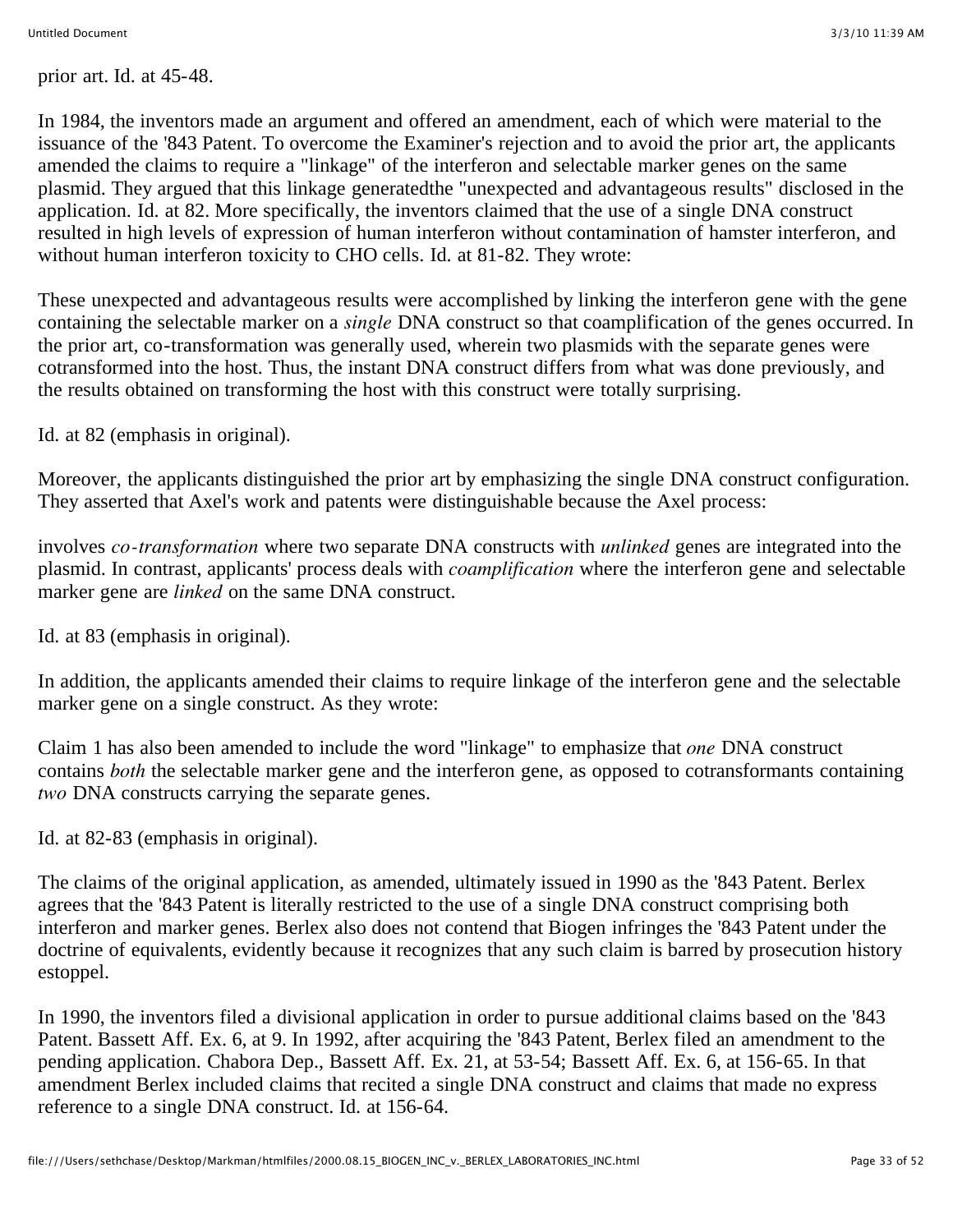prior art. Id. at 45-48.

In 1984, the inventors made an argument and offered an amendment, each of which were material to the issuance of the '843 Patent. To overcome the Examiner's rejection and to avoid the prior art, the applicants amended the claims to require a "linkage" of the interferon and selectable marker genes on the same plasmid. They argued that this linkage generatedthe "unexpected and advantageous results" disclosed in the application. Id. at 82. More specifically, the inventors claimed that the use of a single DNA construct resulted in high levels of expression of human interferon without contamination of hamster interferon, and without human interferon toxicity to CHO cells. Id. at 81-82. They wrote:

These unexpected and advantageous results were accomplished by linking the interferon gene with the gene containing the selectable marker on a *single* DNA construct so that coamplification of the genes occurred. In the prior art, co-transformation was generally used, wherein two plasmids with the separate genes were cotransformed into the host. Thus, the instant DNA construct differs from what was done previously, and the results obtained on transforming the host with this construct were totally surprising.

Id. at 82 (emphasis in original).

Moreover, the applicants distinguished the prior art by emphasizing the single DNA construct configuration. They asserted that Axel's work and patents were distinguishable because the Axel process:

involves *co-transformation* where two separate DNA constructs with *unlinked* genes are integrated into the plasmid. In contrast, applicants' process deals with *coamplification* where the interferon gene and selectable marker gene are *linked* on the same DNA construct.

Id. at 83 (emphasis in original).

In addition, the applicants amended their claims to require linkage of the interferon gene and the selectable marker gene on a single construct. As they wrote:

Claim 1 has also been amended to include the word "linkage" to emphasize that *one* DNA construct contains *both* the selectable marker gene and the interferon gene, as opposed to cotransformants containing *two* DNA constructs carrying the separate genes.

Id. at 82-83 (emphasis in original).

The claims of the original application, as amended, ultimately issued in 1990 as the '843 Patent. Berlex agrees that the '843 Patent is literally restricted to the use of a single DNA construct comprising both interferon and marker genes. Berlex also does not contend that Biogen infringes the '843 Patent under the doctrine of equivalents, evidently because it recognizes that any such claim is barred by prosecution history estoppel.

In 1990, the inventors filed a divisional application in order to pursue additional claims based on the '843 Patent. Bassett Aff. Ex. 6, at 9. In 1992, after acquiring the '843 Patent, Berlex filed an amendment to the pending application. Chabora Dep., Bassett Aff. Ex. 21, at 53-54; Bassett Aff. Ex. 6, at 156-65. In that amendment Berlex included claims that recited a single DNA construct and claims that made no express reference to a single DNA construct. Id. at 156-64.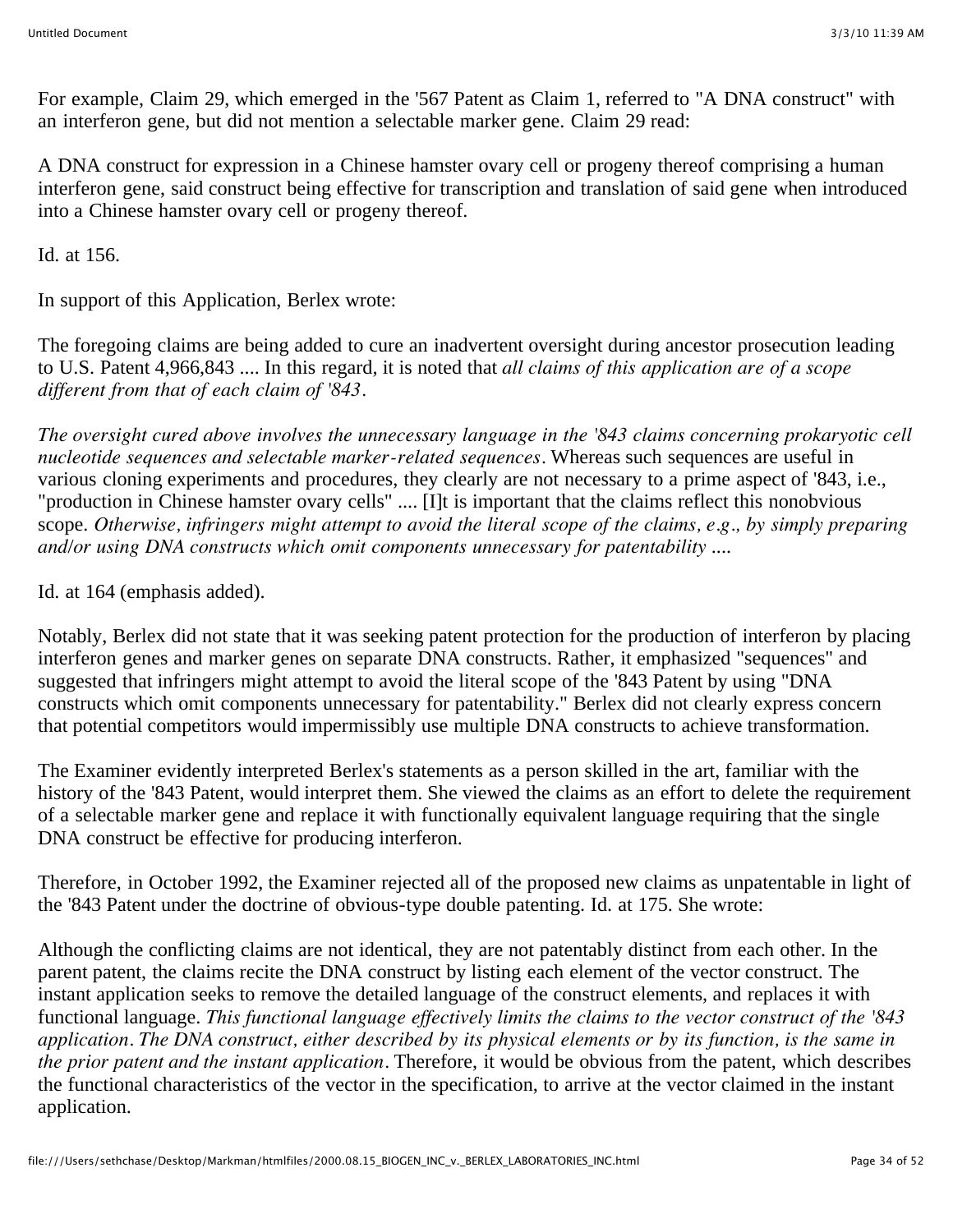For example, Claim 29, which emerged in the '567 Patent as Claim 1, referred to "A DNA construct" with an interferon gene, but did not mention a selectable marker gene. Claim 29 read:

A DNA construct for expression in a Chinese hamster ovary cell or progeny thereof comprising a human interferon gene, said construct being effective for transcription and translation of said gene when introduced into a Chinese hamster ovary cell or progeny thereof.

Id. at 156.

In support of this Application, Berlex wrote:

The foregoing claims are being added to cure an inadvertent oversight during ancestor prosecution leading to U.S. Patent 4,966,843 .... In this regard, it is noted that *all claims of this application are of a scope different from that of each claim of '843.*

*The oversight cured above involves the unnecessary language in the '843 claims concerning prokaryotic cell nucleotide sequences and selectable marker-related sequences.* Whereas such sequences are useful in various cloning experiments and procedures, they clearly are not necessary to a prime aspect of '843, i.e., "production in Chinese hamster ovary cells" .... [I]t is important that the claims reflect this nonobvious scope. *Otherwise, infringers might attempt to avoid the literal scope of the claims, e.g., by simply preparing and/or using DNA constructs which omit components unnecessary for patentability* ....

Id. at 164 (emphasis added).

Notably, Berlex did not state that it was seeking patent protection for the production of interferon by placing interferon genes and marker genes on separate DNA constructs. Rather, it emphasized "sequences" and suggested that infringers might attempt to avoid the literal scope of the '843 Patent by using "DNA constructs which omit components unnecessary for patentability." Berlex did not clearly express concern that potential competitors would impermissibly use multiple DNA constructs to achieve transformation.

The Examiner evidently interpreted Berlex's statements as a person skilled in the art, familiar with the history of the '843 Patent, would interpret them. She viewed the claims as an effort to delete the requirement of a selectable marker gene and replace it with functionally equivalent language requiring that the single DNA construct be effective for producing interferon.

Therefore, in October 1992, the Examiner rejected all of the proposed new claims as unpatentable in light of the '843 Patent under the doctrine of obvious-type double patenting. Id. at 175. She wrote:

Although the conflicting claims are not identical, they are not patentably distinct from each other. In the parent patent, the claims recite the DNA construct by listing each element of the vector construct. The instant application seeks to remove the detailed language of the construct elements, and replaces it with functional language. *This functional language effectively limits the claims to the vector construct of the '843 application. The DNA construct, either described by its physical elements or by its function, is the same in the prior patent and the instant application.* Therefore, it would be obvious from the patent, which describes the functional characteristics of the vector in the specification, to arrive at the vector claimed in the instant application.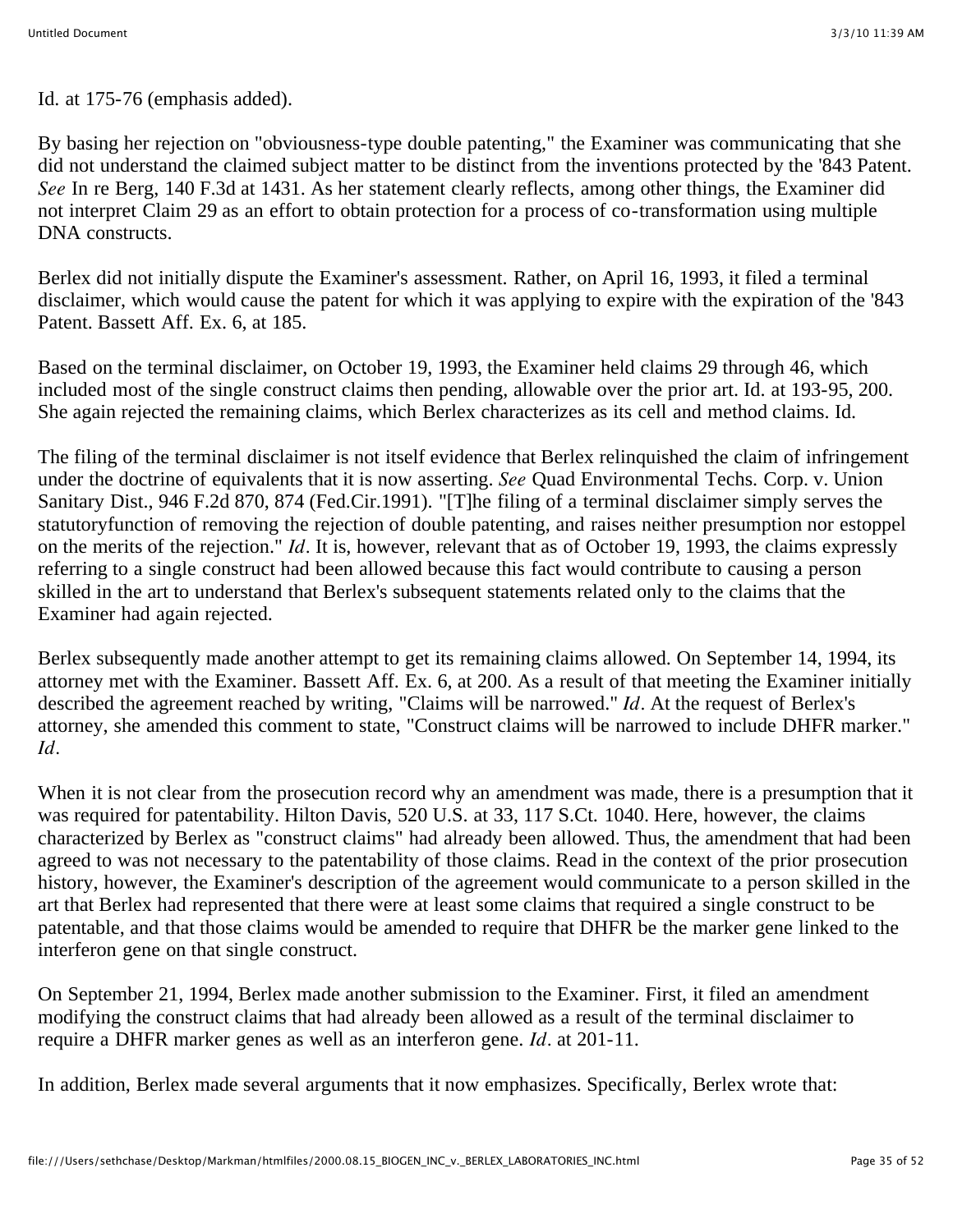Id. at 175-76 (emphasis added).

By basing her rejection on "obviousness-type double patenting," the Examiner was communicating that she did not understand the claimed subject matter to be distinct from the inventions protected by the '843 Patent. *See* In re Berg, 140 F.3d at 1431. As her statement clearly reflects, among other things, the Examiner did not interpret Claim 29 as an effort to obtain protection for a process of co-transformation using multiple DNA constructs.

Berlex did not initially dispute the Examiner's assessment. Rather, on April 16, 1993, it filed a terminal disclaimer, which would cause the patent for which it was applying to expire with the expiration of the '843 Patent. Bassett Aff. Ex. 6, at 185.

Based on the terminal disclaimer, on October 19, 1993, the Examiner held claims 29 through 46, which included most of the single construct claims then pending, allowable over the prior art. Id. at 193-95, 200. She again rejected the remaining claims, which Berlex characterizes as its cell and method claims. Id.

The filing of the terminal disclaimer is not itself evidence that Berlex relinquished the claim of infringement under the doctrine of equivalents that it is now asserting. *See* Quad Environmental Techs. Corp. v. Union Sanitary Dist., 946 F.2d 870, 874 (Fed.Cir.1991). "[T]he filing of a terminal disclaimer simply serves the statutoryfunction of removing the rejection of double patenting, and raises neither presumption nor estoppel on the merits of the rejection." *Id.* It is, however, relevant that as of October 19, 1993, the claims expressly referring to a single construct had been allowed because this fact would contribute to causing a person skilled in the art to understand that Berlex's subsequent statements related only to the claims that the Examiner had again rejected.

Berlex subsequently made another attempt to get its remaining claims allowed. On September 14, 1994, its attorney met with the Examiner. Bassett Aff. Ex. 6, at 200. As a result of that meeting the Examiner initially described the agreement reached by writing, "Claims will be narrowed." *Id.* At the request of Berlex's attorney, she amended this comment to state, "Construct claims will be narrowed to include DHFR marker." *Id.*

When it is not clear from the prosecution record why an amendment was made, there is a presumption that it was required for patentability. Hilton Davis, 520 U.S. at 33, 117 S.Ct. 1040. Here, however, the claims characterized by Berlex as "construct claims" had already been allowed. Thus, the amendment that had been agreed to was not necessary to the patentability of those claims. Read in the context of the prior prosecution history, however, the Examiner's description of the agreement would communicate to a person skilled in the art that Berlex had represented that there were at least some claims that required a single construct to be patentable, and that those claims would be amended to require that DHFR be the marker gene linked to the interferon gene on that single construct.

On September 21, 1994, Berlex made another submission to the Examiner. First, it filed an amendment modifying the construct claims that had already been allowed as a result of the terminal disclaimer to require a DHFR marker genes as well as an interferon gene. *Id.* at 201-11.

In addition, Berlex made several arguments that it now emphasizes. Specifically, Berlex wrote that: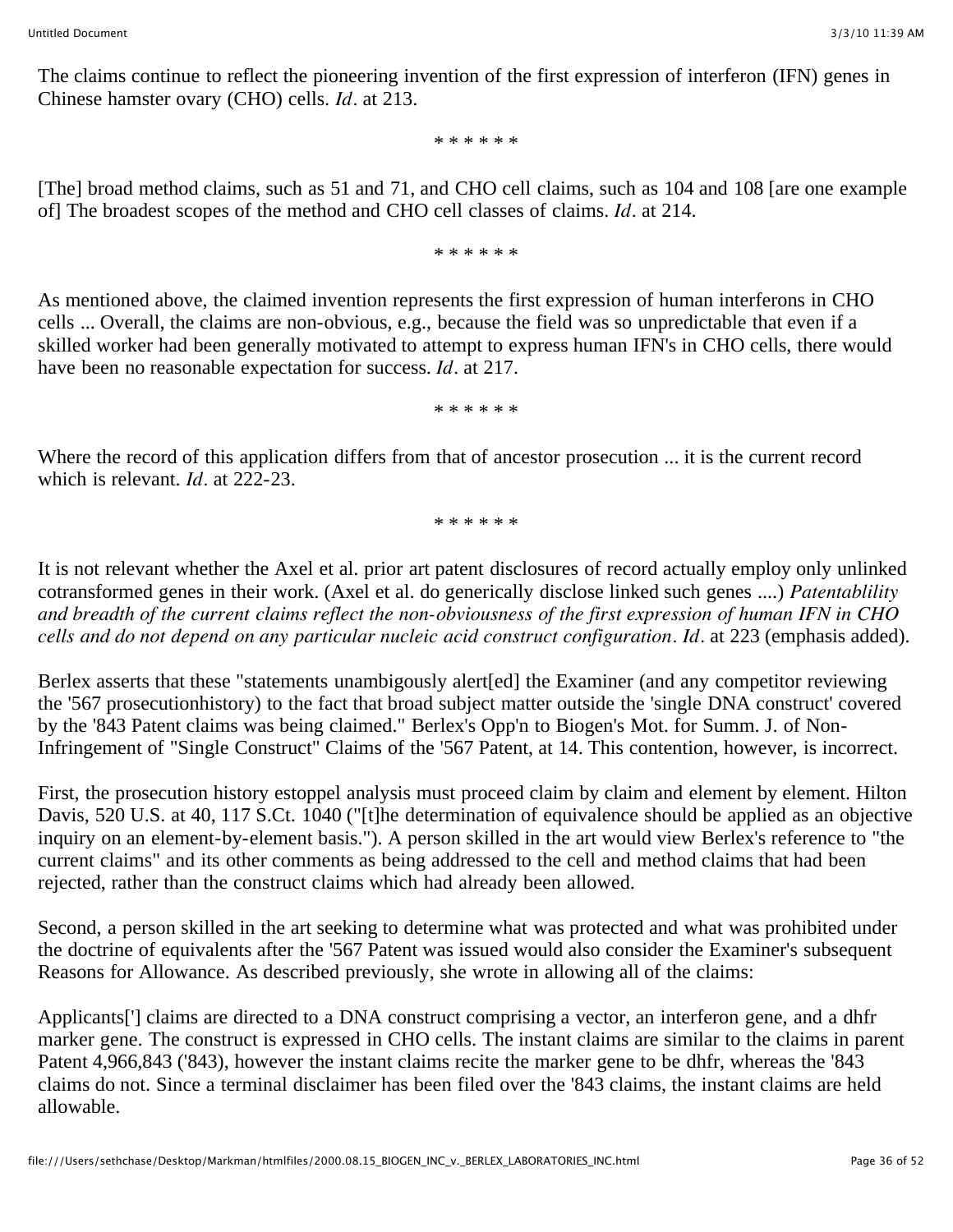The claims continue to reflect the pioneering invention of the first expression of interferon (IFN) genes in Chinese hamster ovary (CHO) cells. *Id.* at 213.

\* \* \* \* \* \*

[The] broad method claims, such as 51 and 71, and CHO cell claims, such as 104 and 108 [are one example of] The broadest scopes of the method and CHO cell classes of claims. *Id.* at 214.

\* \* \* \* \* \*

As mentioned above, the claimed invention represents the first expression of human interferons in CHO cells ... Overall, the claims are non-obvious, e.g., because the field was so unpredictable that even if a skilled worker had been generally motivated to attempt to express human IFN's in CHO cells, there would have been no reasonable expectation for success. *Id.* at 217.

\* \* \* \* \* \*

Where the record of this application differs from that of ancestor prosecution ... it is the current record which is relevant. *Id.* at 222-23.

\* \* \* \* \* \*

It is not relevant whether the Axel et al. prior art patent disclosures of record actually employ only unlinked cotransformed genes in their work. (Axel et al. do generically disclose linked such genes ....) *Patentablility and breadth of the current claims reflect the non-obviousness of the first expression of human IFN in CHO cells and do not depend on any particular nucleic acid construct configuration. Id.* at 223 (emphasis added).

Berlex asserts that these "statements unambigously alert[ed] the Examiner (and any competitor reviewing the '567 prosecutionhistory) to the fact that broad subject matter outside the 'single DNA construct' covered by the '843 Patent claims was being claimed." Berlex's Opp'n to Biogen's Mot. for Summ. J. of Non-Infringement of "Single Construct" Claims of the '567 Patent, at 14. This contention, however, is incorrect.

First, the prosecution history estoppel analysis must proceed claim by claim and element by element. Hilton Davis, 520 U.S. at 40, 117 S.Ct. 1040 ("[t]he determination of equivalence should be applied as an objective inquiry on an element-by-element basis."). A person skilled in the art would view Berlex's reference to "the current claims" and its other comments as being addressed to the cell and method claims that had been rejected, rather than the construct claims which had already been allowed.

Second, a person skilled in the art seeking to determine what was protected and what was prohibited under the doctrine of equivalents after the '567 Patent was issued would also consider the Examiner's subsequent Reasons for Allowance. As described previously, she wrote in allowing all of the claims:

Applicants['] claims are directed to a DNA construct comprising a vector, an interferon gene, and a dhfr marker gene. The construct is expressed in CHO cells. The instant claims are similar to the claims in parent Patent 4,966,843 ('843), however the instant claims recite the marker gene to be dhfr, whereas the '843 claims do not. Since a terminal disclaimer has been filed over the '843 claims, the instant claims are held allowable.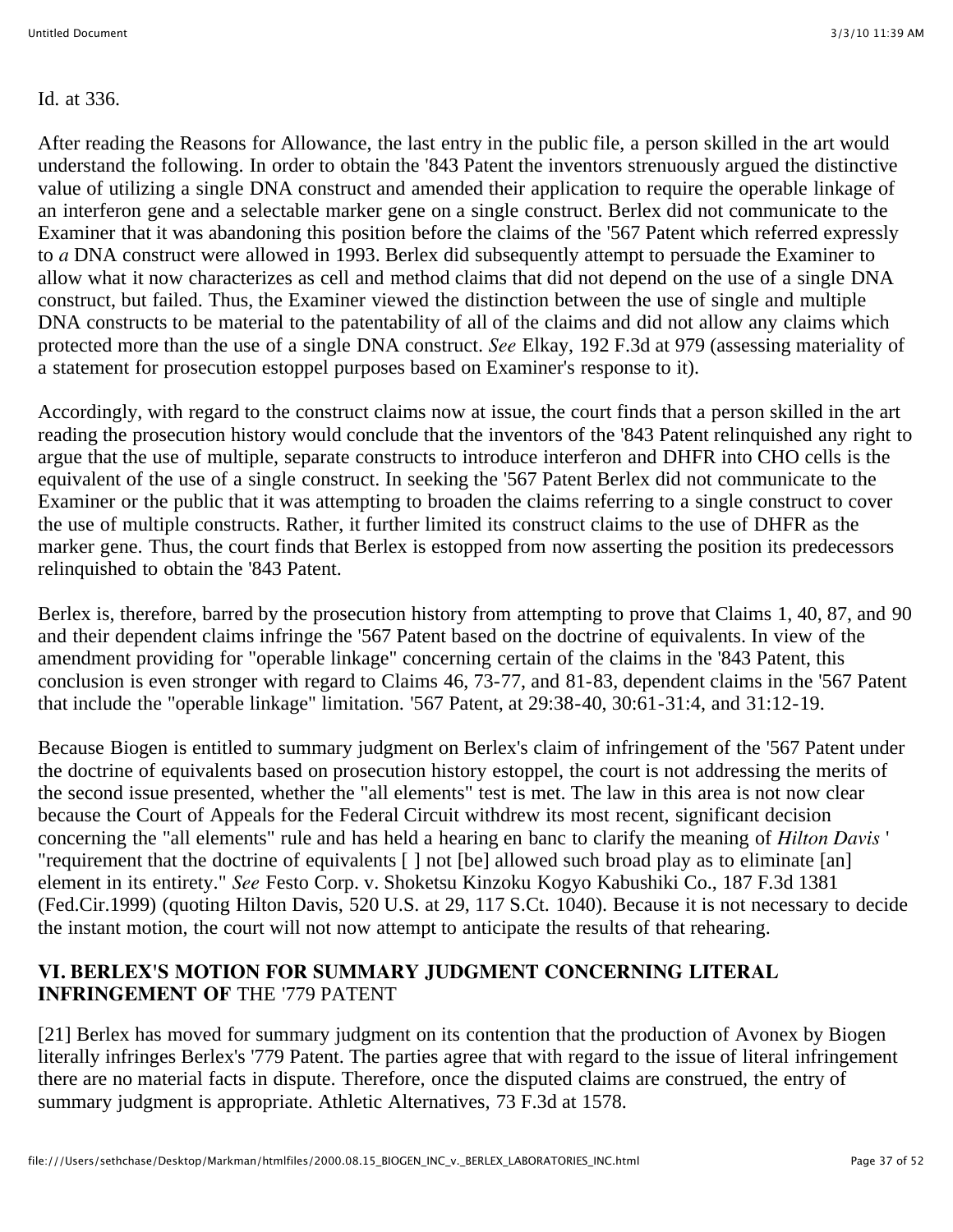Id. at 336.

After reading the Reasons for Allowance, the last entry in the public file, a person skilled in the art would understand the following. In order to obtain the '843 Patent the inventors strenuously argued the distinctive value of utilizing a single DNA construct and amended their application to require the operable linkage of an interferon gene and a selectable marker gene on a single construct. Berlex did not communicate to the Examiner that it was abandoning this position before the claims of the '567 Patent which referred expressly to *a* DNA construct were allowed in 1993. Berlex did subsequently attempt to persuade the Examiner to allow what it now characterizes as cell and method claims that did not depend on the use of a single DNA construct, but failed. Thus, the Examiner viewed the distinction between the use of single and multiple DNA constructs to be material to the patentability of all of the claims and did not allow any claims which protected more than the use of a single DNA construct. *See* Elkay, 192 F.3d at 979 (assessing materiality of a statement for prosecution estoppel purposes based on Examiner's response to it).

Accordingly, with regard to the construct claims now at issue, the court finds that a person skilled in the art reading the prosecution history would conclude that the inventors of the '843 Patent relinquished any right to argue that the use of multiple, separate constructs to introduce interferon and DHFR into CHO cells is the equivalent of the use of a single construct. In seeking the '567 Patent Berlex did not communicate to the Examiner or the public that it was attempting to broaden the claims referring to a single construct to cover the use of multiple constructs. Rather, it further limited its construct claims to the use of DHFR as the marker gene. Thus, the court finds that Berlex is estopped from now asserting the position its predecessors relinquished to obtain the '843 Patent.

Berlex is, therefore, barred by the prosecution history from attempting to prove that Claims 1, 40, 87, and 90 and their dependent claims infringe the '567 Patent based on the doctrine of equivalents. In view of the amendment providing for "operable linkage" concerning certain of the claims in the '843 Patent, this conclusion is even stronger with regard to Claims 46, 73-77, and 81-83, dependent claims in the '567 Patent that include the "operable linkage" limitation. '567 Patent, at 29:38-40, 30:61-31:4, and 31:12-19.

Because Biogen is entitled to summary judgment on Berlex's claim of infringement of the '567 Patent under the doctrine of equivalents based on prosecution history estoppel, the court is not addressing the merits of the second issue presented, whether the "all elements" test is met. The law in this area is not now clear because the Court of Appeals for the Federal Circuit withdrew its most recent, significant decision concerning the "all elements" rule and has held a hearing en banc to clarify the meaning of *Hilton Davis* ' "requirement that the doctrine of equivalents [ ] not [be] allowed such broad play as to eliminate [an] element in its entirety." *See* Festo Corp. v. Shoketsu Kinzoku Kogyo Kabushiki Co., 187 F.3d 1381 (Fed.Cir.1999) (quoting Hilton Davis, 520 U.S. at 29, 117 S.Ct. 1040). Because it is not necessary to decide the instant motion, the court will not now attempt to anticipate the results of that rehearing.

#### **VI. BERLEX'S MOTION FOR SUMMARY JUDGMENT CONCERNING LITERAL INFRINGEMENT OF** THE '779 PATENT

[21] Berlex has moved for summary judgment on its contention that the production of Avonex by Biogen literally infringes Berlex's '779 Patent. The parties agree that with regard to the issue of literal infringement there are no material facts in dispute. Therefore, once the disputed claims are construed, the entry of summary judgment is appropriate. Athletic Alternatives, 73 F.3d at 1578.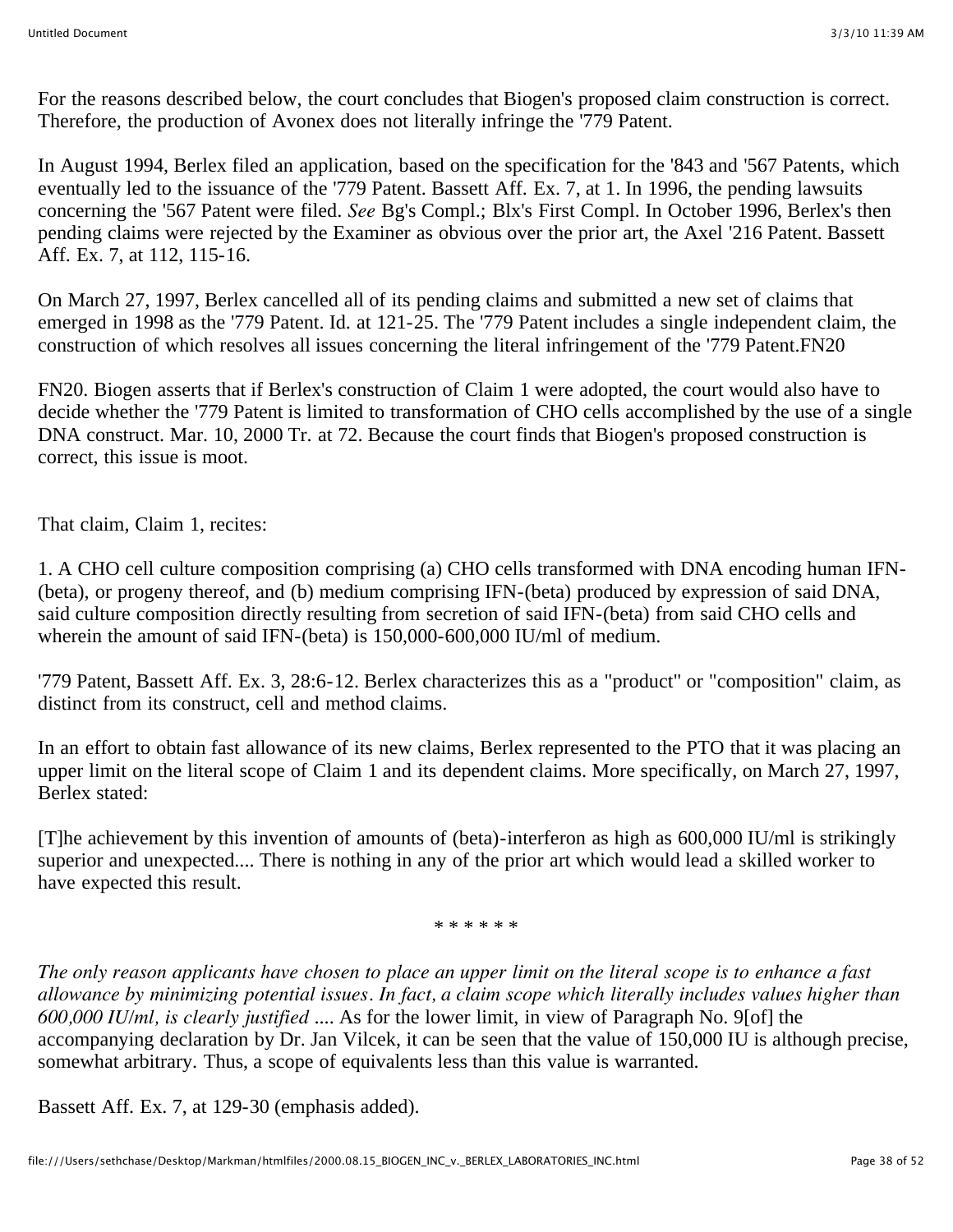For the reasons described below, the court concludes that Biogen's proposed claim construction is correct. Therefore, the production of Avonex does not literally infringe the '779 Patent.

In August 1994, Berlex filed an application, based on the specification for the '843 and '567 Patents, which eventually led to the issuance of the '779 Patent. Bassett Aff. Ex. 7, at 1. In 1996, the pending lawsuits concerning the '567 Patent were filed. *See* Bg's Compl.; Blx's First Compl. In October 1996, Berlex's then pending claims were rejected by the Examiner as obvious over the prior art, the Axel '216 Patent. Bassett Aff. Ex. 7, at 112, 115-16.

On March 27, 1997, Berlex cancelled all of its pending claims and submitted a new set of claims that emerged in 1998 as the '779 Patent. Id. at 121-25. The '779 Patent includes a single independent claim, the construction of which resolves all issues concerning the literal infringement of the '779 Patent.FN20

FN20. Biogen asserts that if Berlex's construction of Claim 1 were adopted, the court would also have to decide whether the '779 Patent is limited to transformation of CHO cells accomplished by the use of a single DNA construct. Mar. 10, 2000 Tr. at 72. Because the court finds that Biogen's proposed construction is correct, this issue is moot.

That claim, Claim 1, recites:

1. A CHO cell culture composition comprising (a) CHO cells transformed with DNA encoding human IFN- (beta), or progeny thereof, and (b) medium comprising IFN-(beta) produced by expression of said DNA, said culture composition directly resulting from secretion of said IFN-(beta) from said CHO cells and wherein the amount of said IFN-(beta) is 150,000-600,000 IU/ml of medium.

'779 Patent, Bassett Aff. Ex. 3, 28:6-12. Berlex characterizes this as a "product" or "composition" claim, as distinct from its construct, cell and method claims.

In an effort to obtain fast allowance of its new claims, Berlex represented to the PTO that it was placing an upper limit on the literal scope of Claim 1 and its dependent claims. More specifically, on March 27, 1997, Berlex stated:

[T]he achievement by this invention of amounts of (beta)-interferon as high as 600,000 IU/ml is strikingly superior and unexpected.... There is nothing in any of the prior art which would lead a skilled worker to have expected this result.

\* \* \* \* \* \*

*The only reason applicants have chosen to place an upper limit on the literal scope is to enhance a fast allowance by minimizing potential issues. In fact, a claim scope which literally includes values higher than 600,000 IU/ml, is clearly justified* .... As for the lower limit, in view of Paragraph No. 9[of] the accompanying declaration by Dr. Jan Vilcek, it can be seen that the value of 150,000 IU is although precise, somewhat arbitrary. Thus, a scope of equivalents less than this value is warranted.

Bassett Aff. Ex. 7, at 129-30 (emphasis added).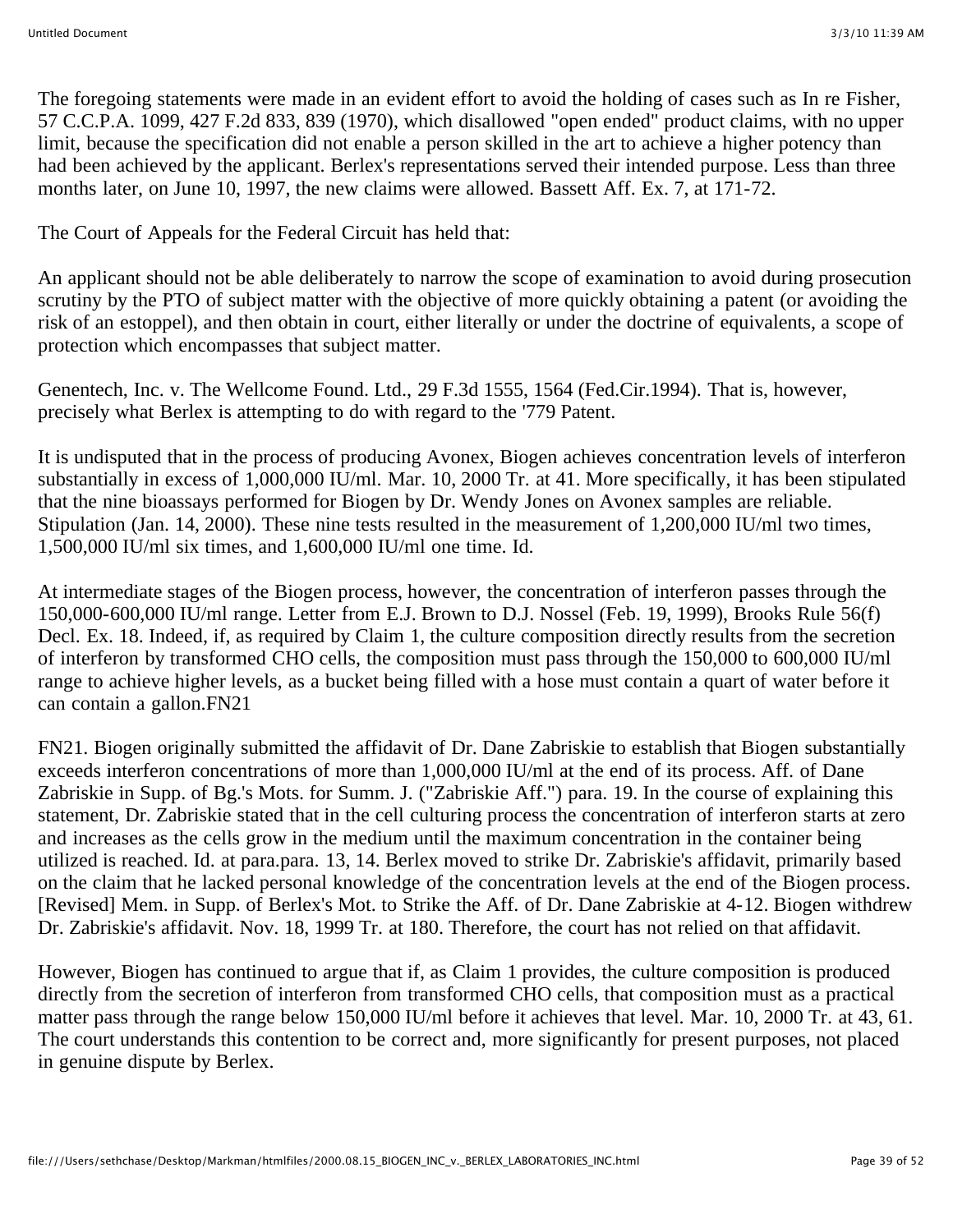The foregoing statements were made in an evident effort to avoid the holding of cases such as In re Fisher, 57 C.C.P.A. 1099, 427 F.2d 833, 839 (1970), which disallowed "open ended" product claims, with no upper limit, because the specification did not enable a person skilled in the art to achieve a higher potency than had been achieved by the applicant. Berlex's representations served their intended purpose. Less than three months later, on June 10, 1997, the new claims were allowed. Bassett Aff. Ex. 7, at 171-72.

The Court of Appeals for the Federal Circuit has held that:

An applicant should not be able deliberately to narrow the scope of examination to avoid during prosecution scrutiny by the PTO of subject matter with the objective of more quickly obtaining a patent (or avoiding the risk of an estoppel), and then obtain in court, either literally or under the doctrine of equivalents, a scope of protection which encompasses that subject matter.

Genentech, Inc. v. The Wellcome Found. Ltd., 29 F.3d 1555, 1564 (Fed.Cir.1994). That is, however, precisely what Berlex is attempting to do with regard to the '779 Patent.

It is undisputed that in the process of producing Avonex, Biogen achieves concentration levels of interferon substantially in excess of 1,000,000 IU/ml. Mar. 10, 2000 Tr. at 41. More specifically, it has been stipulated that the nine bioassays performed for Biogen by Dr. Wendy Jones on Avonex samples are reliable. Stipulation (Jan. 14, 2000). These nine tests resulted in the measurement of 1,200,000 IU/ml two times, 1,500,000 IU/ml six times, and 1,600,000 IU/ml one time. Id.

At intermediate stages of the Biogen process, however, the concentration of interferon passes through the 150,000-600,000 IU/ml range. Letter from E.J. Brown to D.J. Nossel (Feb. 19, 1999), Brooks Rule 56(f) Decl. Ex. 18. Indeed, if, as required by Claim 1, the culture composition directly results from the secretion of interferon by transformed CHO cells, the composition must pass through the 150,000 to 600,000 IU/ml range to achieve higher levels, as a bucket being filled with a hose must contain a quart of water before it can contain a gallon.FN21

FN21. Biogen originally submitted the affidavit of Dr. Dane Zabriskie to establish that Biogen substantially exceeds interferon concentrations of more than 1,000,000 IU/ml at the end of its process. Aff. of Dane Zabriskie in Supp. of Bg.'s Mots. for Summ. J. ("Zabriskie Aff.") para. 19. In the course of explaining this statement, Dr. Zabriskie stated that in the cell culturing process the concentration of interferon starts at zero and increases as the cells grow in the medium until the maximum concentration in the container being utilized is reached. Id. at para.para. 13, 14. Berlex moved to strike Dr. Zabriskie's affidavit, primarily based on the claim that he lacked personal knowledge of the concentration levels at the end of the Biogen process. [Revised] Mem. in Supp. of Berlex's Mot. to Strike the Aff. of Dr. Dane Zabriskie at 4-12. Biogen withdrew Dr. Zabriskie's affidavit. Nov. 18, 1999 Tr. at 180. Therefore, the court has not relied on that affidavit.

However, Biogen has continued to argue that if, as Claim 1 provides, the culture composition is produced directly from the secretion of interferon from transformed CHO cells, that composition must as a practical matter pass through the range below 150,000 IU/ml before it achieves that level. Mar. 10, 2000 Tr. at 43, 61. The court understands this contention to be correct and, more significantly for present purposes, not placed in genuine dispute by Berlex.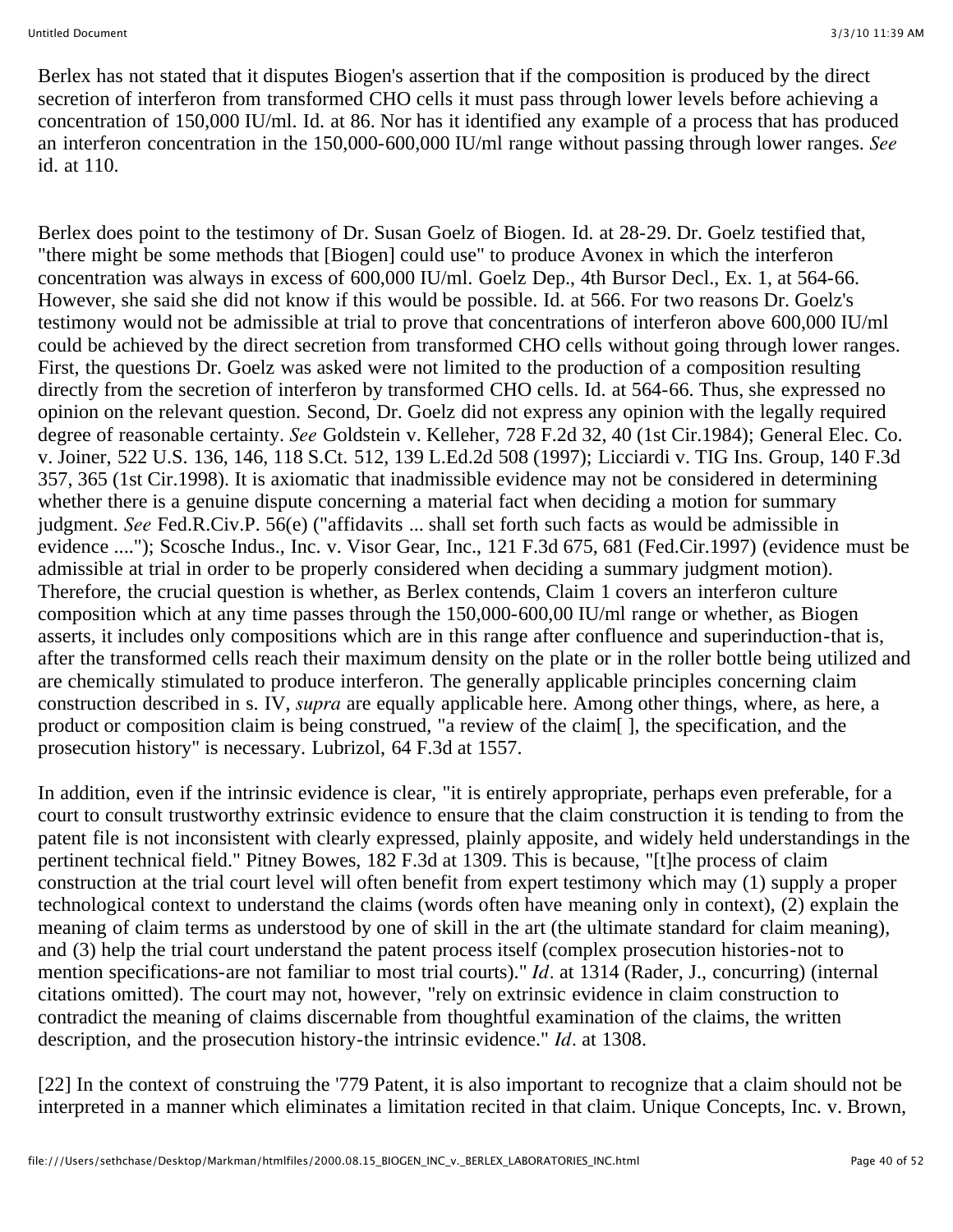Berlex has not stated that it disputes Biogen's assertion that if the composition is produced by the direct secretion of interferon from transformed CHO cells it must pass through lower levels before achieving a concentration of 150,000 IU/ml. Id. at 86. Nor has it identified any example of a process that has produced an interferon concentration in the 150,000-600,000 IU/ml range without passing through lower ranges. *See* id. at 110.

Berlex does point to the testimony of Dr. Susan Goelz of Biogen. Id. at 28-29. Dr. Goelz testified that, "there might be some methods that [Biogen] could use" to produce Avonex in which the interferon concentration was always in excess of 600,000 IU/ml. Goelz Dep., 4th Bursor Decl., Ex. 1, at 564-66. However, she said she did not know if this would be possible. Id. at 566. For two reasons Dr. Goelz's testimony would not be admissible at trial to prove that concentrations of interferon above 600,000 IU/ml could be achieved by the direct secretion from transformed CHO cells without going through lower ranges. First, the questions Dr. Goelz was asked were not limited to the production of a composition resulting directly from the secretion of interferon by transformed CHO cells. Id. at 564-66. Thus, she expressed no opinion on the relevant question. Second, Dr. Goelz did not express any opinion with the legally required degree of reasonable certainty. *See* Goldstein v. Kelleher, 728 F.2d 32, 40 (1st Cir.1984); General Elec. Co. v. Joiner, 522 U.S. 136, 146, 118 S.Ct. 512, 139 L.Ed.2d 508 (1997); Licciardi v. TIG Ins. Group, 140 F.3d 357, 365 (1st Cir.1998). It is axiomatic that inadmissible evidence may not be considered in determining whether there is a genuine dispute concerning a material fact when deciding a motion for summary judgment. *See* Fed.R.Civ.P. 56(e) ("affidavits ... shall set forth such facts as would be admissible in evidence ...."); Scosche Indus., Inc. v. Visor Gear, Inc., 121 F.3d 675, 681 (Fed.Cir.1997) (evidence must be admissible at trial in order to be properly considered when deciding a summary judgment motion). Therefore, the crucial question is whether, as Berlex contends, Claim 1 covers an interferon culture composition which at any time passes through the 150,000-600,00 IU/ml range or whether, as Biogen asserts, it includes only compositions which are in this range after confluence and superinduction-that is, after the transformed cells reach their maximum density on the plate or in the roller bottle being utilized and are chemically stimulated to produce interferon. The generally applicable principles concerning claim construction described in s. IV, *supra* are equally applicable here. Among other things, where, as here, a product or composition claim is being construed, "a review of the claim[ ], the specification, and the prosecution history" is necessary. Lubrizol, 64 F.3d at 1557.

In addition, even if the intrinsic evidence is clear, "it is entirely appropriate, perhaps even preferable, for a court to consult trustworthy extrinsic evidence to ensure that the claim construction it is tending to from the patent file is not inconsistent with clearly expressed, plainly apposite, and widely held understandings in the pertinent technical field." Pitney Bowes, 182 F.3d at 1309. This is because, "[t]he process of claim construction at the trial court level will often benefit from expert testimony which may (1) supply a proper technological context to understand the claims (words often have meaning only in context), (2) explain the meaning of claim terms as understood by one of skill in the art (the ultimate standard for claim meaning), and (3) help the trial court understand the patent process itself (complex prosecution histories-not to mention specifications-are not familiar to most trial courts)." *Id.* at 1314 (Rader, J., concurring) (internal citations omitted). The court may not, however, "rely on extrinsic evidence in claim construction to contradict the meaning of claims discernable from thoughtful examination of the claims, the written description, and the prosecution history-the intrinsic evidence." *Id.* at 1308.

[22] In the context of construing the '779 Patent, it is also important to recognize that a claim should not be interpreted in a manner which eliminates a limitation recited in that claim. Unique Concepts, Inc. v. Brown,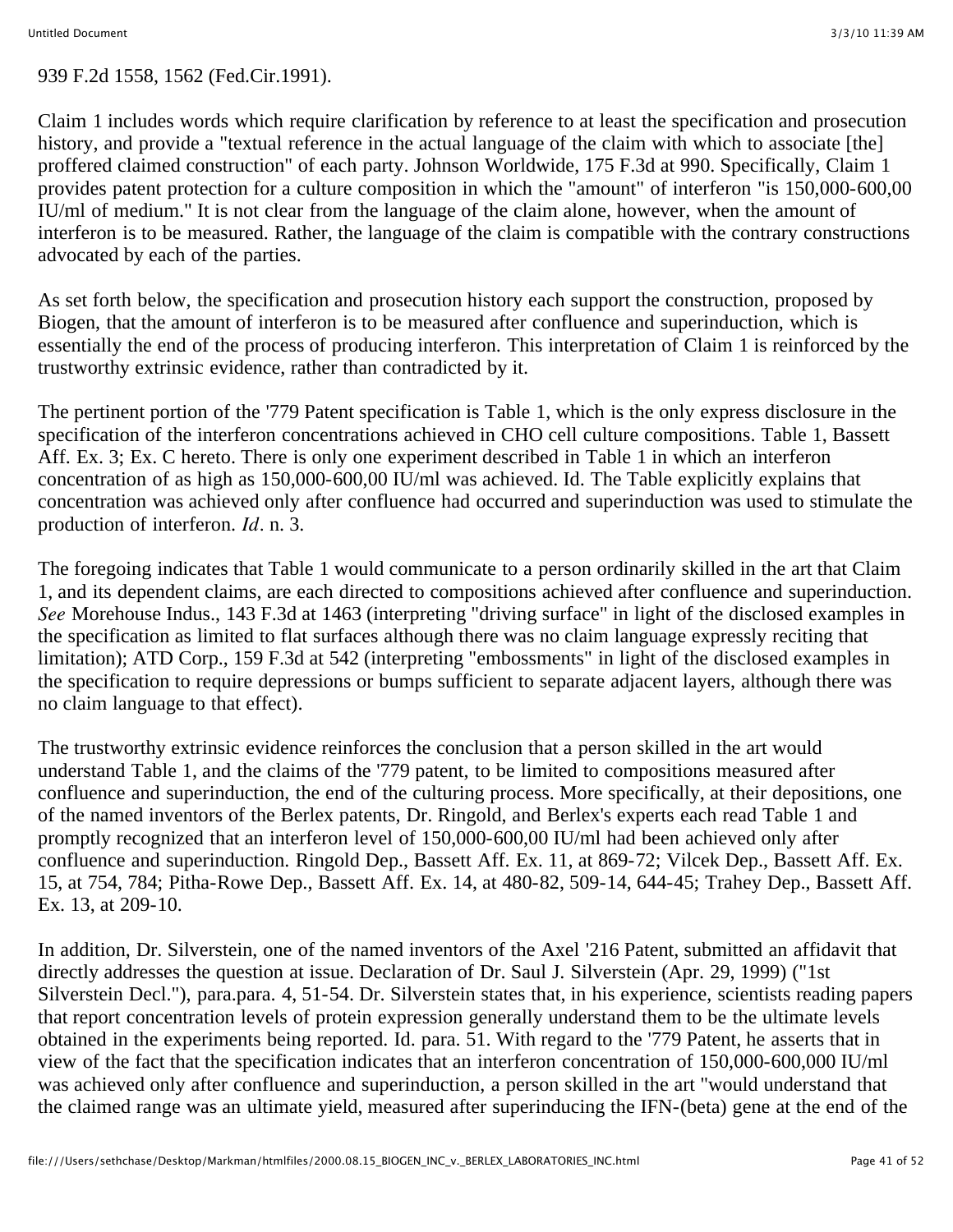#### 939 F.2d 1558, 1562 (Fed.Cir.1991).

Claim 1 includes words which require clarification by reference to at least the specification and prosecution history, and provide a "textual reference in the actual language of the claim with which to associate [the] proffered claimed construction" of each party. Johnson Worldwide, 175 F.3d at 990. Specifically, Claim 1 provides patent protection for a culture composition in which the "amount" of interferon "is 150,000-600,00 IU/ml of medium." It is not clear from the language of the claim alone, however, when the amount of interferon is to be measured. Rather, the language of the claim is compatible with the contrary constructions advocated by each of the parties.

As set forth below, the specification and prosecution history each support the construction, proposed by Biogen, that the amount of interferon is to be measured after confluence and superinduction, which is essentially the end of the process of producing interferon. This interpretation of Claim 1 is reinforced by the trustworthy extrinsic evidence, rather than contradicted by it.

The pertinent portion of the '779 Patent specification is Table 1, which is the only express disclosure in the specification of the interferon concentrations achieved in CHO cell culture compositions. Table 1, Bassett Aff. Ex. 3; Ex. C hereto. There is only one experiment described in Table 1 in which an interferon concentration of as high as 150,000-600,00 IU/ml was achieved. Id. The Table explicitly explains that concentration was achieved only after confluence had occurred and superinduction was used to stimulate the production of interferon. *Id.* n. 3.

The foregoing indicates that Table 1 would communicate to a person ordinarily skilled in the art that Claim 1, and its dependent claims, are each directed to compositions achieved after confluence and superinduction. *See* Morehouse Indus., 143 F.3d at 1463 (interpreting "driving surface" in light of the disclosed examples in the specification as limited to flat surfaces although there was no claim language expressly reciting that limitation); ATD Corp., 159 F.3d at 542 (interpreting "embossments" in light of the disclosed examples in the specification to require depressions or bumps sufficient to separate adjacent layers, although there was no claim language to that effect).

The trustworthy extrinsic evidence reinforces the conclusion that a person skilled in the art would understand Table 1, and the claims of the '779 patent, to be limited to compositions measured after confluence and superinduction, the end of the culturing process. More specifically, at their depositions, one of the named inventors of the Berlex patents, Dr. Ringold, and Berlex's experts each read Table 1 and promptly recognized that an interferon level of 150,000-600,00 IU/ml had been achieved only after confluence and superinduction. Ringold Dep., Bassett Aff. Ex. 11, at 869-72; Vilcek Dep., Bassett Aff. Ex. 15, at 754, 784; Pitha-Rowe Dep., Bassett Aff. Ex. 14, at 480-82, 509-14, 644-45; Trahey Dep., Bassett Aff. Ex. 13, at 209-10.

In addition, Dr. Silverstein, one of the named inventors of the Axel '216 Patent, submitted an affidavit that directly addresses the question at issue. Declaration of Dr. Saul J. Silverstein (Apr. 29, 1999) ("1st Silverstein Decl."), para.para. 4, 51-54. Dr. Silverstein states that, in his experience, scientists reading papers that report concentration levels of protein expression generally understand them to be the ultimate levels obtained in the experiments being reported. Id. para. 51. With regard to the '779 Patent, he asserts that in view of the fact that the specification indicates that an interferon concentration of 150,000-600,000 IU/ml was achieved only after confluence and superinduction, a person skilled in the art "would understand that the claimed range was an ultimate yield, measured after superinducing the IFN-(beta) gene at the end of the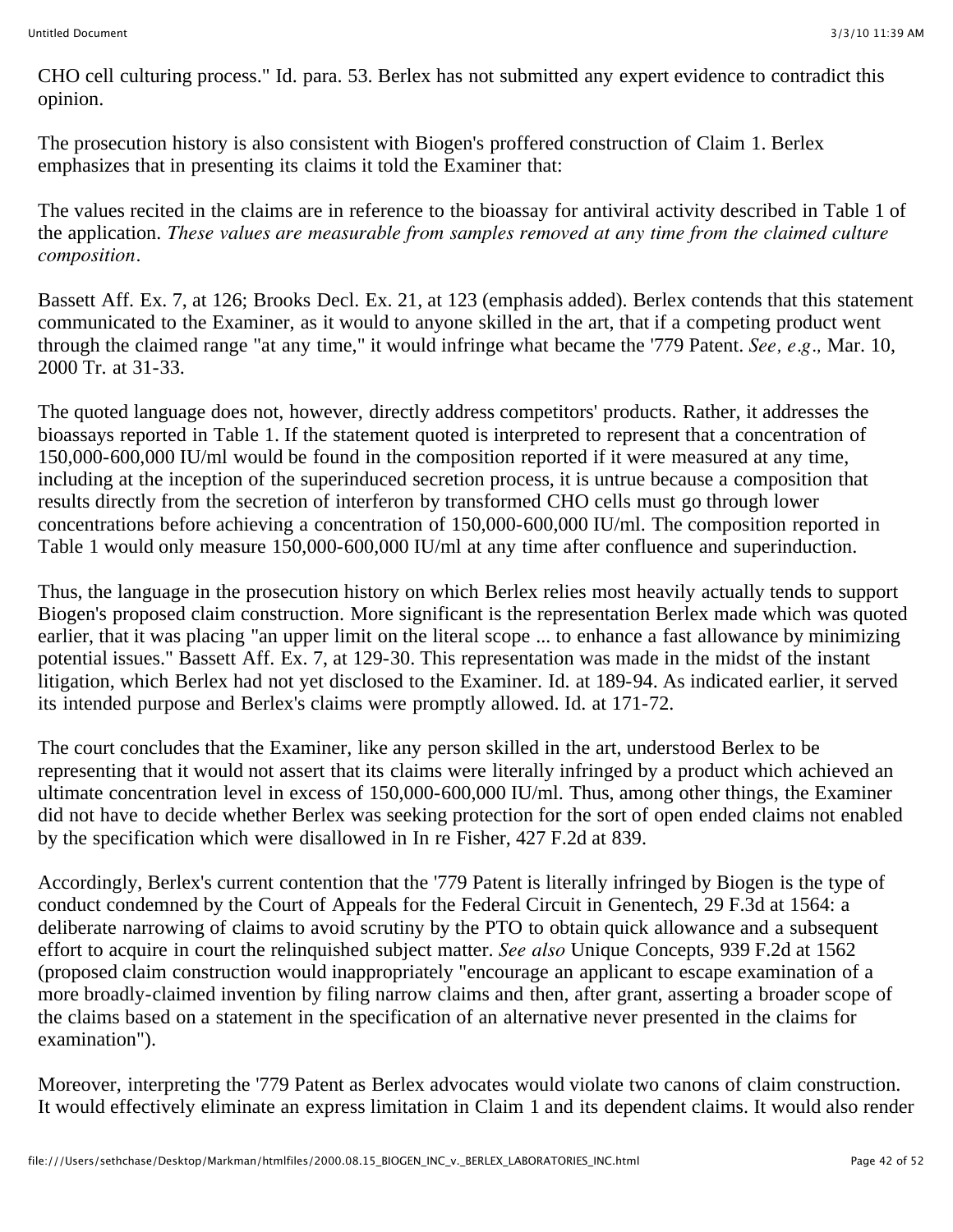CHO cell culturing process." Id. para. 53. Berlex has not submitted any expert evidence to contradict this opinion.

The prosecution history is also consistent with Biogen's proffered construction of Claim 1. Berlex emphasizes that in presenting its claims it told the Examiner that:

The values recited in the claims are in reference to the bioassay for antiviral activity described in Table 1 of the application. *These values are measurable from samples removed at any time from the claimed culture composition.*

Bassett Aff. Ex. 7, at 126; Brooks Decl. Ex. 21, at 123 (emphasis added). Berlex contends that this statement communicated to the Examiner, as it would to anyone skilled in the art, that if a competing product went through the claimed range "at any time," it would infringe what became the '779 Patent. *See, e.g.,* Mar. 10, 2000 Tr. at 31-33.

The quoted language does not, however, directly address competitors' products. Rather, it addresses the bioassays reported in Table 1. If the statement quoted is interpreted to represent that a concentration of 150,000-600,000 IU/ml would be found in the composition reported if it were measured at any time, including at the inception of the superinduced secretion process, it is untrue because a composition that results directly from the secretion of interferon by transformed CHO cells must go through lower concentrations before achieving a concentration of 150,000-600,000 IU/ml. The composition reported in Table 1 would only measure 150,000-600,000 IU/ml at any time after confluence and superinduction.

Thus, the language in the prosecution history on which Berlex relies most heavily actually tends to support Biogen's proposed claim construction. More significant is the representation Berlex made which was quoted earlier, that it was placing "an upper limit on the literal scope ... to enhance a fast allowance by minimizing potential issues." Bassett Aff. Ex. 7, at 129-30. This representation was made in the midst of the instant litigation, which Berlex had not yet disclosed to the Examiner. Id. at 189-94. As indicated earlier, it served its intended purpose and Berlex's claims were promptly allowed. Id. at 171-72.

The court concludes that the Examiner, like any person skilled in the art, understood Berlex to be representing that it would not assert that its claims were literally infringed by a product which achieved an ultimate concentration level in excess of 150,000-600,000 IU/ml. Thus, among other things, the Examiner did not have to decide whether Berlex was seeking protection for the sort of open ended claims not enabled by the specification which were disallowed in In re Fisher, 427 F.2d at 839.

Accordingly, Berlex's current contention that the '779 Patent is literally infringed by Biogen is the type of conduct condemned by the Court of Appeals for the Federal Circuit in Genentech, 29 F.3d at 1564: a deliberate narrowing of claims to avoid scrutiny by the PTO to obtain quick allowance and a subsequent effort to acquire in court the relinquished subject matter. *See also* Unique Concepts, 939 F.2d at 1562 (proposed claim construction would inappropriately "encourage an applicant to escape examination of a more broadly-claimed invention by filing narrow claims and then, after grant, asserting a broader scope of the claims based on a statement in the specification of an alternative never presented in the claims for examination").

Moreover, interpreting the '779 Patent as Berlex advocates would violate two canons of claim construction. It would effectively eliminate an express limitation in Claim 1 and its dependent claims. It would also render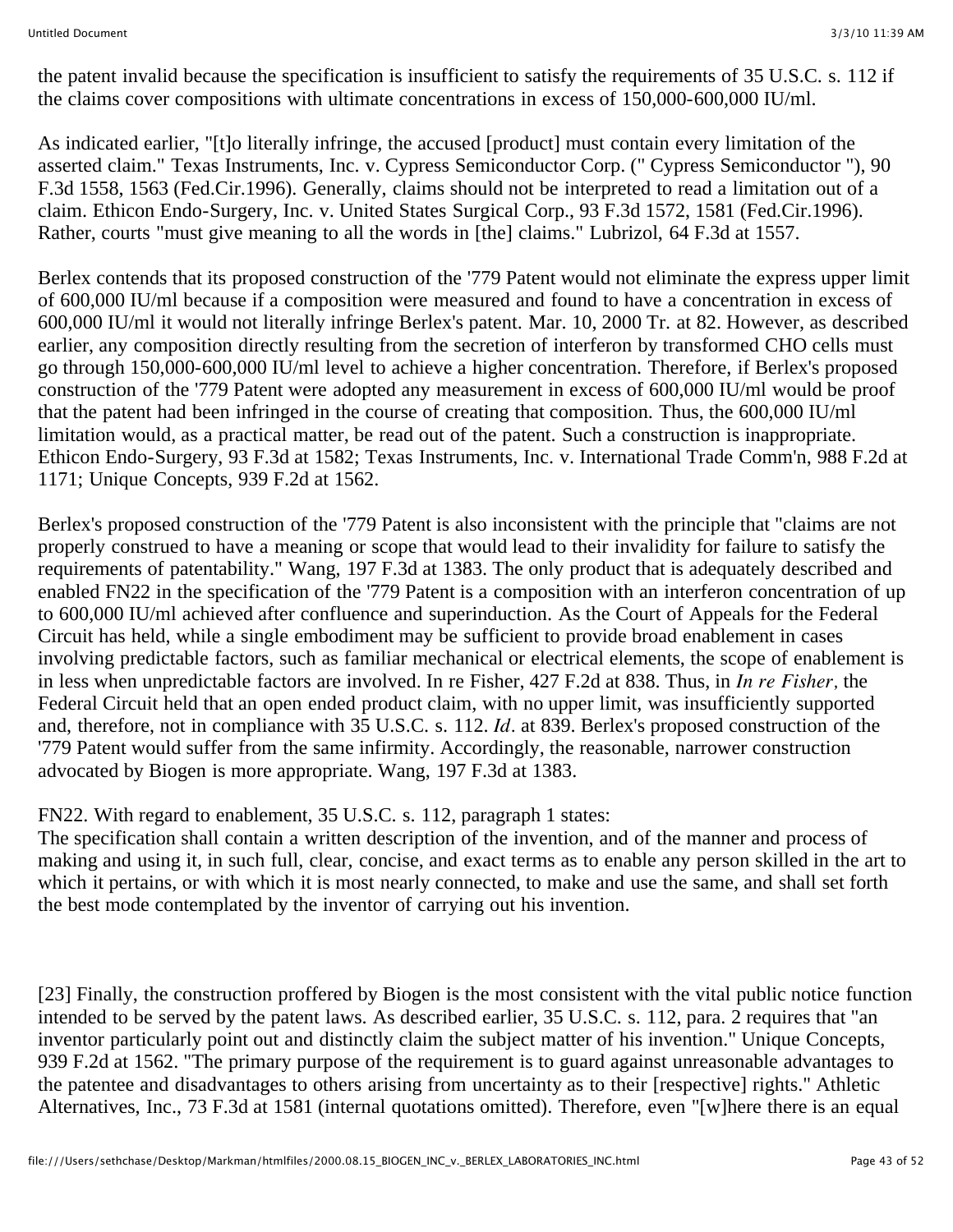the patent invalid because the specification is insufficient to satisfy the requirements of 35 U.S.C. s. 112 if the claims cover compositions with ultimate concentrations in excess of 150,000-600,000 IU/ml.

As indicated earlier, "[t]o literally infringe, the accused [product] must contain every limitation of the asserted claim." Texas Instruments, Inc. v. Cypress Semiconductor Corp. (" Cypress Semiconductor "), 90 F.3d 1558, 1563 (Fed.Cir.1996). Generally, claims should not be interpreted to read a limitation out of a claim. Ethicon Endo-Surgery, Inc. v. United States Surgical Corp., 93 F.3d 1572, 1581 (Fed.Cir.1996). Rather, courts "must give meaning to all the words in [the] claims." Lubrizol, 64 F.3d at 1557.

Berlex contends that its proposed construction of the '779 Patent would not eliminate the express upper limit of 600,000 IU/ml because if a composition were measured and found to have a concentration in excess of 600,000 IU/ml it would not literally infringe Berlex's patent. Mar. 10, 2000 Tr. at 82. However, as described earlier, any composition directly resulting from the secretion of interferon by transformed CHO cells must go through 150,000-600,000 IU/ml level to achieve a higher concentration. Therefore, if Berlex's proposed construction of the '779 Patent were adopted any measurement in excess of 600,000 IU/ml would be proof that the patent had been infringed in the course of creating that composition. Thus, the 600,000 IU/ml limitation would, as a practical matter, be read out of the patent. Such a construction is inappropriate. Ethicon Endo-Surgery, 93 F.3d at 1582; Texas Instruments, Inc. v. International Trade Comm'n, 988 F.2d at 1171; Unique Concepts, 939 F.2d at 1562.

Berlex's proposed construction of the '779 Patent is also inconsistent with the principle that "claims are not properly construed to have a meaning or scope that would lead to their invalidity for failure to satisfy the requirements of patentability." Wang, 197 F.3d at 1383. The only product that is adequately described and enabled FN22 in the specification of the '779 Patent is a composition with an interferon concentration of up to 600,000 IU/ml achieved after confluence and superinduction. As the Court of Appeals for the Federal Circuit has held, while a single embodiment may be sufficient to provide broad enablement in cases involving predictable factors, such as familiar mechanical or electrical elements, the scope of enablement is in less when unpredictable factors are involved. In re Fisher, 427 F.2d at 838. Thus, in *In re Fisher,* the Federal Circuit held that an open ended product claim, with no upper limit, was insufficiently supported and, therefore, not in compliance with 35 U.S.C. s. 112. *Id.* at 839. Berlex's proposed construction of the '779 Patent would suffer from the same infirmity. Accordingly, the reasonable, narrower construction advocated by Biogen is more appropriate. Wang, 197 F.3d at 1383.

FN22. With regard to enablement, 35 U.S.C. s. 112, paragraph 1 states:

The specification shall contain a written description of the invention, and of the manner and process of making and using it, in such full, clear, concise, and exact terms as to enable any person skilled in the art to which it pertains, or with which it is most nearly connected, to make and use the same, and shall set forth the best mode contemplated by the inventor of carrying out his invention.

[23] Finally, the construction proffered by Biogen is the most consistent with the vital public notice function intended to be served by the patent laws. As described earlier, 35 U.S.C. s. 112, para. 2 requires that "an inventor particularly point out and distinctly claim the subject matter of his invention." Unique Concepts, 939 F.2d at 1562. "The primary purpose of the requirement is to guard against unreasonable advantages to the patentee and disadvantages to others arising from uncertainty as to their [respective] rights." Athletic Alternatives, Inc., 73 F.3d at 1581 (internal quotations omitted). Therefore, even "[w]here there is an equal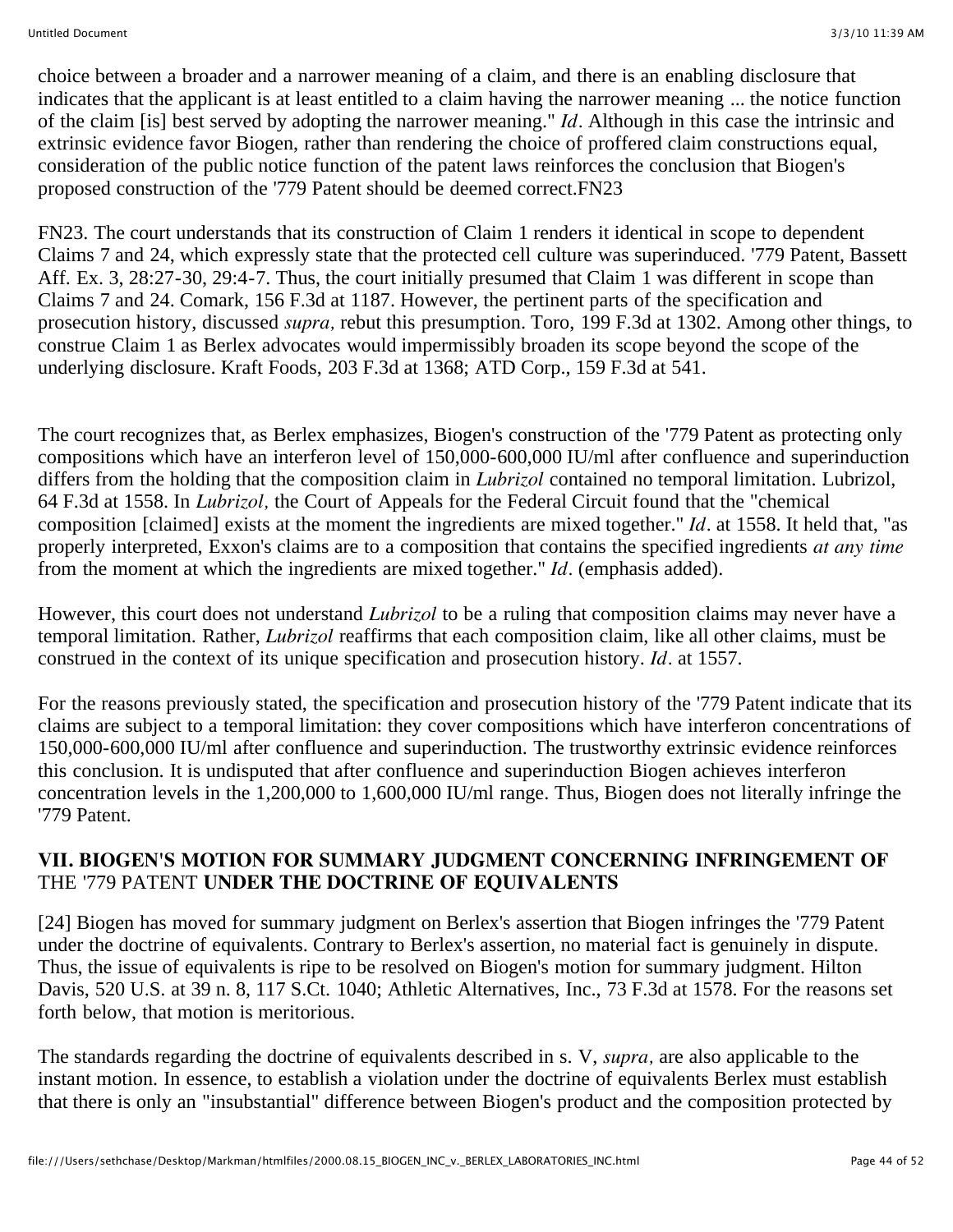choice between a broader and a narrower meaning of a claim, and there is an enabling disclosure that indicates that the applicant is at least entitled to a claim having the narrower meaning ... the notice function of the claim [is] best served by adopting the narrower meaning." *Id.* Although in this case the intrinsic and extrinsic evidence favor Biogen, rather than rendering the choice of proffered claim constructions equal, consideration of the public notice function of the patent laws reinforces the conclusion that Biogen's proposed construction of the '779 Patent should be deemed correct.FN23

FN23. The court understands that its construction of Claim 1 renders it identical in scope to dependent Claims 7 and 24, which expressly state that the protected cell culture was superinduced. '779 Patent, Bassett Aff. Ex. 3, 28:27-30, 29:4-7. Thus, the court initially presumed that Claim 1 was different in scope than Claims 7 and 24. Comark, 156 F.3d at 1187. However, the pertinent parts of the specification and prosecution history, discussed *supra,* rebut this presumption. Toro, 199 F.3d at 1302. Among other things, to construe Claim 1 as Berlex advocates would impermissibly broaden its scope beyond the scope of the underlying disclosure. Kraft Foods, 203 F.3d at 1368; ATD Corp., 159 F.3d at 541.

The court recognizes that, as Berlex emphasizes, Biogen's construction of the '779 Patent as protecting only compositions which have an interferon level of 150,000-600,000 IU/ml after confluence and superinduction differs from the holding that the composition claim in *Lubrizol* contained no temporal limitation. Lubrizol, 64 F.3d at 1558. In *Lubrizol,* the Court of Appeals for the Federal Circuit found that the "chemical composition [claimed] exists at the moment the ingredients are mixed together." *Id.* at 1558. It held that, "as properly interpreted, Exxon's claims are to a composition that contains the specified ingredients *at any time* from the moment at which the ingredients are mixed together." *Id.* (emphasis added).

However, this court does not understand *Lubrizol* to be a ruling that composition claims may never have a temporal limitation. Rather, *Lubrizol* reaffirms that each composition claim, like all other claims, must be construed in the context of its unique specification and prosecution history. *Id.* at 1557.

For the reasons previously stated, the specification and prosecution history of the '779 Patent indicate that its claims are subject to a temporal limitation: they cover compositions which have interferon concentrations of 150,000-600,000 IU/ml after confluence and superinduction. The trustworthy extrinsic evidence reinforces this conclusion. It is undisputed that after confluence and superinduction Biogen achieves interferon concentration levels in the 1,200,000 to 1,600,000 IU/ml range. Thus, Biogen does not literally infringe the '779 Patent.

#### **VII. BIOGEN'S MOTION FOR SUMMARY JUDGMENT CONCERNING INFRINGEMENT OF** THE '779 PATENT **UNDER THE DOCTRINE OF EQUIVALENTS**

[24] Biogen has moved for summary judgment on Berlex's assertion that Biogen infringes the '779 Patent under the doctrine of equivalents. Contrary to Berlex's assertion, no material fact is genuinely in dispute. Thus, the issue of equivalents is ripe to be resolved on Biogen's motion for summary judgment. Hilton Davis, 520 U.S. at 39 n. 8, 117 S.Ct. 1040; Athletic Alternatives, Inc., 73 F.3d at 1578. For the reasons set forth below, that motion is meritorious.

The standards regarding the doctrine of equivalents described in s. V, *supra,* are also applicable to the instant motion. In essence, to establish a violation under the doctrine of equivalents Berlex must establish that there is only an "insubstantial" difference between Biogen's product and the composition protected by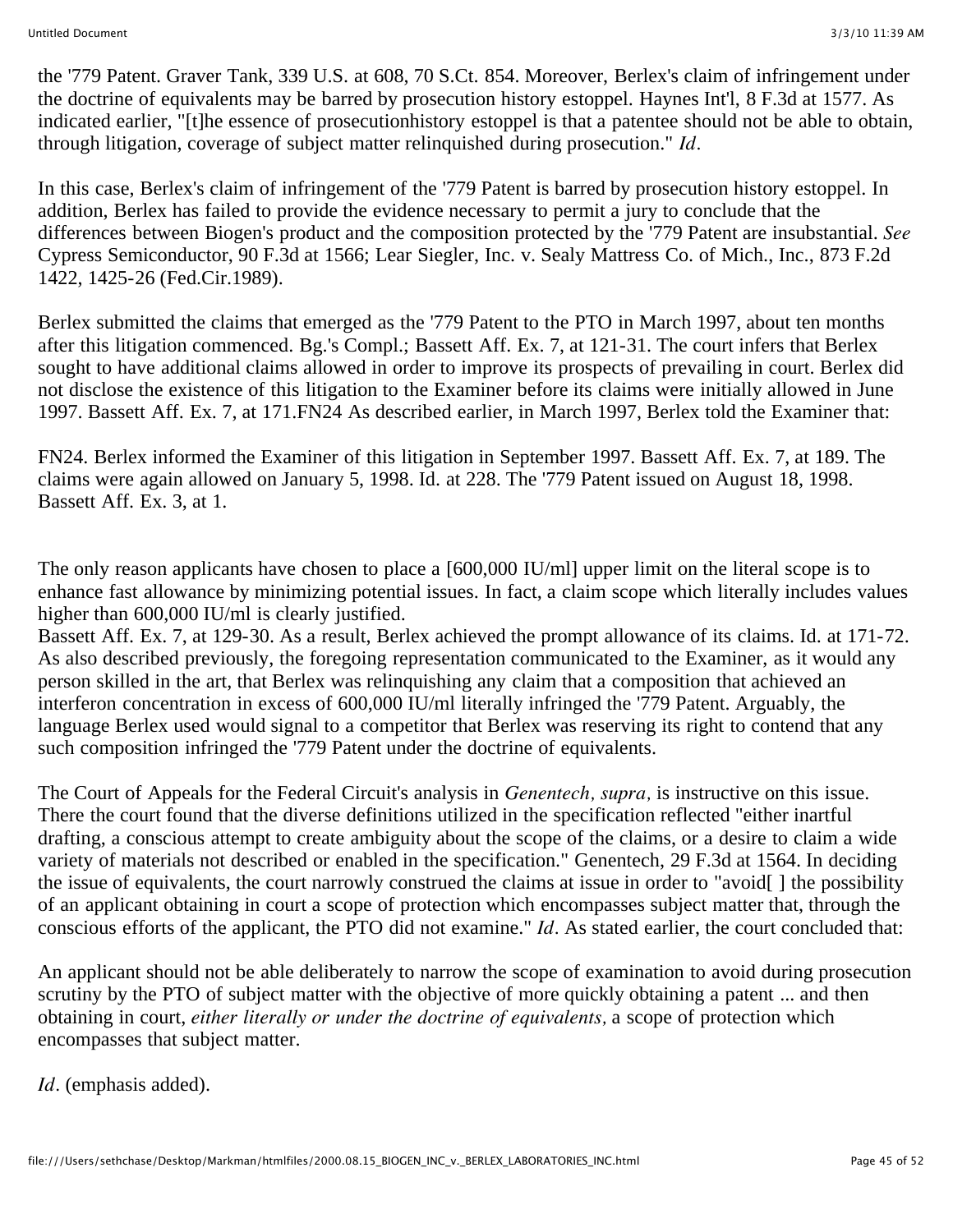the '779 Patent. Graver Tank, 339 U.S. at 608, 70 S.Ct. 854. Moreover, Berlex's claim of infringement under the doctrine of equivalents may be barred by prosecution history estoppel. Haynes Int'l, 8 F.3d at 1577. As indicated earlier, "[t]he essence of prosecutionhistory estoppel is that a patentee should not be able to obtain, through litigation, coverage of subject matter relinquished during prosecution." *Id.*

In this case, Berlex's claim of infringement of the '779 Patent is barred by prosecution history estoppel. In addition, Berlex has failed to provide the evidence necessary to permit a jury to conclude that the differences between Biogen's product and the composition protected by the '779 Patent are insubstantial. *See* Cypress Semiconductor, 90 F.3d at 1566; Lear Siegler, Inc. v. Sealy Mattress Co. of Mich., Inc., 873 F.2d 1422, 1425-26 (Fed.Cir.1989).

Berlex submitted the claims that emerged as the '779 Patent to the PTO in March 1997, about ten months after this litigation commenced. Bg.'s Compl.; Bassett Aff. Ex. 7, at 121-31. The court infers that Berlex sought to have additional claims allowed in order to improve its prospects of prevailing in court. Berlex did not disclose the existence of this litigation to the Examiner before its claims were initially allowed in June 1997. Bassett Aff. Ex. 7, at 171.FN24 As described earlier, in March 1997, Berlex told the Examiner that:

FN24. Berlex informed the Examiner of this litigation in September 1997. Bassett Aff. Ex. 7, at 189. The claims were again allowed on January 5, 1998. Id. at 228. The '779 Patent issued on August 18, 1998. Bassett Aff. Ex. 3, at 1.

The only reason applicants have chosen to place a [600,000 IU/ml] upper limit on the literal scope is to enhance fast allowance by minimizing potential issues. In fact, a claim scope which literally includes values higher than 600,000 IU/ml is clearly justified.

Bassett Aff. Ex. 7, at 129-30. As a result, Berlex achieved the prompt allowance of its claims. Id. at 171-72. As also described previously, the foregoing representation communicated to the Examiner, as it would any person skilled in the art, that Berlex was relinquishing any claim that a composition that achieved an interferon concentration in excess of 600,000 IU/ml literally infringed the '779 Patent. Arguably, the language Berlex used would signal to a competitor that Berlex was reserving its right to contend that any such composition infringed the '779 Patent under the doctrine of equivalents.

The Court of Appeals for the Federal Circuit's analysis in *Genentech, supra,* is instructive on this issue. There the court found that the diverse definitions utilized in the specification reflected "either inartful drafting, a conscious attempt to create ambiguity about the scope of the claims, or a desire to claim a wide variety of materials not described or enabled in the specification." Genentech, 29 F.3d at 1564. In deciding the issue of equivalents, the court narrowly construed the claims at issue in order to "avoid[ ] the possibility of an applicant obtaining in court a scope of protection which encompasses subject matter that, through the conscious efforts of the applicant, the PTO did not examine." *Id.* As stated earlier, the court concluded that:

An applicant should not be able deliberately to narrow the scope of examination to avoid during prosecution scrutiny by the PTO of subject matter with the objective of more quickly obtaining a patent ... and then obtaining in court, *either literally or under the doctrine of equivalents,* a scope of protection which encompasses that subject matter.

*Id.* (emphasis added).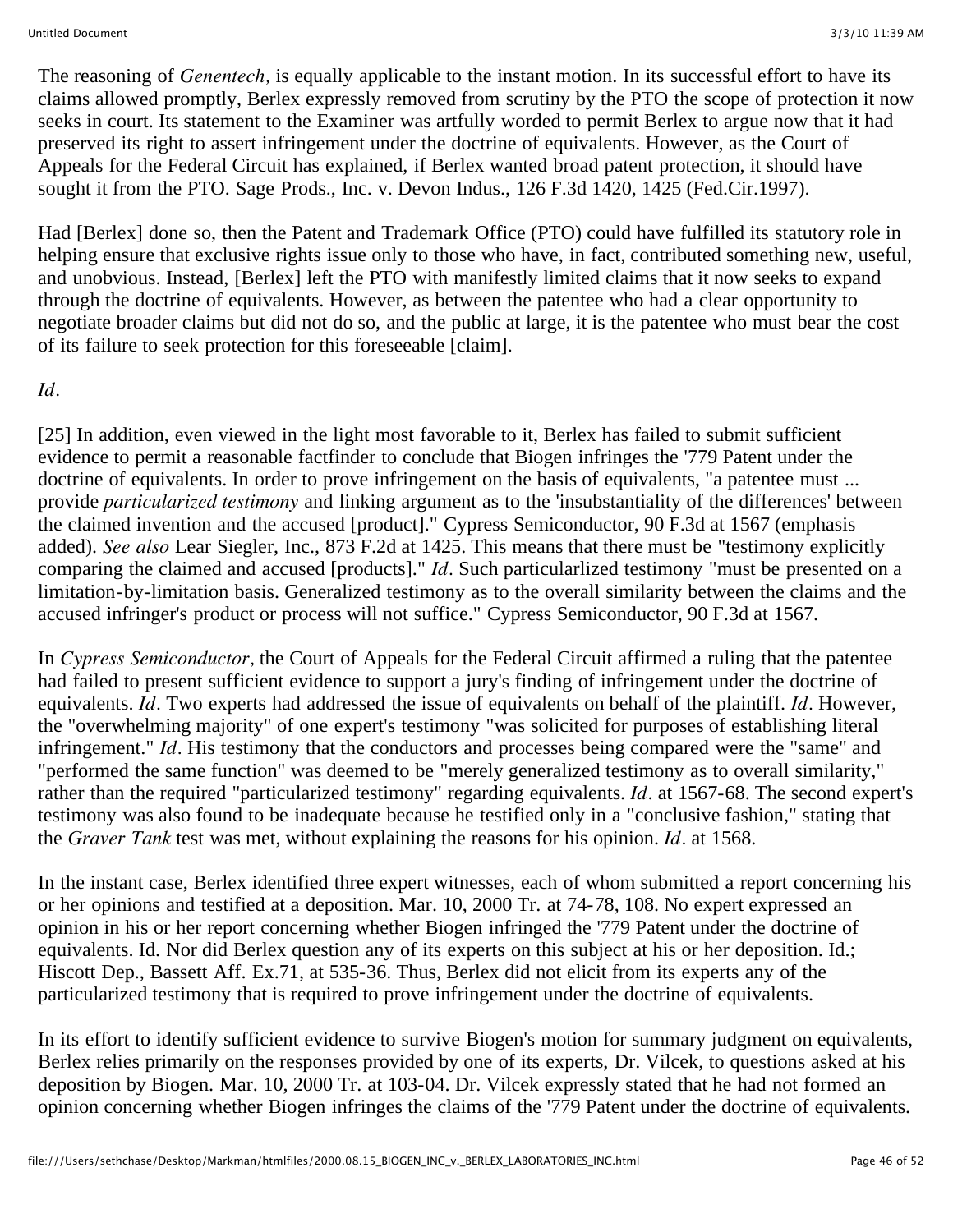The reasoning of *Genentech,* is equally applicable to the instant motion. In its successful effort to have its claims allowed promptly, Berlex expressly removed from scrutiny by the PTO the scope of protection it now seeks in court. Its statement to the Examiner was artfully worded to permit Berlex to argue now that it had preserved its right to assert infringement under the doctrine of equivalents. However, as the Court of Appeals for the Federal Circuit has explained, if Berlex wanted broad patent protection, it should have sought it from the PTO. Sage Prods., Inc. v. Devon Indus., 126 F.3d 1420, 1425 (Fed.Cir.1997).

Had [Berlex] done so, then the Patent and Trademark Office (PTO) could have fulfilled its statutory role in helping ensure that exclusive rights issue only to those who have, in fact, contributed something new, useful, and unobvious. Instead, [Berlex] left the PTO with manifestly limited claims that it now seeks to expand through the doctrine of equivalents. However, as between the patentee who had a clear opportunity to negotiate broader claims but did not do so, and the public at large, it is the patentee who must bear the cost of its failure to seek protection for this foreseeable [claim].

## *Id.*

[25] In addition, even viewed in the light most favorable to it, Berlex has failed to submit sufficient evidence to permit a reasonable factfinder to conclude that Biogen infringes the '779 Patent under the doctrine of equivalents. In order to prove infringement on the basis of equivalents, "a patentee must ... provide *particularized testimony* and linking argument as to the 'insubstantiality of the differences' between the claimed invention and the accused [product]." Cypress Semiconductor, 90 F.3d at 1567 (emphasis added). *See also* Lear Siegler, Inc., 873 F.2d at 1425. This means that there must be "testimony explicitly comparing the claimed and accused [products]." *Id.* Such particularlized testimony "must be presented on a limitation-by-limitation basis. Generalized testimony as to the overall similarity between the claims and the accused infringer's product or process will not suffice." Cypress Semiconductor, 90 F.3d at 1567.

In *Cypress Semiconductor,* the Court of Appeals for the Federal Circuit affirmed a ruling that the patentee had failed to present sufficient evidence to support a jury's finding of infringement under the doctrine of equivalents. *Id.* Two experts had addressed the issue of equivalents on behalf of the plaintiff. *Id.* However, the "overwhelming majority" of one expert's testimony "was solicited for purposes of establishing literal infringement." *Id.* His testimony that the conductors and processes being compared were the "same" and "performed the same function" was deemed to be "merely generalized testimony as to overall similarity," rather than the required "particularized testimony" regarding equivalents. *Id.* at 1567-68. The second expert's testimony was also found to be inadequate because he testified only in a "conclusive fashion," stating that the *Graver Tank* test was met, without explaining the reasons for his opinion. *Id.* at 1568.

In the instant case, Berlex identified three expert witnesses, each of whom submitted a report concerning his or her opinions and testified at a deposition. Mar. 10, 2000 Tr. at 74-78, 108. No expert expressed an opinion in his or her report concerning whether Biogen infringed the '779 Patent under the doctrine of equivalents. Id. Nor did Berlex question any of its experts on this subject at his or her deposition. Id.; Hiscott Dep., Bassett Aff. Ex.71, at 535-36. Thus, Berlex did not elicit from its experts any of the particularized testimony that is required to prove infringement under the doctrine of equivalents.

In its effort to identify sufficient evidence to survive Biogen's motion for summary judgment on equivalents, Berlex relies primarily on the responses provided by one of its experts, Dr. Vilcek, to questions asked at his deposition by Biogen. Mar. 10, 2000 Tr. at 103-04. Dr. Vilcek expressly stated that he had not formed an opinion concerning whether Biogen infringes the claims of the '779 Patent under the doctrine of equivalents.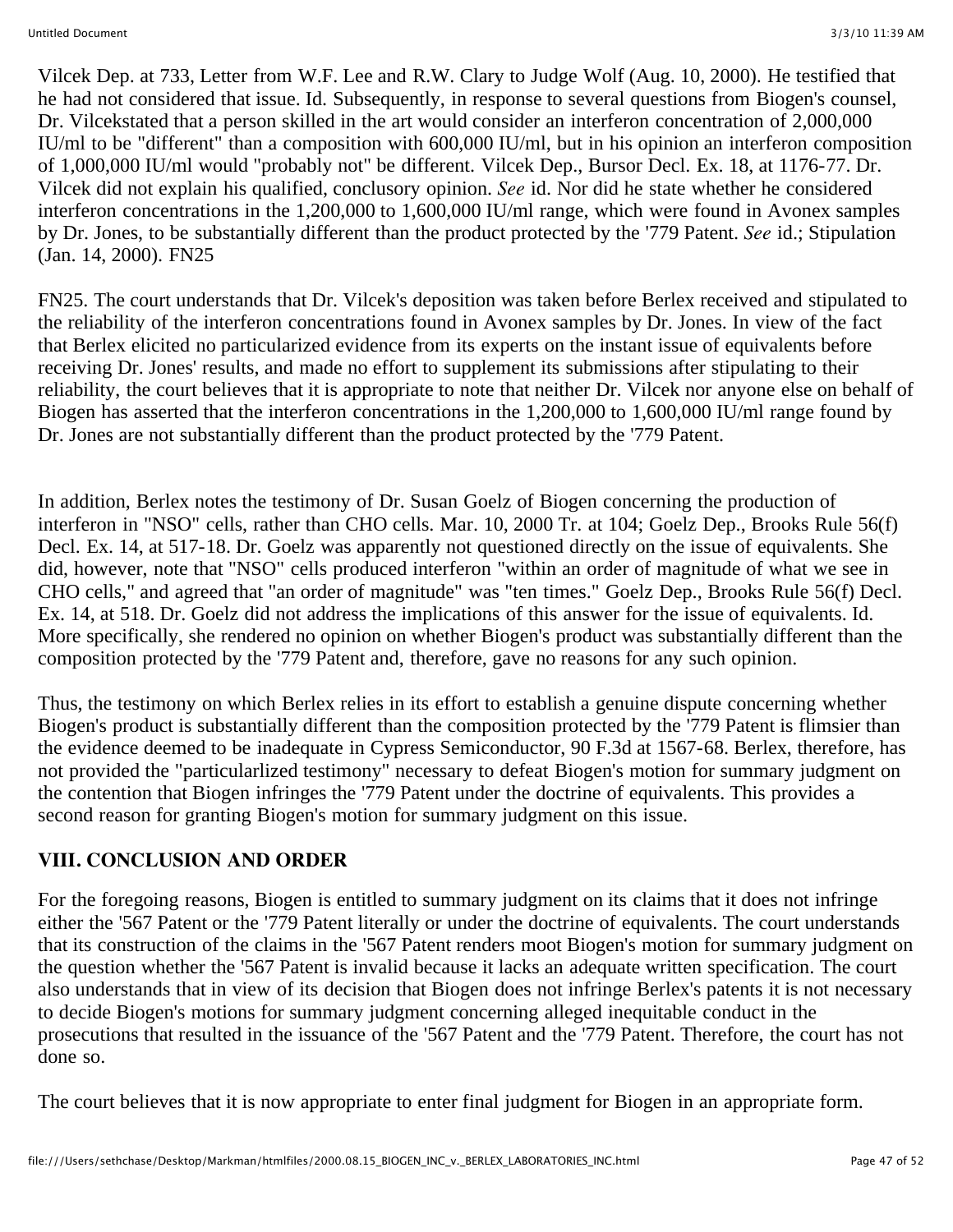Vilcek Dep. at 733, Letter from W.F. Lee and R.W. Clary to Judge Wolf (Aug. 10, 2000). He testified that he had not considered that issue. Id. Subsequently, in response to several questions from Biogen's counsel, Dr. Vilcekstated that a person skilled in the art would consider an interferon concentration of 2,000,000 IU/ml to be "different" than a composition with 600,000 IU/ml, but in his opinion an interferon composition of 1,000,000 IU/ml would "probably not" be different. Vilcek Dep., Bursor Decl. Ex. 18, at 1176-77. Dr. Vilcek did not explain his qualified, conclusory opinion. *See* id. Nor did he state whether he considered interferon concentrations in the 1,200,000 to 1,600,000 IU/ml range, which were found in Avonex samples by Dr. Jones, to be substantially different than the product protected by the '779 Patent. *See* id.; Stipulation (Jan. 14, 2000). FN25

FN25. The court understands that Dr. Vilcek's deposition was taken before Berlex received and stipulated to the reliability of the interferon concentrations found in Avonex samples by Dr. Jones. In view of the fact that Berlex elicited no particularized evidence from its experts on the instant issue of equivalents before receiving Dr. Jones' results, and made no effort to supplement its submissions after stipulating to their reliability, the court believes that it is appropriate to note that neither Dr. Vilcek nor anyone else on behalf of Biogen has asserted that the interferon concentrations in the 1,200,000 to 1,600,000 IU/ml range found by Dr. Jones are not substantially different than the product protected by the '779 Patent.

In addition, Berlex notes the testimony of Dr. Susan Goelz of Biogen concerning the production of interferon in "NSO" cells, rather than CHO cells. Mar. 10, 2000 Tr. at 104; Goelz Dep., Brooks Rule 56(f) Decl. Ex. 14, at 517-18. Dr. Goelz was apparently not questioned directly on the issue of equivalents. She did, however, note that "NSO" cells produced interferon "within an order of magnitude of what we see in CHO cells," and agreed that "an order of magnitude" was "ten times." Goelz Dep., Brooks Rule 56(f) Decl. Ex. 14, at 518. Dr. Goelz did not address the implications of this answer for the issue of equivalents. Id. More specifically, she rendered no opinion on whether Biogen's product was substantially different than the composition protected by the '779 Patent and, therefore, gave no reasons for any such opinion.

Thus, the testimony on which Berlex relies in its effort to establish a genuine dispute concerning whether Biogen's product is substantially different than the composition protected by the '779 Patent is flimsier than the evidence deemed to be inadequate in Cypress Semiconductor, 90 F.3d at 1567-68. Berlex, therefore, has not provided the "particularlized testimony" necessary to defeat Biogen's motion for summary judgment on the contention that Biogen infringes the '779 Patent under the doctrine of equivalents. This provides a second reason for granting Biogen's motion for summary judgment on this issue.

### **VIII. CONCLUSION AND ORDER**

For the foregoing reasons, Biogen is entitled to summary judgment on its claims that it does not infringe either the '567 Patent or the '779 Patent literally or under the doctrine of equivalents. The court understands that its construction of the claims in the '567 Patent renders moot Biogen's motion for summary judgment on the question whether the '567 Patent is invalid because it lacks an adequate written specification. The court also understands that in view of its decision that Biogen does not infringe Berlex's patents it is not necessary to decide Biogen's motions for summary judgment concerning alleged inequitable conduct in the prosecutions that resulted in the issuance of the '567 Patent and the '779 Patent. Therefore, the court has not done so.

The court believes that it is now appropriate to enter final judgment for Biogen in an appropriate form.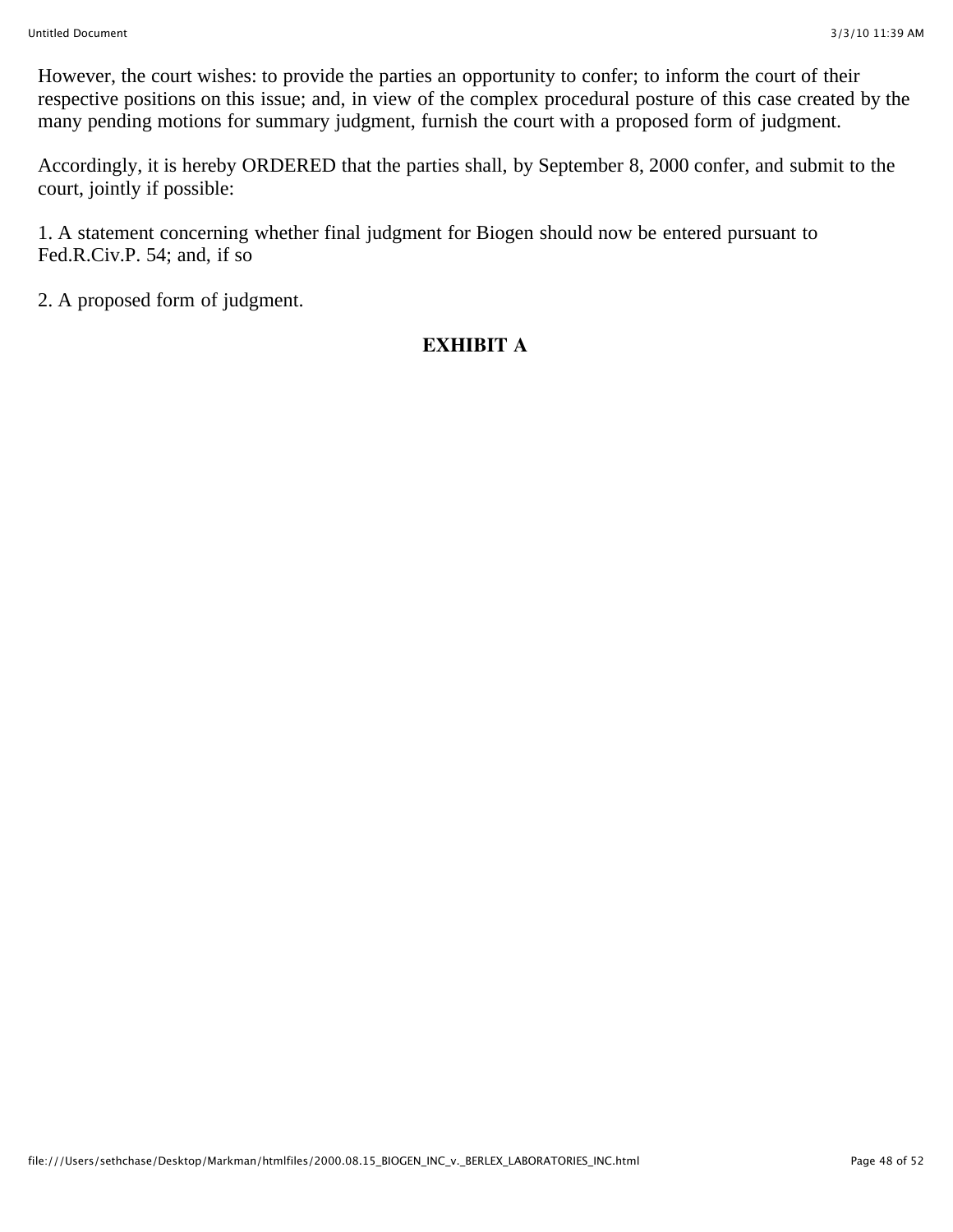However, the court wishes: to provide the parties an opportunity to confer; to inform the court of their respective positions on this issue; and, in view of the complex procedural posture of this case created by the many pending motions for summary judgment, furnish the court with a proposed form of judgment.

Accordingly, it is hereby ORDERED that the parties shall, by September 8, 2000 confer, and submit to the court, jointly if possible:

1. A statement concerning whether final judgment for Biogen should now be entered pursuant to Fed.R.Civ.P. 54; and, if so

2. A proposed form of judgment.

# **EXHIBIT A**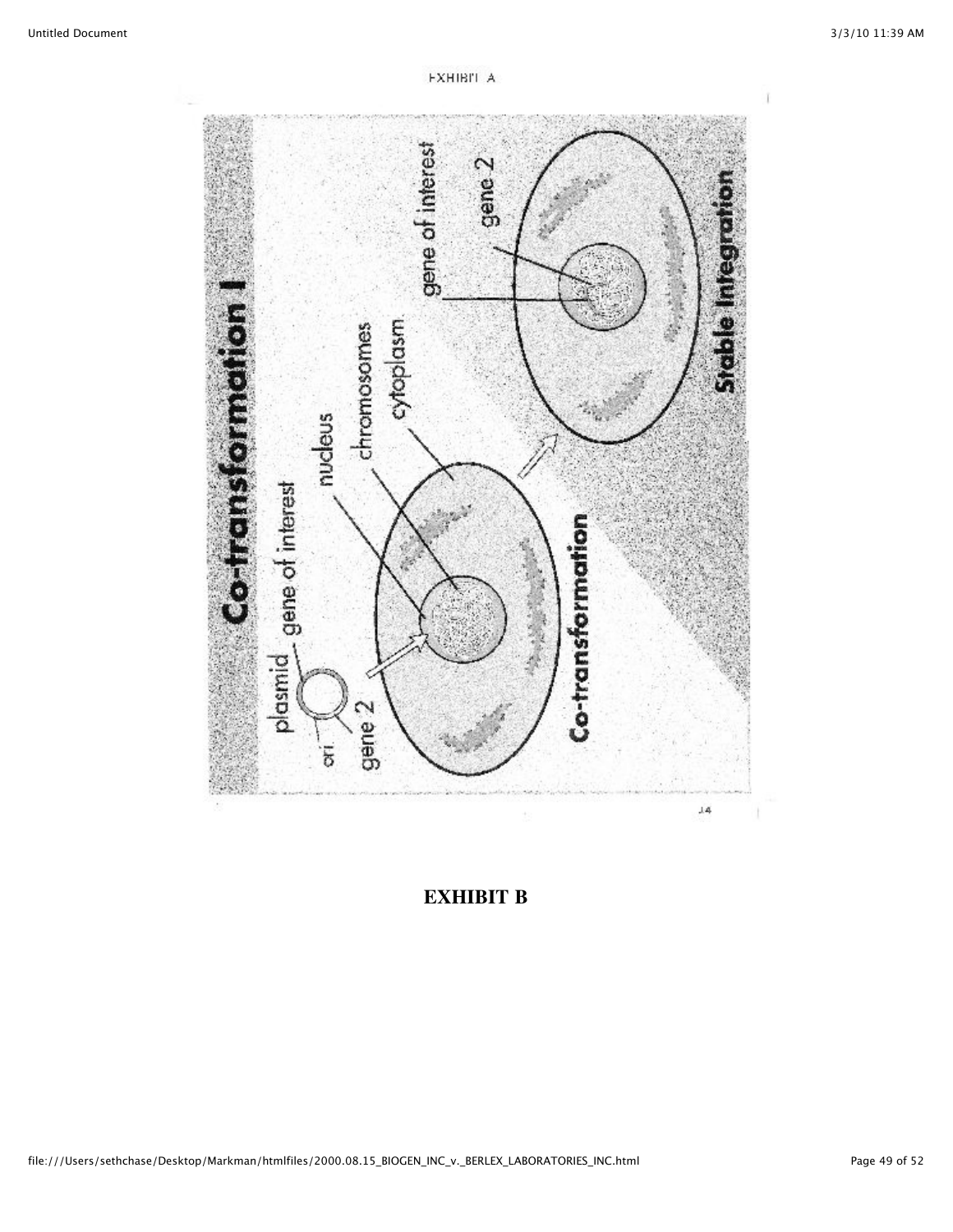

**FXHIBIT A** 

**EXHIBIT B**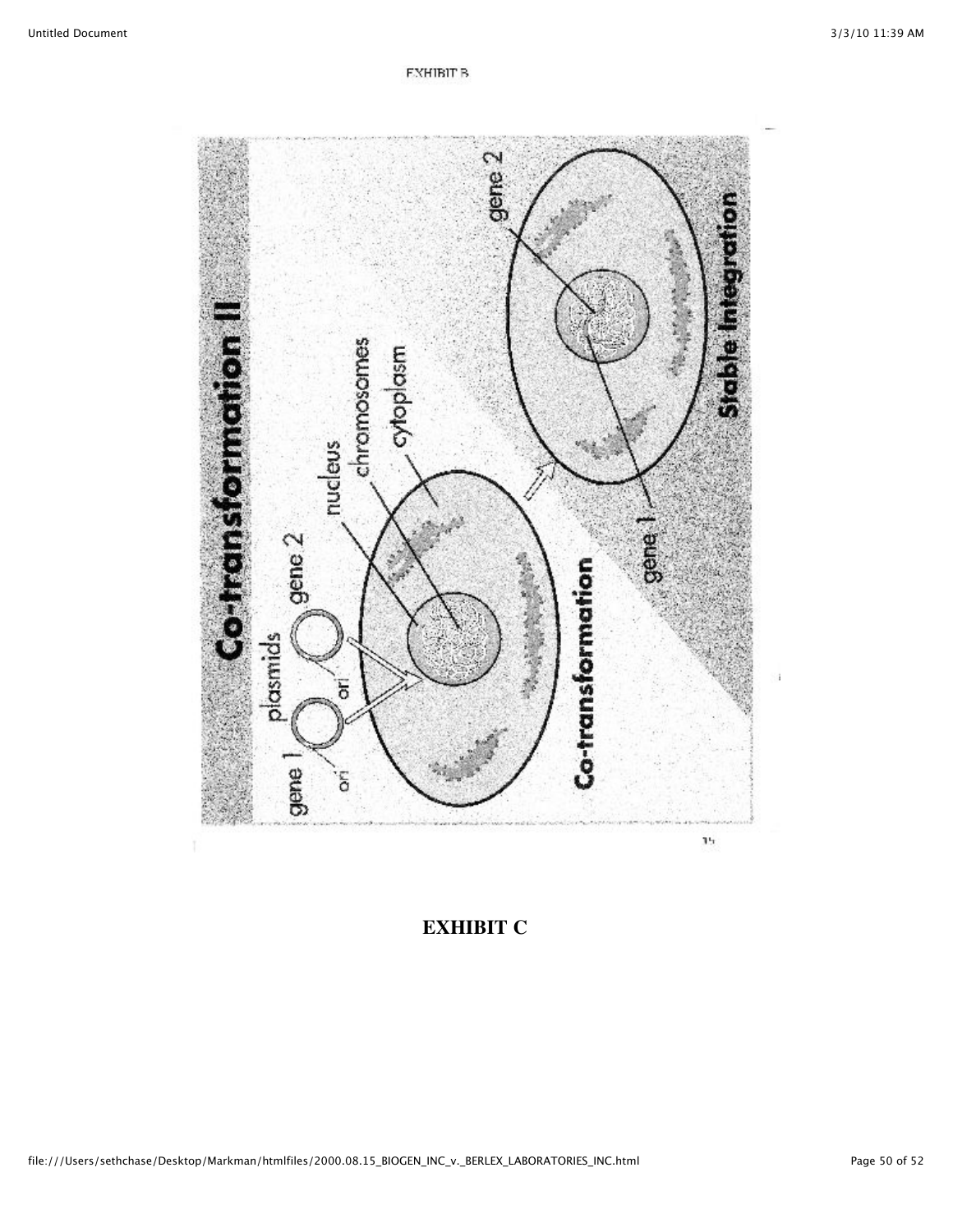

**EXHIBIT C**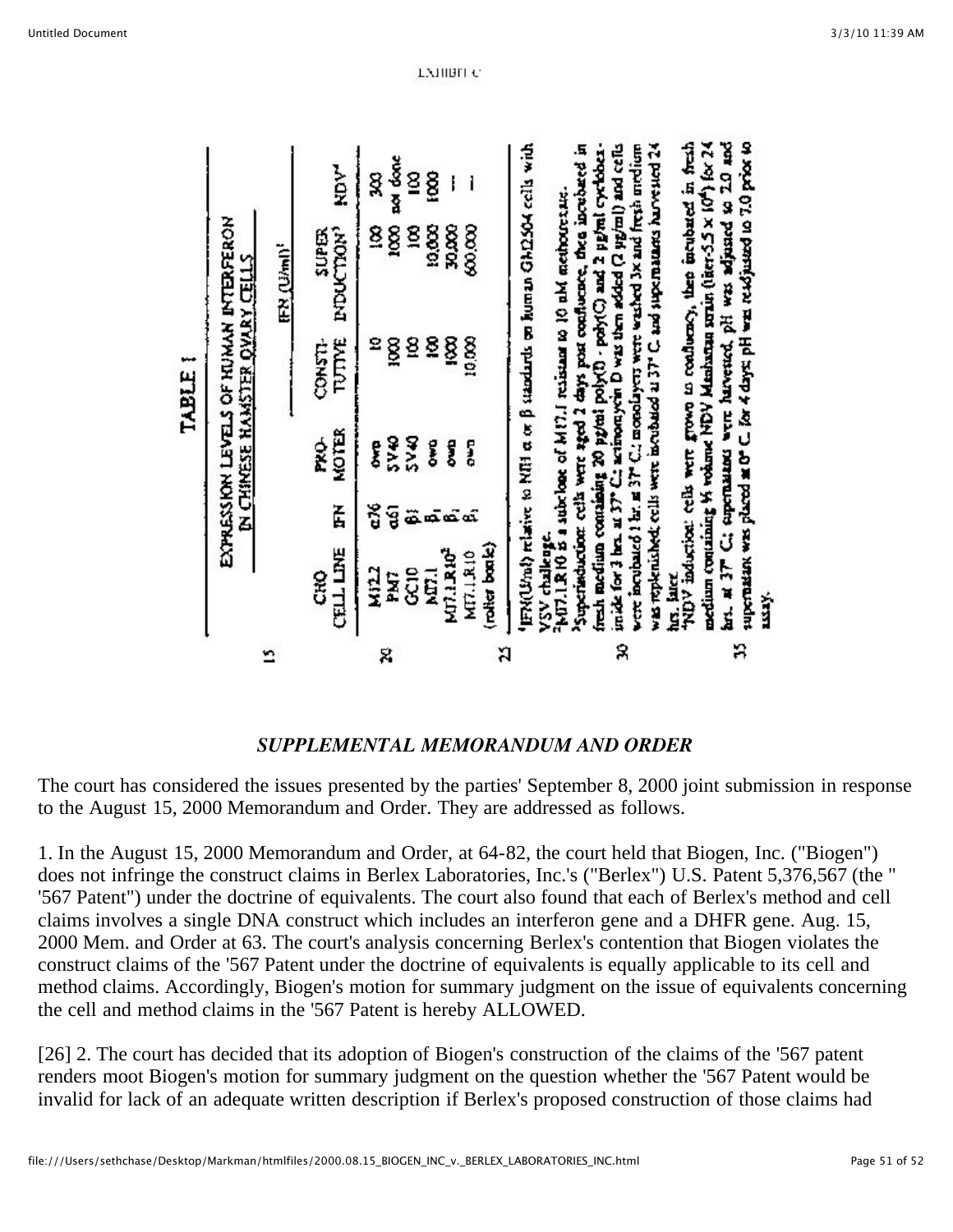|   |                            |        |                   | <b>TABLE I</b>                        |                                                                                                                                                                                                                                         |          |
|---|----------------------------|--------|-------------------|---------------------------------------|-----------------------------------------------------------------------------------------------------------------------------------------------------------------------------------------------------------------------------------------|----------|
|   |                            |        |                   | <b>DI CHINESE HAMSTER OVARY CELLS</b> | EXPRESSION LEVELS OF KUMAN INTERFERON                                                                                                                                                                                                   |          |
|   |                            |        |                   |                                       | <b>IFN (U/ml)</b>                                                                                                                                                                                                                       |          |
|   | <b>CELL LINE</b><br>g      | Ğ      | <b>MOTER</b><br>Ź | TUTTYE<br>Espe                        | <b>INDUCTION</b><br>SUPER                                                                                                                                                                                                               | iov<br>2 |
|   | KIILZ                      | ă      | ę                 | 2                                     | 8                                                                                                                                                                                                                                       | g        |
| 8 | 5kg                        | ទូ     | SV <sub>40</sub>  | ğ                                     | 2001                                                                                                                                                                                                                                    | sol done |
|   | GC10                       | ä      | <b>SV40</b>       | ş                                     | g                                                                                                                                                                                                                                       | §        |
|   | <b>NET.1</b>               |        | ę                 | 8                                     | 10,000                                                                                                                                                                                                                                  | ĝ        |
|   | MT.I.RIO <sup>2</sup>      |        | g                 | ĝ                                     | S<br>Sa                                                                                                                                                                                                                                 |          |
|   | (roller bonic)<br>MT7.LR10 | க்கீகி | Į                 | 10,000                                | 88.000                                                                                                                                                                                                                                  | ì        |
| ង |                            |        |                   |                                       | ER(Und) relative to NRH et or B standards on homan GhD304 cells with                                                                                                                                                                    |          |
|   |                            |        |                   |                                       | Superisduction: cells were aged 2 days post confluence, then incubated in<br>VSV challenge.<br>PMT.1.R10 is a subclone of M17.1 resistant to 10 mM methores.net.                                                                        |          |
| R |                            |        |                   |                                       | fresh medium comaining 20 proteil poly(0 - poly(C) and 2 proteil cyclober-<br>inside for 3 her. at 37° C: actinousycin D was then added (2 yg/ml) and cells<br>vere incubated 1 km a 37° C,; monolayers were washed 3x and fresh medium |          |
|   |                            |        |                   |                                       | was replenished; cells were incubated at 37° C, and supernations harvested 24                                                                                                                                                           |          |
|   | hrs. Met.                  |        |                   |                                       | NDV induction: cells were grown to confluency, then includent in fresh<br>medium containing 14 volume NDV Mushama serie (ther-5.5 x 10 <sup>4</sup> ) for 24                                                                            |          |
| R |                            |        |                   |                                       | her, at 37° Cit supermanes were havened, pH was adjusted to 20 and<br>supernation was placed at O° C. for 4 days; pH was readjusted to 7.0 prior to                                                                                     |          |
|   | i.                         |        |                   |                                       |                                                                                                                                                                                                                                         |          |

#### *SUPPLEMENTAL MEMORANDUM AND ORDER*

The court has considered the issues presented by the parties' September 8, 2000 joint submission in response to the August 15, 2000 Memorandum and Order. They are addressed as follows.

1. In the August 15, 2000 Memorandum and Order, at 64-82, the court held that Biogen, Inc. ("Biogen") does not infringe the construct claims in Berlex Laboratories, Inc.'s ("Berlex") U.S. Patent 5,376,567 (the " '567 Patent") under the doctrine of equivalents. The court also found that each of Berlex's method and cell claims involves a single DNA construct which includes an interferon gene and a DHFR gene. Aug. 15, 2000 Mem. and Order at 63. The court's analysis concerning Berlex's contention that Biogen violates the construct claims of the '567 Patent under the doctrine of equivalents is equally applicable to its cell and method claims. Accordingly, Biogen's motion for summary judgment on the issue of equivalents concerning the cell and method claims in the '567 Patent is hereby ALLOWED.

[26] 2. The court has decided that its adoption of Biogen's construction of the claims of the '567 patent renders moot Biogen's motion for summary judgment on the question whether the '567 Patent would be invalid for lack of an adequate written description if Berlex's proposed construction of those claims had